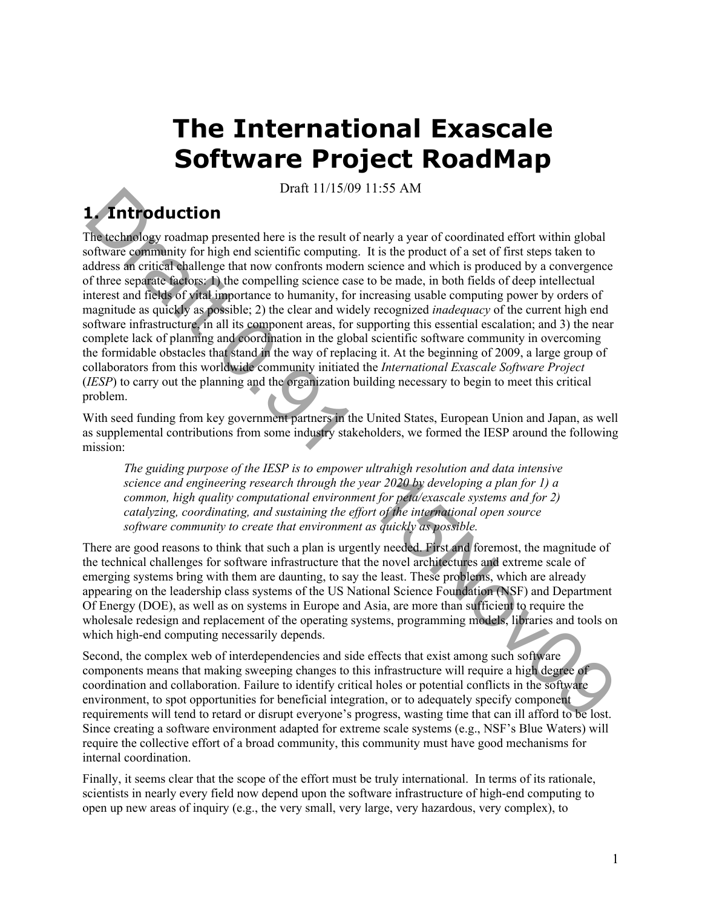# **The International Exascale Software Project RoadMap**

Draft 11/15/09 11:55 AM

# **1. Introduction**

The technology roadmap presented here is the result of nearly a year of coordinated effort within global software community for high end scientific computing. It is the product of a set of first steps taken to address an critical challenge that now confronts modern science and which is produced by a convergence of three separate factors: 1) the compelling science case to be made, in both fields of deep intellectual interest and fields of vital importance to humanity, for increasing usable computing power by orders of magnitude as quickly as possible; 2) the clear and widely recognized *inadequacy* of the current high end software infrastructure, in all its component areas, for supporting this essential escalation; and 3) the near complete lack of planning and coordination in the global scientific software community in overcoming the formidable obstacles that stand in the way of replacing it. At the beginning of 2009, a large group of collaborators from this worldwide community initiated the *International Exascale Software Project* (*IESP*) to carry out the planning and the organization building necessary to begin to meet this critical problem. **1. Antiroduction**<br>
1. **Antiroduction**<br>
1. **Example 1.1 Example 1.1 Comparison** in the sealth of nearly a year of coordinated effort within global<br>
alternative of minimity to high end scientific computing. It is the p

With seed funding from key government partners in the United States, European Union and Japan, as well as supplemental contributions from some industry stakeholders, we formed the IESP around the following mission:

*The guiding purpose of the IESP is to empower ultrahigh resolution and data intensive science and engineering research through the year 2020 by developing a plan for 1) a common, high quality computational environment for peta/exascale systems and for 2) catalyzing, coordinating, and sustaining the effort of the international open source software community to create that environment as quickly as possible.* 

There are good reasons to think that such a plan is urgently needed. First and foremost, the magnitude of the technical challenges for software infrastructure that the novel architectures and extreme scale of emerging systems bring with them are daunting, to say the least. These problems, which are already appearing on the leadership class systems of the US National Science Foundation (NSF) and Department Of Energy (DOE), as well as on systems in Europe and Asia, are more than sufficient to require the wholesale redesign and replacement of the operating systems, programming models, libraries and tools on which high-end computing necessarily depends.

Second, the complex web of interdependencies and side effects that exist among such software components means that making sweeping changes to this infrastructure will require a high degree of coordination and collaboration. Failure to identify critical holes or potential conflicts in the software environment, to spot opportunities for beneficial integration, or to adequately specify component requirements will tend to retard or disrupt everyone's progress, wasting time that can ill afford to be lost. Since creating a software environment adapted for extreme scale systems (e.g., NSF's Blue Waters) will require the collective effort of a broad community, this community must have good mechanisms for internal coordination.

Finally, it seems clear that the scope of the effort must be truly international. In terms of its rationale, scientists in nearly every field now depend upon the software infrastructure of high-end computing to open up new areas of inquiry (e.g., the very small, very large, very hazardous, very complex), to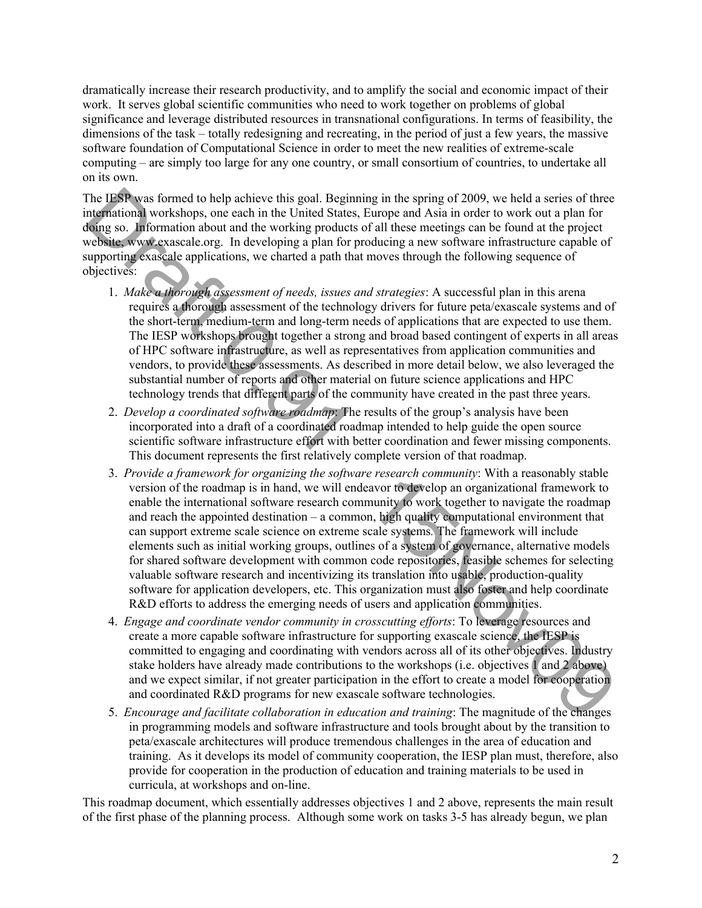dramatically increase their research productivity, and to amplify the social and economic impact of their work. It serves global scientific communities who need to work together on problems of global significance and leverage distributed resources in transnational configurations. In terms of feasibility, the dimensions of the task – totally redesigning and recreating, in the period of just a few years, the massive software foundation of Computational Science in order to meet the new realities of extreme-scale computing – are simply too large for any one country, or small consortium of countries, to undertake all on its own.

The IESP was formed to help achieve this goal. Beginning in the spring of 2009, we held a series of three international workshops, one each in the United States, Europe and Asia in order to work out a plan for doing so. Information about and the working products of all these meetings can be found at the project website, www.exascale.org. In developing a plan for producing a new software infrastructure capable of supporting exascale applications, we charted a path that moves through the following sequence of objectives:

- 1. *Make a thorough assessment of needs, issues and strategies*: A successful plan in this arena requires a thorough assessment of the technology drivers for future peta/exascale systems and of the short-term, medium-term and long-term needs of applications that are expected to use them. The IESP workshops brought together a strong and broad based contingent of experts in all areas of HPC software infrastructure, as well as representatives from application communities and vendors, to provide these assessments. As described in more detail below, we also leveraged the substantial number of reports and other material on future science applications and HPC technology trends that different parts of the community have created in the past three years.
- 2. *Develop a coordinated software roadmap*: The results of the group's analysis have been incorporated into a draft of a coordinated roadmap intended to help guide the open source scientific software infrastructure effort with better coordination and fewer missing components. This document represents the first relatively complete version of that roadmap.
- 3. *Provide a framework for organizing the software research community*: With a reasonably stable version of the roadmap is in hand, we will endeavor to develop an organizational framework to enable the international software research community to work together to navigate the roadmap and reach the appointed destination – a common, high quality computational environment that can support extreme scale science on extreme scale systems*.* The framework will include elements such as initial working groups, outlines of a system of governance, alternative models for shared software development with common code repositories, feasible schemes for selecting valuable software research and incentivizing its translation into usable, production-quality software for application developers, etc. This organization must also foster and help coordinate R&D efforts to address the emerging needs of users and application communities. The List<sup>s</sup>hwas firmed to help achieve this goal. Beginning in the spring of 2009, we held a series of three properties of the properties of the properties of the properties of the properties of the energy and Asia in ord
	- 4. *Engage and coordinate vendor community in crosscutting efforts*: To leverage resources and create a more capable software infrastructure for supporting exascale science, the IESP is committed to engaging and coordinating with vendors across all of its other objectives. Industry stake holders have already made contributions to the workshops (i.e. objectives 1 and 2 above) and we expect similar, if not greater participation in the effort to create a model for cooperation and coordinated R&D programs for new exascale software technologies.
	- 5. *Encourage and facilitate collaboration in education and training*: The magnitude of the changes in programming models and software infrastructure and tools brought about by the transition to peta/exascale architectures will produce tremendous challenges in the area of education and training. As it develops its model of community cooperation, the IESP plan must, therefore, also provide for cooperation in the production of education and training materials to be used in curricula, at workshops and on-line.

This roadmap document, which essentially addresses objectives 1 and 2 above, represents the main result of the first phase of the planning process. Although some work on tasks 3-5 has already begun, we plan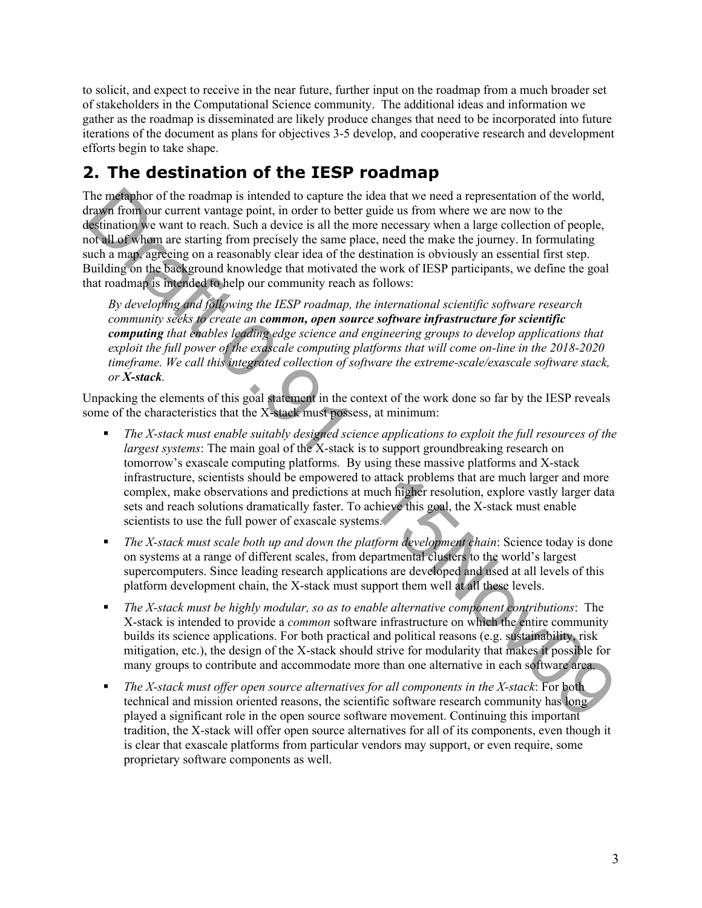to solicit, and expect to receive in the near future, further input on the roadmap from a much broader set of stakeholders in the Computational Science community. The additional ideas and information we gather as the roadmap is disseminated are likely produce changes that need to be incorporated into future iterations of the document as plans for objectives 3-5 develop, and cooperative research and development efforts begin to take shape.

# **2. The destination of the IESP roadmap**

The metaphor of the roadmap is intended to capture the idea that we need a representation of the world, drawn from our current vantage point, in order to better guide us from where we are now to the destination we want to reach. Such a device is all the more necessary when a large collection of people, not all of whom are starting from precisely the same place, need the make the journey. In formulating such a map, agreeing on a reasonably clear idea of the destination is obviously an essential first step. Building on the background knowledge that motivated the work of IESP participants, we define the goal that roadmap is intended to help our community reach as follows: The method of the roading is interded to capture the idea that we need a representation of the world,<br>
the method of the column is interded to capture the idea that we need a representation of the world,<br> **Example 10.** Th

*By developing and following the IESP roadmap, the international scientific software research community seeks to create an common, open source software infrastructure for scientific computing that enables leading edge science and engineering groups to develop applications that exploit the full power of the exascale computing platforms that will come on-line in the 2018-2020 timeframe. We call this integrated collection of software the extreme-scale/exascale software stack, or X-stack.* 

Unpacking the elements of this goal statement in the context of the work done so far by the IESP reveals some of the characteristics that the X-stack must possess, at minimum:

- *The X-stack must enable suitably designed science applications to exploit the full resources of the largest systems*: The main goal of the X-stack is to support groundbreaking research on tomorrow's exascale computing platforms. By using these massive platforms and X-stack infrastructure, scientists should be empowered to attack problems that are much larger and more complex, make observations and predictions at much higher resolution, explore vastly larger data sets and reach solutions dramatically faster. To achieve this goal, the X-stack must enable scientists to use the full power of exascale systems.
- *The X-stack must scale both up and down the platform development chain*: Science today is done on systems at a range of different scales, from departmental clusters to the world's largest supercomputers. Since leading research applications are developed and used at all levels of this platform development chain, the X-stack must support them well at all these levels.
- *The X-stack must be highly modular, so as to enable alternative component contributions*: The X-stack is intended to provide a *common* software infrastructure on which the entire community builds its science applications. For both practical and political reasons (e.g. sustainability, risk mitigation, etc.), the design of the X-stack should strive for modularity that makes it possible for many groups to contribute and accommodate more than one alternative in each software area.
- *The X-stack must offer open source alternatives for all components in the X-stack*: For both technical and mission oriented reasons, the scientific software research community has long played a significant role in the open source software movement. Continuing this important tradition, the X-stack will offer open source alternatives for all of its components, even though it is clear that exascale platforms from particular vendors may support, or even require, some proprietary software components as well.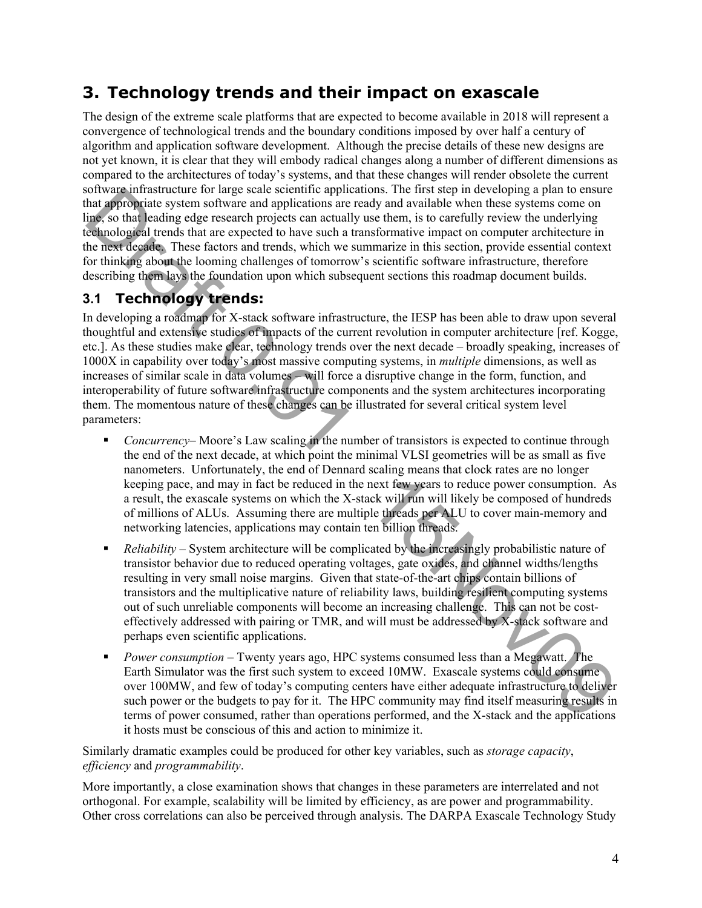# **3. Technology trends and their impact on exascale**

The design of the extreme scale platforms that are expected to become available in 2018 will represent a convergence of technological trends and the boundary conditions imposed by over half a century of algorithm and application software development. Although the precise details of these new designs are not yet known, it is clear that they will embody radical changes along a number of different dimensions as compared to the architectures of today's systems, and that these changes will render obsolete the current software infrastructure for large scale scientific applications. The first step in developing a plan to ensure that appropriate system software and applications are ready and available when these systems come on line, so that leading edge research projects can actually use them, is to carefully review the underlying technological trends that are expected to have such a transformative impact on computer architecture in the next decade. These factors and trends, which we summarize in this section, provide essential context for thinking about the looming challenges of tomorrow's scientific software infrastructure, therefore describing them lays the foundation upon which subsequent sections this roadmap document builds.

# **3.1 Technology trends:**

In developing a roadmap for X-stack software infrastructure, the IESP has been able to draw upon several thoughtful and extensive studies of impacts of the current revolution in computer architecture [ref. Kogge, etc.]. As these studies make clear, technology trends over the next decade – broadly speaking, increases of 1000X in capability over today's most massive computing systems, in *multiple* dimensions, as well as increases of similar scale in data volumes – will force a disruptive change in the form, function, and interoperability of future software infrastructure components and the system architectures incorporating them. The momentous nature of these changes can be illustrated for several critical system level parameters: oroway intraction to range sease societies to may is seep in eaction the state of the state of the society and to state the society of the society of the society of the society of the society of the society of the society

- *Concurrency* Moore's Law scaling in the number of transistors is expected to continue through the end of the next decade, at which point the minimal VLSI geometries will be as small as five nanometers. Unfortunately, the end of Dennard scaling means that clock rates are no longer keeping pace, and may in fact be reduced in the next few years to reduce power consumption. As a result, the exascale systems on which the X-stack will run will likely be composed of hundreds of millions of ALUs. Assuming there are multiple threads per ALU to cover main-memory and networking latencies, applications may contain ten billion threads.
- **Reliability** System architecture will be complicated by the increasingly probabilistic nature of transistor behavior due to reduced operating voltages, gate oxides, and channel widths/lengths resulting in very small noise margins. Given that state-of-the-art chips contain billions of transistors and the multiplicative nature of reliability laws, building resilient computing systems out of such unreliable components will become an increasing challenge. This can not be costeffectively addressed with pairing or TMR, and will must be addressed by X-stack software and perhaps even scientific applications.
- *Power consumption*  Twenty years ago, HPC systems consumed less than a Megawatt. The Earth Simulator was the first such system to exceed 10MW. Exascale systems could consume over 100MW, and few of today's computing centers have either adequate infrastructure to deliver such power or the budgets to pay for it. The HPC community may find itself measuring results in terms of power consumed, rather than operations performed, and the X-stack and the applications it hosts must be conscious of this and action to minimize it.

Similarly dramatic examples could be produced for other key variables, such as *storage capacity*, *efficiency* and *programmability*.

More importantly, a close examination shows that changes in these parameters are interrelated and not orthogonal. For example, scalability will be limited by efficiency, as are power and programmability. Other cross correlations can also be perceived through analysis. The DARPA Exascale Technology Study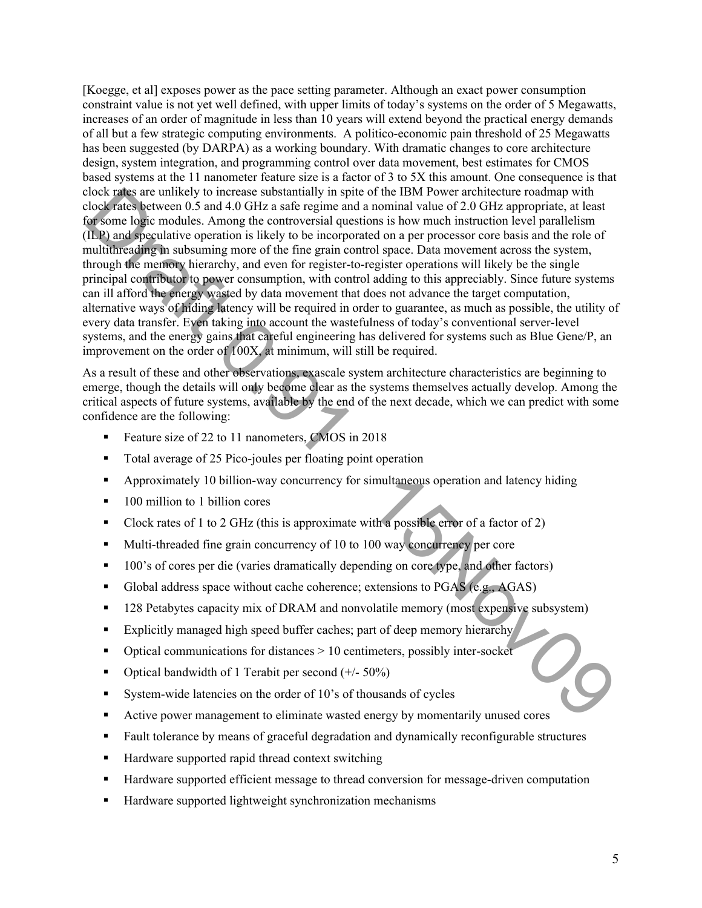[Koegge, et al] exposes power as the pace setting parameter. Although an exact power consumption constraint value is not yet well defined, with upper limits of today's systems on the order of 5 Megawatts, increases of an order of magnitude in less than 10 years will extend beyond the practical energy demands of all but a few strategic computing environments. A politico-economic pain threshold of 25 Megawatts has been suggested (by DARPA) as a working boundary. With dramatic changes to core architecture design, system integration, and programming control over data movement, best estimates for CMOS based systems at the 11 nanometer feature size is a factor of 3 to 5X this amount. One consequence is that clock rates are unlikely to increase substantially in spite of the IBM Power architecture roadmap with clock rates between 0.5 and 4.0 GHz a safe regime and a nominal value of 2.0 GHz appropriate, at least for some logic modules. Among the controversial questions is how much instruction level parallelism (ILP) and speculative operation is likely to be incorporated on a per processor core basis and the role of multithreading in subsuming more of the fine grain control space. Data movement across the system, through the memory hierarchy, and even for register-to-register operations will likely be the single principal contributor to power consumption, with control adding to this appreciably. Since future systems can ill afford the energy wasted by data movement that does not advance the target computation, alternative ways of hiding latency will be required in order to guarantee, as much as possible, the utility of every data transfer. Even taking into account the wastefulness of today's conventional server-level systems, and the energy gains that careful engineering has delivered for systems such as Blue Gene/P, an improvement on the order of 100X, at minimum, will still be required. clock rates are unlikely to invense substantially in spite of the IBM Power architecture coadring with<br>clock rates between 0.5 and 4.0 GHz and regime and a nominal value of 2.0 GHz appropriate, at least<br>1.9 and speculative

As a result of these and other observations, exascale system architecture characteristics are beginning to emerge, though the details will only become clear as the systems themselves actually develop. Among the critical aspects of future systems, available by the end of the next decade, which we can predict with some confidence are the following:

- Feature size of 22 to 11 nanometers, CMOS in 2018
- Total average of 25 Pico-joules per floating point operation
- Approximately 10 billion-way concurrency for simultaneous operation and latency hiding
- 100 million to 1 billion cores
- Clock rates of 1 to 2 GHz (this is approximate with a possible error of a factor of 2)
- Multi-threaded fine grain concurrency of 10 to 100 way concurrency per core
- <sup>1</sup> 100's of cores per die (varies dramatically depending on core type, and other factors)
- Global address space without cache coherence; extensions to  $PGAS$  (e.g.,  $AGAS$ )
- 128 Petabytes capacity mix of DRAM and nonvolatile memory (most expensive subsystem)
- Explicitly managed high speed buffer caches; part of deep memory hierarchy
- Optical communications for distances  $> 10$  centimeters, possibly inter-socket
- Optical bandwidth of 1 Terabit per second  $(+/- 50\%)$
- System-wide latencies on the order of 10's of thousands of cycles
- Active power management to eliminate wasted energy by momentarily unused cores
- **Fault tolerance by means of graceful degradation and dynamically reconfigurable structures**
- Hardware supported rapid thread context switching
- Hardware supported efficient message to thread conversion for message-driven computation
- **Hardware supported lightweight synchronization mechanisms**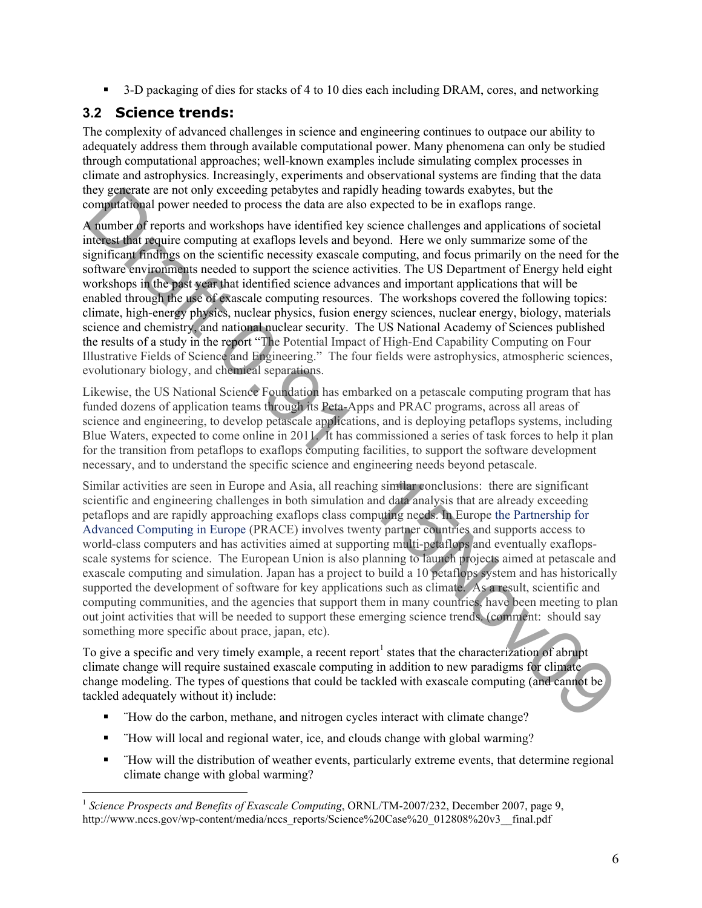3-D packaging of dies for stacks of 4 to 10 dies each including DRAM, cores, and networking

# **3.2 Science trends:**

The complexity of advanced challenges in science and engineering continues to outpace our ability to adequately address them through available computational power. Many phenomena can only be studied through computational approaches; well-known examples include simulating complex processes in climate and astrophysics. Increasingly, experiments and observational systems are finding that the data they generate are not only exceeding petabytes and rapidly heading towards exabytes, but the computational power needed to process the data are also expected to be in exaflops range.

A number of reports and workshops have identified key science challenges and applications of societal interest that require computing at exaflops levels and beyond. Here we only summarize some of the significant findings on the scientific necessity exascale computing, and focus primarily on the need for the software environments needed to support the science activities. The US Department of Energy held eight workshops in the past year that identified science advances and important applications that will be enabled through the use of exascale computing resources. The workshops covered the following topics: climate, high-energy physics, nuclear physics, fusion energy sciences, nuclear energy, biology, materials science and chemistry, and national nuclear security. The US National Academy of Sciences published the results of a study in the report "The Potential Impact of High-End Capability Computing on Four Illustrative Fields of Science and Engineering." The four fields were astrophysics, atmospheric sciences, evolutionary biology, and chemical separations. hey generate are not only recected to connect the specifical format and the model and the model of the model of the model of the model of the model of the model of the model of the model of the model of the model of the mo

Likewise, the US National Science Foundation has embarked on a petascale computing program that has funded dozens of application teams through its Peta-Apps and PRAC programs, across all areas of science and engineering, to develop petascale applications, and is deploying petaflops systems, including Blue Waters, expected to come online in 2011. It has commissioned a series of task forces to help it plan for the transition from petaflops to exaflops computing facilities, to support the software development necessary, and to understand the specific science and engineering needs beyond petascale.

Similar activities are seen in Europe and Asia, all reaching similar conclusions: there are significant scientific and engineering challenges in both simulation and data analysis that are already exceeding petaflops and are rapidly approaching exaflops class computing needs. In Europe the Partnership for Advanced Computing in Europe (PRACE) involves twenty partner countries and supports access to world-class computers and has activities aimed at supporting multi-petaflops and eventually exaflopsscale systems for science. The European Union is also planning to launch projects aimed at petascale and exascale computing and simulation. Japan has a project to build a 10 petaflops system and has historically supported the development of software for key applications such as climate. As a result, scientific and computing communities, and the agencies that support them in many countries, have been meeting to plan out joint activities that will be needed to support these emerging science trends. (comment: should say something more specific about prace, japan, etc).

To give a specific and very timely example, a recent report<sup>1</sup> states that the characterization of abrupt climate change will require sustained exascale computing in addition to new paradigms for climate change modeling. The types of questions that could be tackled with exascale computing (and cannot be tackled adequately without it) include:

- ¨How do the carbon, methane, and nitrogen cycles interact with climate change?
- Thow will local and regional water, ice, and clouds change with global warming?
- ¨How will the distribution of weather events, particularly extreme events, that determine regional climate change with global warming?

 <sup>1</sup> *Science Prospects and Benefits of Exascale Computing*, ORNL/TM-2007/232, December 2007, page 9, http://www.nccs.gov/wp-content/media/nccs\_reports/Science%20Case%20\_012808%20v3\_\_final.pdf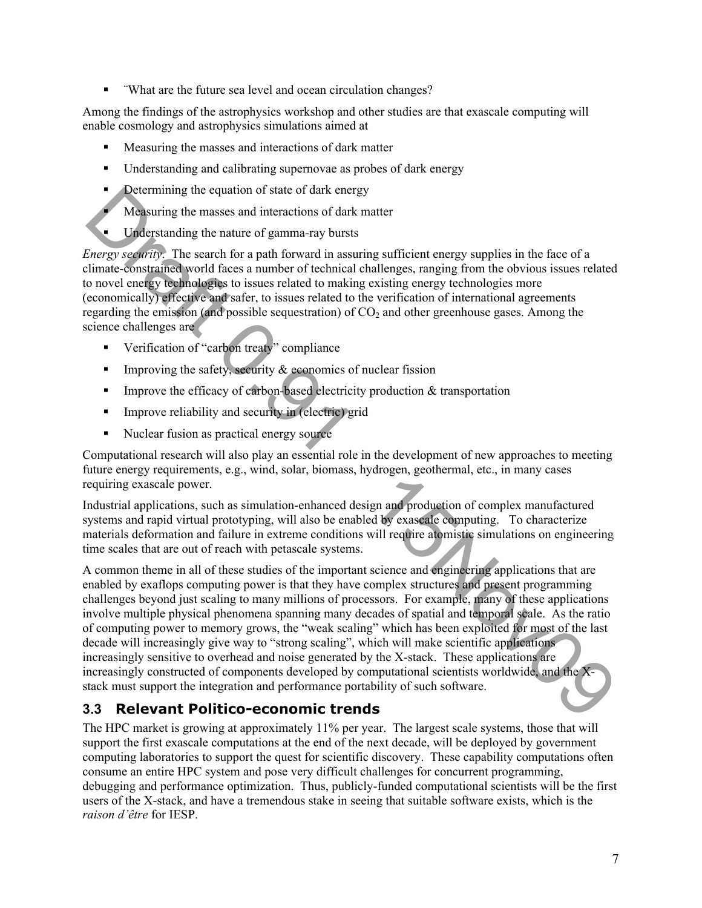■ ∵What are the future sea level and ocean circulation changes?

Among the findings of the astrophysics workshop and other studies are that exascale computing will enable cosmology and astrophysics simulations aimed at

- Measuring the masses and interactions of dark matter
- Understanding and calibrating supernovae as probes of dark energy
- Determining the equation of state of dark energy
	- Measuring the masses and interactions of dark matter
- Understanding the nature of gamma-ray bursts

*Energy security*. The search for a path forward in assuring sufficient energy supplies in the face of a climate-constrained world faces a number of technical challenges, ranging from the obvious issues related to novel energy technologies to issues related to making existing energy technologies more (economically) effective and safer, to issues related to the verification of international agreements regarding the emission (and possible sequestration) of  $CO<sub>2</sub>$  and other greenhouse gases. Among the science challenges are

- verification of "carbon treaty" compliance
- Improving the safety, security  $\&$  economics of nuclear fission
- Improve the efficacy of carbon-based electricity production  $\&$  transportation
- **Improve reliability and security in (electric) grid**
- Nuclear fusion as practical energy source

Computational research will also play an essential role in the development of new approaches to meeting future energy requirements, e.g., wind, solar, biomass, hydrogen, geothermal, etc., in many cases requiring exascale power.

Industrial applications, such as simulation-enhanced design and production of complex manufactured systems and rapid virtual prototyping, will also be enabled by exascale computing. To characterize materials deformation and failure in extreme conditions will require atomistic simulations on engineering time scales that are out of reach with petascale systems.

A common theme in all of these studies of the important science and engineering applications that are enabled by exaflops computing power is that they have complex structures and present programming challenges beyond just scaling to many millions of processors. For example, many of these applications involve multiple physical phenomena spanning many decades of spatial and temporal scale. As the ratio of computing power to memory grows, the "weak scaling" which has been exploited for most of the last decade will increasingly give way to "strong scaling", which will make scientific applications increasingly sensitive to overhead and noise generated by the X-stack. These applications are increasingly constructed of components developed by computational scientists worldwide, and the Xstack must support the integration and performance portability of such software. Determining the equation of state of dark energy<br>
Meksiming the parasses and interactions of dark matter<br>
Understanding the nature of gamma-ray bursts<br>
There were the rapid forward in assuming sufficient energy supplies in

### **3.3 Relevant Politico-economic trends**

The HPC market is growing at approximately 11% per year. The largest scale systems, those that will support the first exascale computations at the end of the next decade, will be deployed by government computing laboratories to support the quest for scientific discovery. These capability computations often consume an entire HPC system and pose very difficult challenges for concurrent programming, debugging and performance optimization. Thus, publicly-funded computational scientists will be the first users of the X-stack, and have a tremendous stake in seeing that suitable software exists, which is the *raison d'être* for IESP.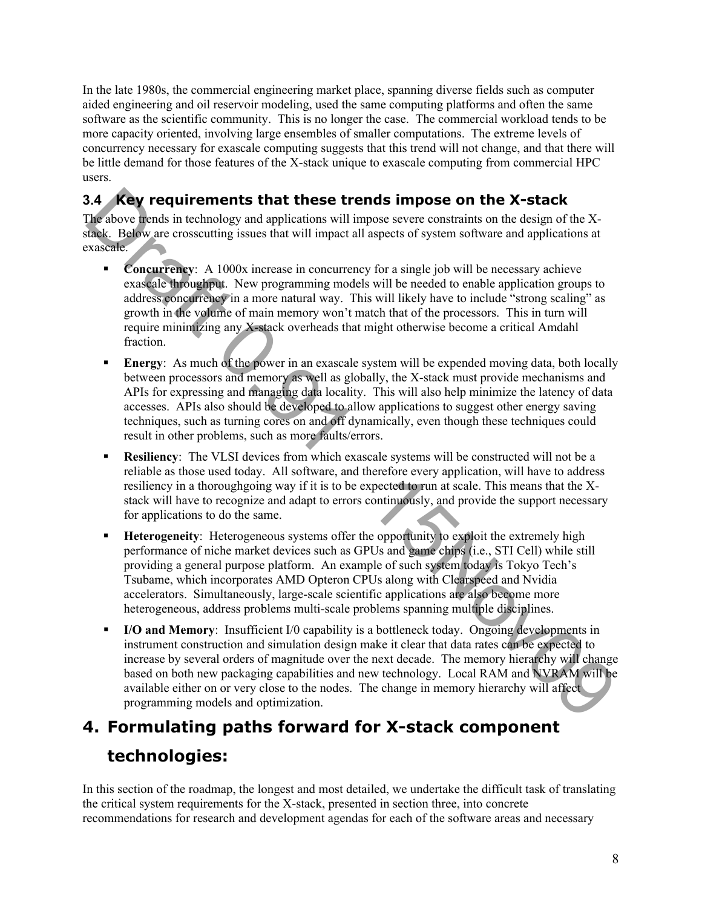In the late 1980s, the commercial engineering market place, spanning diverse fields such as computer aided engineering and oil reservoir modeling, used the same computing platforms and often the same software as the scientific community. This is no longer the case. The commercial workload tends to be more capacity oriented, involving large ensembles of smaller computations. The extreme levels of concurrency necessary for exascale computing suggests that this trend will not change, and that there will be little demand for those features of the X-stack unique to exascale computing from commercial HPC users.

# **3.4 Key requirements that these trends impose on the X-stack**

The above trends in technology and applications will impose severe constraints on the design of the Xstack. Below are crosscutting issues that will impact all aspects of system software and applications at exascale.

- **Concurrency**: A 1000x increase in concurrency for a single job will be necessary achieve exascale throughput. New programming models will be needed to enable application groups to address concurrency in a more natural way. This will likely have to include "strong scaling" as growth in the volume of main memory won't match that of the processors. This in turn will require minimizing any X-stack overheads that might otherwise become a critical Amdahl fraction.
- **Energy**: As much of the power in an exascale system will be expended moving data, both locally between processors and memory as well as globally, the X-stack must provide mechanisms and APIs for expressing and managing data locality. This will also help minimize the latency of data accesses. APIs also should be developed to allow applications to suggest other energy saving techniques, such as turning cores on and off dynamically, even though these techniques could result in other problems, such as more faults/errors.
- **Resiliency**: The VLSI devices from which exascale systems will be constructed will not be a reliable as those used today. All software, and therefore every application, will have to address resiliency in a thoroughgoing way if it is to be expected to run at scale. This means that the Xstack will have to recognize and adapt to errors continuously, and provide the support necessary for applications to do the same.
- **Heterogeneity**: Heterogeneous systems offer the opportunity to exploit the extremely high performance of niche market devices such as GPUs and game chips (i.e., STI Cell) while still providing a general purpose platform. An example of such system today is Tokyo Tech's Tsubame, which incorporates AMD Opteron CPUs along with Clearspeed and Nvidia accelerators. Simultaneously, large-scale scientific applications are also become more heterogeneous, address problems multi-scale problems spanning multiple disciplines.
- **I/O and Memory**: Insufficient I/0 capability is a bottleneck today. Ongoing developments in instrument construction and simulation design make it clear that data rates can be expected to increase by several orders of magnitude over the next decade. The memory hierarchy will change based on both new packaging capabilities and new technology. Local RAM and NVRAM will be available either on or very close to the nodes. The change in memory hierarchy will affect programming models and optimization. 3.4 **Aley requirements that these trends impose on the X-stack<br>
Drabtow fends in technology and applications will myone severe constraints on the design of the X-<br>
The Robins of the cost of the state of the S-<br>
The Robins**

# **4. Formulating paths forward for X-stack component technologies:**

In this section of the roadmap, the longest and most detailed, we undertake the difficult task of translating the critical system requirements for the X-stack, presented in section three, into concrete recommendations for research and development agendas for each of the software areas and necessary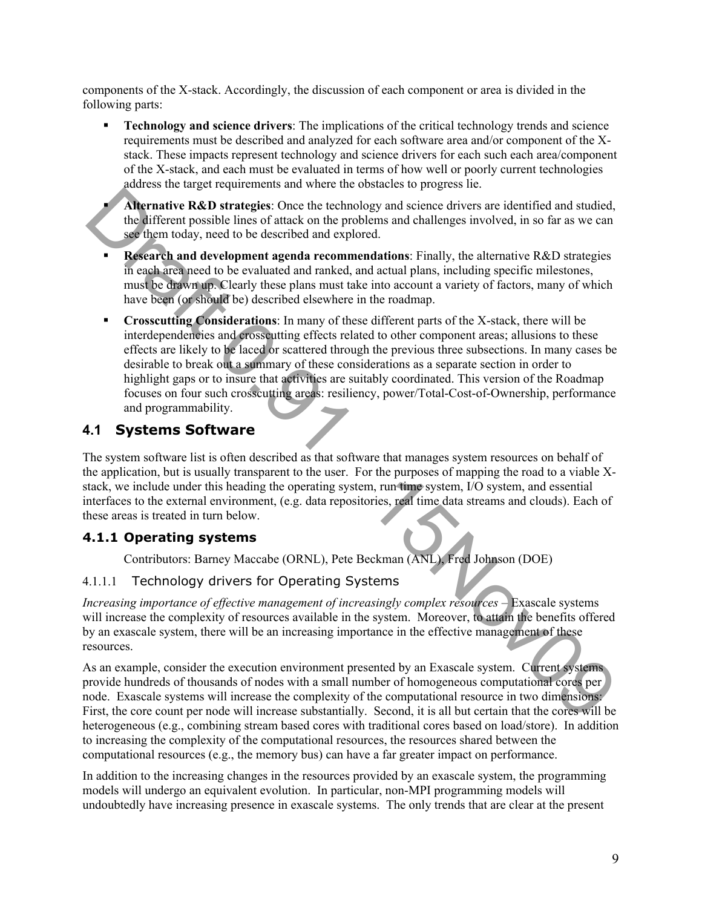components of the X-stack. Accordingly, the discussion of each component or area is divided in the following parts:

- **Technology and science drivers**: The implications of the critical technology trends and science requirements must be described and analyzed for each software area and/or component of the Xstack. These impacts represent technology and science drivers for each such each area/component of the X-stack, and each must be evaluated in terms of how well or poorly current technologies address the target requirements and where the obstacles to progress lie.
- **Alternative R&D strategies**: Once the technology and science drivers are identified and studied, the different possible lines of attack on the problems and challenges involved, in so far as we can see them today, need to be described and explored.
- **Research and development agenda recommendations**: Finally, the alternative R&D strategies in each area need to be evaluated and ranked, and actual plans, including specific milestones, must be drawn up. Clearly these plans must take into account a variety of factors, many of which have been (or should be) described elsewhere in the roadmap.
- **Crosscutting Considerations**: In many of these different parts of the X-stack, there will be interdependencies and crosscutting effects related to other component areas; allusions to these effects are likely to be laced or scattered through the previous three subsections. In many cases be desirable to break out a summary of these considerations as a separate section in order to highlight gaps or to insure that activities are suitably coordinated. This version of the Roadmap focuses on four such crosscutting areas: resiliency, power/Total-Cost-of-Ownership, performance and programmability. **Alternative R&D strategies:** Once the technology and science directs are identified and studied, the filtercni possible lines of attack on the problems and challenges involved, in so far as we can be effected and developm

### **4.1 Systems Software**

The system software list is often described as that software that manages system resources on behalf of the application, but is usually transparent to the user. For the purposes of mapping the road to a viable Xstack, we include under this heading the operating system, run time system, I/O system, and essential interfaces to the external environment, (e.g. data repositories, real time data streams and clouds). Each of these areas is treated in turn below.

### **4.1.1 Operating systems**

Contributors: Barney Maccabe (ORNL), Pete Beckman (ANL), Fred Johnson (DOE)

#### 4.1.1.1 Technology drivers for Operating Systems

*Increasing importance of effective management of increasingly complex resources* – Exascale systems will increase the complexity of resources available in the system. Moreover, to attain the benefits offered by an exascale system, there will be an increasing importance in the effective management of these resources.

As an example, consider the execution environment presented by an Exascale system. Current systems provide hundreds of thousands of nodes with a small number of homogeneous computational cores per node. Exascale systems will increase the complexity of the computational resource in two dimensions: First, the core count per node will increase substantially. Second, it is all but certain that the cores will be heterogeneous (e.g., combining stream based cores with traditional cores based on load/store). In addition to increasing the complexity of the computational resources, the resources shared between the computational resources (e.g., the memory bus) can have a far greater impact on performance.

In addition to the increasing changes in the resources provided by an exascale system, the programming models will undergo an equivalent evolution. In particular, non-MPI programming models will undoubtedly have increasing presence in exascale systems. The only trends that are clear at the present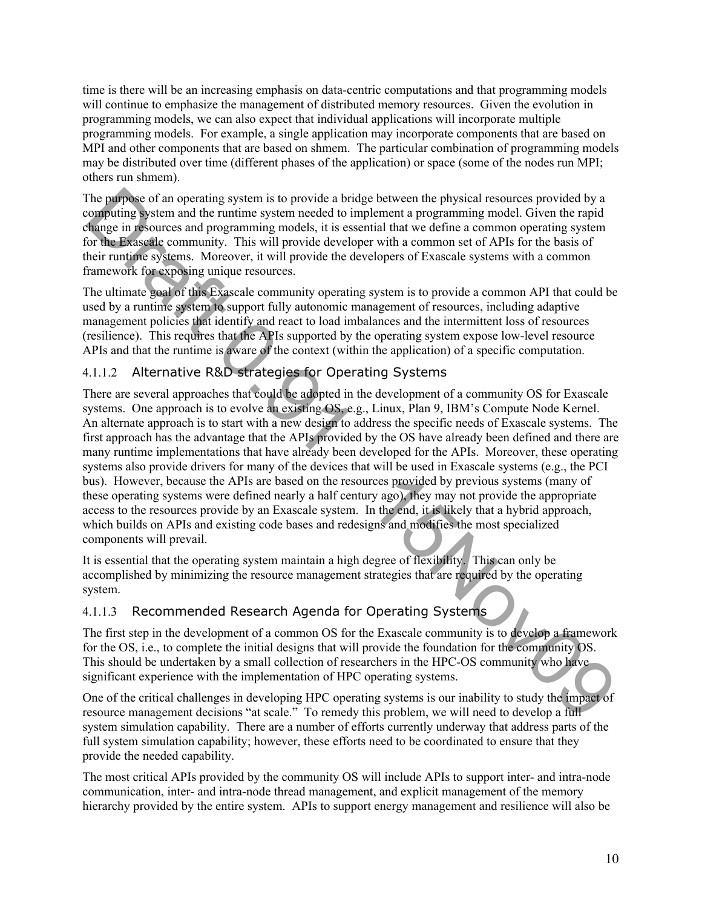time is there will be an increasing emphasis on data-centric computations and that programming models will continue to emphasize the management of distributed memory resources. Given the evolution in programming models, we can also expect that individual applications will incorporate multiple programming models. For example, a single application may incorporate components that are based on MPI and other components that are based on shmem. The particular combination of programming models may be distributed over time (different phases of the application) or space (some of the nodes run MPI; others run shmem).

The purpose of an operating system is to provide a bridge between the physical resources provided by a computing system and the runtime system needed to implement a programming model. Given the rapid change in resources and programming models, it is essential that we define a common operating system for the Exascale community. This will provide developer with a common set of APIs for the basis of their runtime systems. Moreover, it will provide the developers of Exascale systems with a common framework for exposing unique resources.

The ultimate goal of this Exascale community operating system is to provide a common API that could be used by a runtime system to support fully autonomic management of resources, including adaptive management policies that identify and react to load imbalances and the intermittent loss of resources (resilience). This requires that the APIs supported by the operating system expose low-level resource APIs and that the runtime is aware of the context (within the application) of a specific computation.

# 4.1.1.2 Alternative R&D strategies for Operating Systems

There are several approaches that could be adopted in the development of a community OS for Exascale systems. One approach is to evolve an existing OS, e.g., Linux, Plan 9, IBM's Compute Node Kernel. An alternate approach is to start with a new design to address the specific needs of Exascale systems. The first approach has the advantage that the APIs provided by the OS have already been defined and there are many runtime implementations that have already been developed for the APIs. Moreover, these operating systems also provide drivers for many of the devices that will be used in Exascale systems (e.g., the PCI bus). However, because the APIs are based on the resources provided by previous systems (many of these operating systems were defined nearly a half century ago), they may not provide the appropriate access to the resources provide by an Exascale system. In the end, it is likely that a hybrid approach, which builds on APIs and existing code bases and redesigns and modifies the most specialized components will prevail. The purite of an operating system is to provide a bridge between the physical resources provide by a more than the paramonic means the more of APIs for the EPAC comparison and the more of the more of the more of the more o

It is essential that the operating system maintain a high degree of flexibility. This can only be accomplished by minimizing the resource management strategies that are required by the operating system.

### 4.1.1.3 Recommended Research Agenda for Operating Systems

The first step in the development of a common OS for the Exascale community is to develop a framework for the OS, i.e., to complete the initial designs that will provide the foundation for the community OS. This should be undertaken by a small collection of researchers in the HPC-OS community who have significant experience with the implementation of HPC operating systems.

One of the critical challenges in developing HPC operating systems is our inability to study the impact of resource management decisions "at scale." To remedy this problem, we will need to develop a full system simulation capability. There are a number of efforts currently underway that address parts of the full system simulation capability; however, these efforts need to be coordinated to ensure that they provide the needed capability.

The most critical APIs provided by the community OS will include APIs to support inter- and intra-node communication, inter- and intra-node thread management, and explicit management of the memory hierarchy provided by the entire system. APIs to support energy management and resilience will also be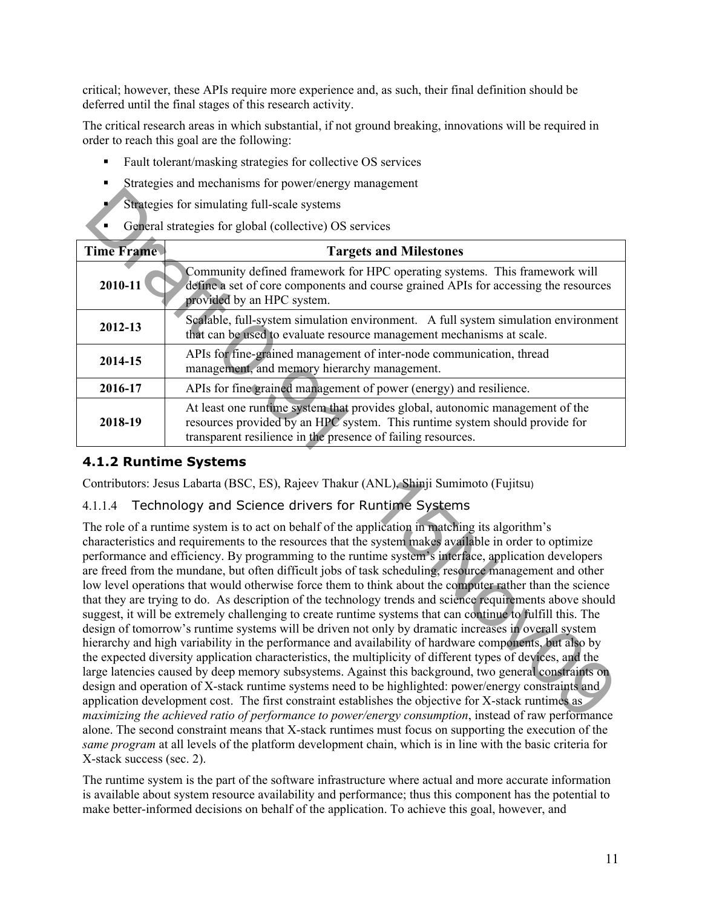critical; however, these APIs require more experience and, as such, their final definition should be deferred until the final stages of this research activity.

The critical research areas in which substantial, if not ground breaking, innovations will be required in order to reach this goal are the following:

- Fault tolerant/masking strategies for collective OS services
- Strategies and mechanisms for power/energy management
- Strategies for simulating full-scale systems
- General strategies for global (collective) OS services

| Strategies for simulating full-scale systems                                                                                                                                                                                                                                                                                                                                                                                                                                                                                                                                                                                                                                                                                                                                                                                                                                                                                                                                                                                                                                                                                                                                                                                                                                                                                                                                                                                                                                                                                                |                                                                                                                                                                                                                              |  |
|---------------------------------------------------------------------------------------------------------------------------------------------------------------------------------------------------------------------------------------------------------------------------------------------------------------------------------------------------------------------------------------------------------------------------------------------------------------------------------------------------------------------------------------------------------------------------------------------------------------------------------------------------------------------------------------------------------------------------------------------------------------------------------------------------------------------------------------------------------------------------------------------------------------------------------------------------------------------------------------------------------------------------------------------------------------------------------------------------------------------------------------------------------------------------------------------------------------------------------------------------------------------------------------------------------------------------------------------------------------------------------------------------------------------------------------------------------------------------------------------------------------------------------------------|------------------------------------------------------------------------------------------------------------------------------------------------------------------------------------------------------------------------------|--|
| ٠                                                                                                                                                                                                                                                                                                                                                                                                                                                                                                                                                                                                                                                                                                                                                                                                                                                                                                                                                                                                                                                                                                                                                                                                                                                                                                                                                                                                                                                                                                                                           | General strategies for global (collective) OS services                                                                                                                                                                       |  |
| <b>Time Frame</b>                                                                                                                                                                                                                                                                                                                                                                                                                                                                                                                                                                                                                                                                                                                                                                                                                                                                                                                                                                                                                                                                                                                                                                                                                                                                                                                                                                                                                                                                                                                           | <b>Targets and Milestones</b>                                                                                                                                                                                                |  |
| 2010-11                                                                                                                                                                                                                                                                                                                                                                                                                                                                                                                                                                                                                                                                                                                                                                                                                                                                                                                                                                                                                                                                                                                                                                                                                                                                                                                                                                                                                                                                                                                                     | Community defined framework for HPC operating systems. This framework will<br>define a set of core components and course grained APIs for accessing the resources<br>provided by an HPC system.                              |  |
| 2012-13                                                                                                                                                                                                                                                                                                                                                                                                                                                                                                                                                                                                                                                                                                                                                                                                                                                                                                                                                                                                                                                                                                                                                                                                                                                                                                                                                                                                                                                                                                                                     | Scalable, full-system simulation environment. A full system simulation environment<br>that can be used to evaluate resource management mechanisms at scale.                                                                  |  |
| 2014-15                                                                                                                                                                                                                                                                                                                                                                                                                                                                                                                                                                                                                                                                                                                                                                                                                                                                                                                                                                                                                                                                                                                                                                                                                                                                                                                                                                                                                                                                                                                                     | APIs for fine-grained management of inter-node communication, thread<br>management, and memory hierarchy management.                                                                                                         |  |
| 2016-17                                                                                                                                                                                                                                                                                                                                                                                                                                                                                                                                                                                                                                                                                                                                                                                                                                                                                                                                                                                                                                                                                                                                                                                                                                                                                                                                                                                                                                                                                                                                     | APIs for fine grained management of power (energy) and resilience.                                                                                                                                                           |  |
| 2018-19                                                                                                                                                                                                                                                                                                                                                                                                                                                                                                                                                                                                                                                                                                                                                                                                                                                                                                                                                                                                                                                                                                                                                                                                                                                                                                                                                                                                                                                                                                                                     | At least one runtime system that provides global, autonomic management of the<br>resources provided by an HPC system. This runtime system should provide for<br>transparent resilience in the presence of failing resources. |  |
| 4.1.2 Runtime Systems                                                                                                                                                                                                                                                                                                                                                                                                                                                                                                                                                                                                                                                                                                                                                                                                                                                                                                                                                                                                                                                                                                                                                                                                                                                                                                                                                                                                                                                                                                                       |                                                                                                                                                                                                                              |  |
| Contributors: Jesus Labarta (BSC, ES), Rajeev Thakur (ANL), Shinji Sumimoto (Fujitsu)                                                                                                                                                                                                                                                                                                                                                                                                                                                                                                                                                                                                                                                                                                                                                                                                                                                                                                                                                                                                                                                                                                                                                                                                                                                                                                                                                                                                                                                       |                                                                                                                                                                                                                              |  |
| 4.1.1.4                                                                                                                                                                                                                                                                                                                                                                                                                                                                                                                                                                                                                                                                                                                                                                                                                                                                                                                                                                                                                                                                                                                                                                                                                                                                                                                                                                                                                                                                                                                                     | Technology and Science drivers for Runtime Systems                                                                                                                                                                           |  |
| The role of a runtime system is to act on behalf of the application in matching its algorithm's<br>characteristics and requirements to the resources that the system makes available in order to optimize<br>performance and efficiency. By programming to the runtime system's interface, application developers<br>are freed from the mundane, but often difficult jobs of task scheduling, resource management and other<br>low level operations that would otherwise force them to think about the computer rather than the science<br>that they are trying to do. As description of the technology trends and science requirements above should<br>suggest, it will be extremely challenging to create runtime systems that can continue to fulfill this. The<br>design of tomorrow's runtime systems will be driven not only by dramatic increases in overall system<br>hierarchy and high variability in the performance and availability of hardware components, but also by<br>the expected diversity application characteristics, the multiplicity of different types of devices, and the<br>large latencies caused by deep memory subsystems. Against this background, two general constraints on<br>design and operation of X-stack runtime systems need to be highlighted: power/energy constraints and<br>application development cost. The first constraint establishes the objective for X-stack runtimes as<br><i>maximizing the achieved ratio of performance to power/energy consumption, instead of raw performance</i> |                                                                                                                                                                                                                              |  |

#### **4.1.2 Runtime Systems**

#### 4.1.1.4 Technology and Science drivers for Runtime Systems

The role of a runtime system is to act on behalf of the application in matching its algorithm's characteristics and requirements to the resources that the system makes available in order to optimize performance and efficiency. By programming to the runtime system's interface, application developers are freed from the mundane, but often difficult jobs of task scheduling, resource management and other low level operations that would otherwise force them to think about the computer rather than the science that they are trying to do. As description of the technology trends and science requirements above should suggest, it will be extremely challenging to create runtime systems that can continue to fulfill this. The design of tomorrow's runtime systems will be driven not only by dramatic increases in overall system hierarchy and high variability in the performance and availability of hardware components, but also by the expected diversity application characteristics, the multiplicity of different types of devices, and the large latencies caused by deep memory subsystems. Against this background, two general constraints on design and operation of X-stack runtime systems need to be highlighted: power/energy constraints and application development cost. The first constraint establishes the objective for X-stack runtimes as *maximizing the achieved ratio of performance to power/energy consumption*, instead of raw performance alone. The second constraint means that X-stack runtimes must focus on supporting the execution of the *same program* at all levels of the platform development chain, which is in line with the basic criteria for X-stack success (sec. 2).

The runtime system is the part of the software infrastructure where actual and more accurate information is available about system resource availability and performance; thus this component has the potential to make better-informed decisions on behalf of the application. To achieve this goal, however, and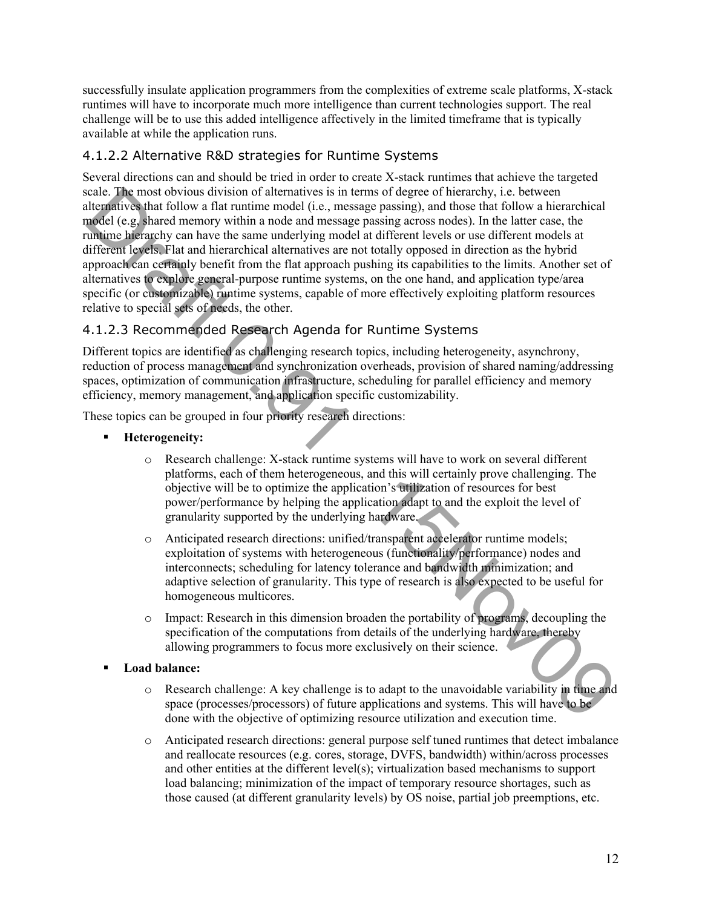successfully insulate application programmers from the complexities of extreme scale platforms, X-stack runtimes will have to incorporate much more intelligence than current technologies support. The real challenge will be to use this added intelligence affectively in the limited timeframe that is typically available at while the application runs.

### 4.1.2.2 Alternative R&D strategies for Runtime Systems

Several directions can and should be tried in order to create X-stack runtimes that achieve the targeted scale. The most obvious division of alternatives is in terms of degree of hierarchy, i.e. between alternatives that follow a flat runtime model (i.e., message passing), and those that follow a hierarchical model (e.g, shared memory within a node and message passing across nodes). In the latter case, the runtime hierarchy can have the same underlying model at different levels or use different models at different levels. Flat and hierarchical alternatives are not totally opposed in direction as the hybrid approach can certainly benefit from the flat approach pushing its capabilities to the limits. Another set of alternatives to explore general-purpose runtime systems, on the one hand, and application type/area specific (or customizable) runtime systems, capable of more effectively exploiting platform resources relative to special sets of needs, the other. cale. The most obvious division of sliteratives is in terms of degree of hierarchy, i.e. between the follow a flarentine product (e.g., since a passing), and those but it of the latter case, the stated mentroy within a nod

# 4.1.2.3 Recommended Research Agenda for Runtime Systems

Different topics are identified as challenging research topics, including heterogeneity, asynchrony, reduction of process management and synchronization overheads, provision of shared naming/addressing spaces, optimization of communication infrastructure, scheduling for parallel efficiency and memory efficiency, memory management, and application specific customizability.

These topics can be grouped in four priority research directions:

- **Heterogeneity:**
	- o Research challenge: X-stack runtime systems will have to work on several different platforms, each of them heterogeneous, and this will certainly prove challenging. The objective will be to optimize the application's utilization of resources for best power/performance by helping the application adapt to and the exploit the level of granularity supported by the underlying hardware.
	- o Anticipated research directions: unified/transparent accelerator runtime models; exploitation of systems with heterogeneous (functionality/performance) nodes and interconnects; scheduling for latency tolerance and bandwidth minimization; and adaptive selection of granularity. This type of research is also expected to be useful for homogeneous multicores.
	- o Impact: Research in this dimension broaden the portability of programs, decoupling the specification of the computations from details of the underlying hardware, thereby allowing programmers to focus more exclusively on their science.
- **Load balance:**
	- o Research challenge: A key challenge is to adapt to the unavoidable variability in time and space (processes/processors) of future applications and systems. This will have to be done with the objective of optimizing resource utilization and execution time.
	- o Anticipated research directions: general purpose self tuned runtimes that detect imbalance and reallocate resources (e.g. cores, storage, DVFS, bandwidth) within/across processes and other entities at the different level(s); virtualization based mechanisms to support load balancing; minimization of the impact of temporary resource shortages, such as those caused (at different granularity levels) by OS noise, partial job preemptions, etc.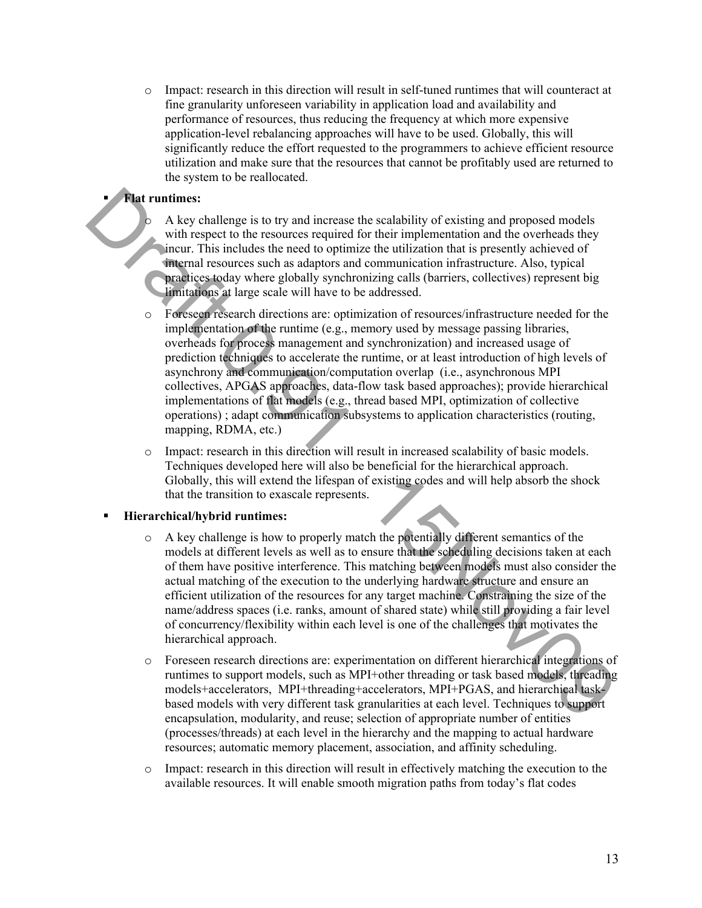o Impact: research in this direction will result in self-tuned runtimes that will counteract at fine granularity unforeseen variability in application load and availability and performance of resources, thus reducing the frequency at which more expensive application-level rebalancing approaches will have to be used. Globally, this will significantly reduce the effort requested to the programmers to achieve efficient resource utilization and make sure that the resources that cannot be profitably used are returned to the system to be reallocated.

#### **Flat runtimes:**

- A key challenge is to try and increase the scalability of existing and proposed models with respect to the resources required for their implementation and the overheads they incur. This includes the need to optimize the utilization that is presently achieved of internal resources such as adaptors and communication infrastructure. Also, typical practices today where globally synchronizing calls (barriers, collectives) represent big limitations at large scale will have to be addressed.
- o Foreseen research directions are: optimization of resources/infrastructure needed for the implementation of the runtime (e.g., memory used by message passing libraries, overheads for process management and synchronization) and increased usage of prediction techniques to accelerate the runtime, or at least introduction of high levels of asynchrony and communication/computation overlap (i.e., asynchronous MPI collectives, APGAS approaches, data-flow task based approaches); provide hierarchical implementations of flat models (e.g., thread based MPI, optimization of collective operations) ; adapt communication subsystems to application characteristics (routing, mapping, RDMA, etc.) **For truntimes:**<br>
A correlation of the probability of existing and proposed models<br>
A key challenge is to try and increase the sealability of existing and proposed models<br>
with respect to the resources required for their i
	- o Impact: research in this direction will result in increased scalability of basic models. Techniques developed here will also be beneficial for the hierarchical approach. Globally, this will extend the lifespan of existing codes and will help absorb the shock that the transition to exascale represents.

#### **Hierarchical/hybrid runtimes:**

- o A key challenge is how to properly match the potentially different semantics of the models at different levels as well as to ensure that the scheduling decisions taken at each of them have positive interference. This matching between models must also consider the actual matching of the execution to the underlying hardware structure and ensure an efficient utilization of the resources for any target machine. Constraining the size of the name/address spaces (i.e. ranks, amount of shared state) while still providing a fair level of concurrency/flexibility within each level is one of the challenges that motivates the hierarchical approach.
- o Foreseen research directions are: experimentation on different hierarchical integrations of runtimes to support models, such as MPI+other threading or task based models, threading models+accelerators, MPI+threading+accelerators, MPI+PGAS, and hierarchical taskbased models with very different task granularities at each level. Techniques to support encapsulation, modularity, and reuse; selection of appropriate number of entities (processes/threads) at each level in the hierarchy and the mapping to actual hardware resources; automatic memory placement, association, and affinity scheduling.
- o Impact: research in this direction will result in effectively matching the execution to the available resources. It will enable smooth migration paths from today's flat codes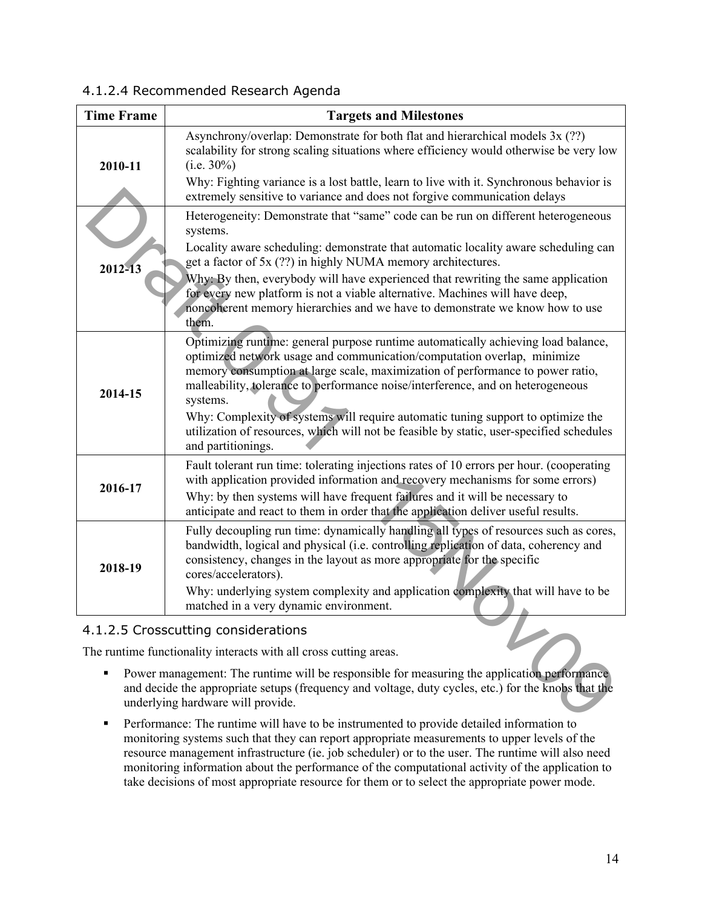| <b>Time Frame</b> | <b>Targets and Milestones</b>                                                                                                                                                                                                                                                                                                                                                                                                                                                                                                                       |
|-------------------|-----------------------------------------------------------------------------------------------------------------------------------------------------------------------------------------------------------------------------------------------------------------------------------------------------------------------------------------------------------------------------------------------------------------------------------------------------------------------------------------------------------------------------------------------------|
| 2010-11           | Asynchrony/overlap: Demonstrate for both flat and hierarchical models 3x (??)<br>scalability for strong scaling situations where efficiency would otherwise be very low<br>$(i.e. 30\%)$<br>Why: Fighting variance is a lost battle, learn to live with it. Synchronous behavior is<br>extremely sensitive to variance and does not forgive communication delays                                                                                                                                                                                    |
| 2012-13           | Heterogeneity: Demonstrate that "same" code can be run on different heterogeneous<br>systems.<br>Locality aware scheduling: demonstrate that automatic locality aware scheduling can<br>get a factor of 5x (??) in highly NUMA memory architectures.<br>Why: By then, everybody will have experienced that rewriting the same application<br>for every new platform is not a viable alternative. Machines will have deep,<br>noncoherent memory hierarchies and we have to demonstrate we know how to use<br>them.                                  |
| 2014-15           | Optimizing runtime: general purpose runtime automatically achieving load balance,<br>optimized network usage and communication/computation overlap, minimize<br>memory consumption at large scale, maximization of performance to power ratio,<br>malleability, tolerance to performance noise/interference, and on heterogeneous<br>systems.<br>Why: Complexity of systems will require automatic tuning support to optimize the<br>utilization of resources, which will not be feasible by static, user-specified schedules<br>and partitionings. |
| 2016-17           | Fault tolerant run time: tolerating injections rates of 10 errors per hour. (cooperating<br>with application provided information and recovery mechanisms for some errors)<br>Why: by then systems will have frequent failures and it will be necessary to<br>anticipate and react to them in order that the application deliver useful results.                                                                                                                                                                                                    |
| 2018-19           | Fully decoupling run time: dynamically handling all types of resources such as cores,<br>bandwidth, logical and physical (i.e. controlling replication of data, coherency and<br>consistency, changes in the layout as more appropriate for the specific<br>cores/accelerators).<br>Why: underlying system complexity and application complexity that will have to be<br>matched in a very dynamic environment.                                                                                                                                     |
|                   | 4.1.2.5 Crosscutting considerations                                                                                                                                                                                                                                                                                                                                                                                                                                                                                                                 |
|                   | The runtime functionality interacts with all cross cutting areas.                                                                                                                                                                                                                                                                                                                                                                                                                                                                                   |
|                   | Power management: The runtime will be responsible for measuring the application performance<br>and decide the appropriate setups (frequency and voltage, duty cycles, etc.) for the knobs that the<br>underlying hardware will provide.                                                                                                                                                                                                                                                                                                             |

#### 4.1.2.4 Recommended Research Agenda

#### 4.1.2.5 Crosscutting considerations

- **Power management:** The runtime will be responsible for measuring the application performance and decide the appropriate setups (frequency and voltage, duty cycles, etc.) for the knobs that the underlying hardware will provide.
- **Performance:** The runtime will have to be instrumented to provide detailed information to monitoring systems such that they can report appropriate measurements to upper levels of the resource management infrastructure (ie. job scheduler) or to the user. The runtime will also need monitoring information about the performance of the computational activity of the application to take decisions of most appropriate resource for them or to select the appropriate power mode.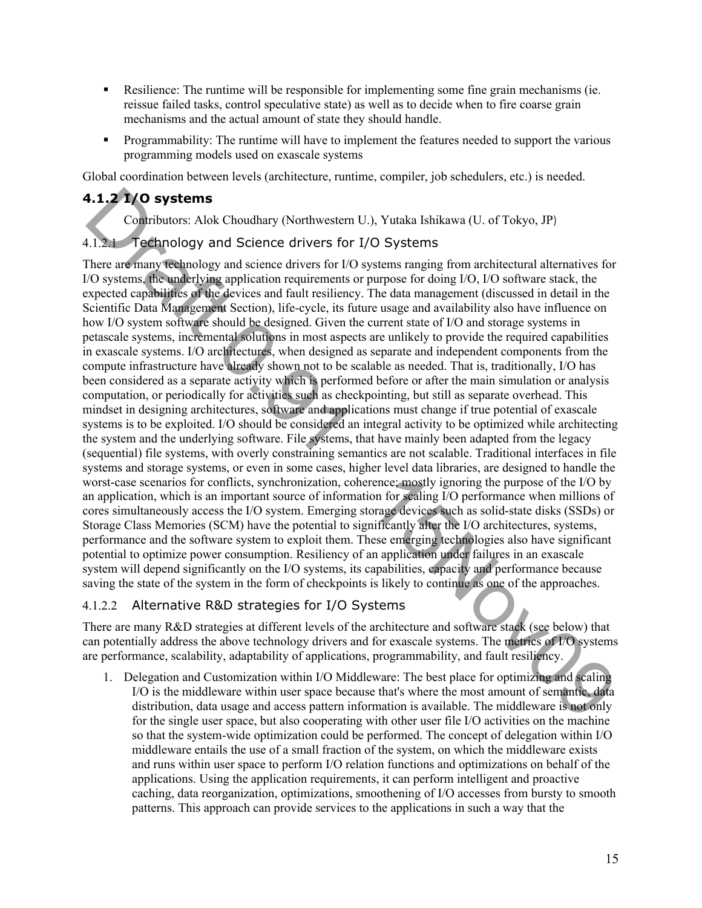- Resilience: The runtime will be responsible for implementing some fine grain mechanisms (ie. reissue failed tasks, control speculative state) as well as to decide when to fire coarse grain mechanisms and the actual amount of state they should handle.
- Programmability: The runtime will have to implement the features needed to support the various programming models used on exascale systems

Global coordination between levels (architecture, runtime, compiler, job schedulers, etc.) is needed.

# **4.1.2 I/O systems**

Contributors: Alok Choudhary (Northwestern U.), Yutaka Ishikawa (U. of Tokyo, JP)

#### 4.1.2.1 Technology and Science drivers for I/O Systems

There are many technology and science drivers for I/O systems ranging from architectural alternatives for I/O systems, the underlying application requirements or purpose for doing I/O, I/O software stack, the expected capabilities of the devices and fault resiliency. The data management (discussed in detail in the Scientific Data Management Section), life-cycle, its future usage and availability also have influence on how I/O system software should be designed. Given the current state of I/O and storage systems in petascale systems, incremental solutions in most aspects are unlikely to provide the required capabilities in exascale systems. I/O architectures, when designed as separate and independent components from the compute infrastructure have already shown not to be scalable as needed. That is, traditionally, I/O has been considered as a separate activity which is performed before or after the main simulation or analysis computation, or periodically for activities such as checkpointing, but still as separate overhead. This mindset in designing architectures, software and applications must change if true potential of exascale systems is to be exploited. I/O should be considered an integral activity to be optimized while architecting the system and the underlying software. File systems, that have mainly been adapted from the legacy (sequential) file systems, with overly constraining semantics are not scalable. Traditional interfaces in file systems and storage systems, or even in some cases, higher level data libraries, are designed to handle the worst-case scenarios for conflicts, synchronization, coherence; mostly ignoring the purpose of the I/O by an application, which is an important source of information for scaling I/O performance when millions of cores simultaneously access the I/O system. Emerging storage devices such as solid-state disks (SSDs) or Storage Class Memories (SCM) have the potential to significantly alter the I/O architectures, systems, performance and the software system to exploit them. These emerging technologies also have significant potential to optimize power consumption. Resiliency of an application under failures in an exascale system will depend significantly on the I/O systems, its capabilities, capacity and performance because saving the state of the system in the form of checkpoints is likely to continue as one of the approaches. **4.1.2 T/O systems**<br>
Contributors: Alok Choudhary (Northwestern U.), Yutaka Ishikawa (U. of Tokyo, JP)<br>
1.1.2. The redemology and Science drivers for I/O systems ranging from architectural alternatives for<br>
There are many

#### 4.1.2.2 Alternative R&D strategies for I/O Systems

There are many R&D strategies at different levels of the architecture and software stack (see below) that can potentially address the above technology drivers and for exascale systems. The metrics of I/O systems are performance, scalability, adaptability of applications, programmability, and fault resiliency.

1. Delegation and Customization within I/O Middleware: The best place for optimizing and scaling I/O is the middleware within user space because that's where the most amount of semantic, data distribution, data usage and access pattern information is available. The middleware is not only for the single user space, but also cooperating with other user file I/O activities on the machine so that the system-wide optimization could be performed. The concept of delegation within I/O middleware entails the use of a small fraction of the system, on which the middleware exists and runs within user space to perform I/O relation functions and optimizations on behalf of the applications. Using the application requirements, it can perform intelligent and proactive caching, data reorganization, optimizations, smoothening of I/O accesses from bursty to smooth patterns. This approach can provide services to the applications in such a way that the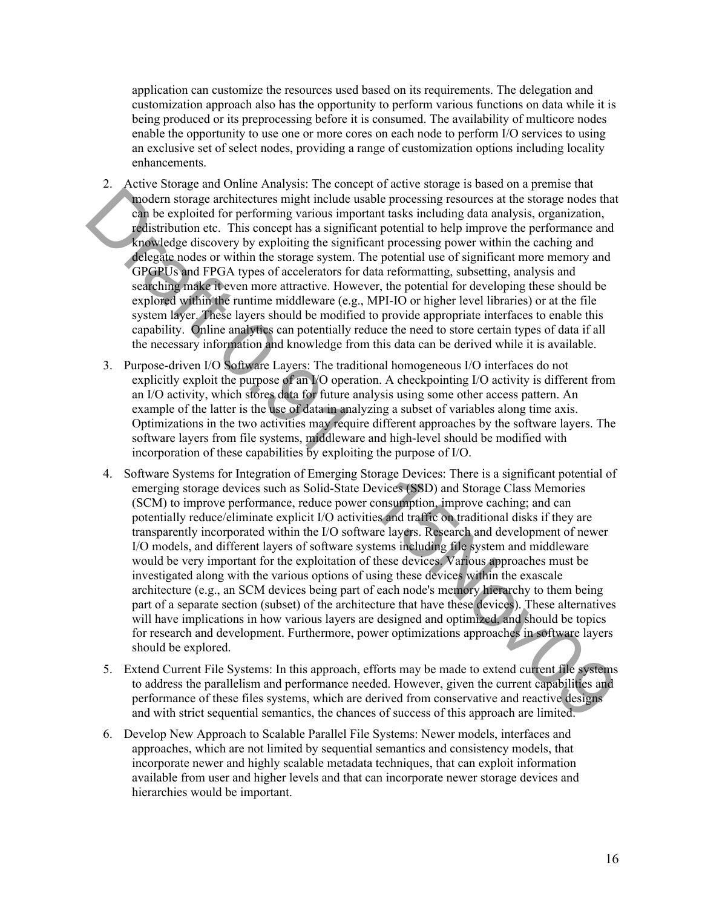application can customize the resources used based on its requirements. The delegation and customization approach also has the opportunity to perform various functions on data while it is being produced or its preprocessing before it is consumed. The availability of multicore nodes enable the opportunity to use one or more cores on each node to perform I/O services to using an exclusive set of select nodes, providing a range of customization options including locality enhancements.

- 2. Active Storage and Online Analysis: The concept of active storage is based on a premise that modern storage architectures might include usable processing resources at the storage nodes that can be exploited for performing various important tasks including data analysis, organization, redistribution etc. This concept has a significant potential to help improve the performance and knowledge discovery by exploiting the significant processing power within the caching and delegate nodes or within the storage system. The potential use of significant more memory and GPGPUs and FPGA types of accelerators for data reformatting, subsetting, analysis and searching make it even more attractive. However, the potential for developing these should be explored within the runtime middleware (e.g., MPI-IO or higher level libraries) or at the file system layer. These layers should be modified to provide appropriate interfaces to enable this capability. Online analytics can potentially reduce the need to store certain types of data if all the necessary information and knowledge from this data can be derived while it is available.
- 3. Purpose-driven I/O Software Layers: The traditional homogeneous I/O interfaces do not explicitly exploit the purpose of an I/O operation. A checkpointing I/O activity is different from an I/O activity, which stores data for future analysis using some other access pattern. An example of the latter is the use of data in analyzing a subset of variables along time axis. Optimizations in the two activities may require different approaches by the software layers. The software layers from file systems, middleware and high-level should be modified with incorporation of these capabilities by exploiting the purpose of I/O.
- 4. Software Systems for Integration of Emerging Storage Devices: There is a significant potential of emerging storage devices such as Solid-State Devices (SSD) and Storage Class Memories (SCM) to improve performance, reduce power consumption, improve caching; and can potentially reduce/eliminate explicit I/O activities and traffic on traditional disks if they are transparently incorporated within the I/O software layers. Research and development of newer I/O models, and different layers of software systems including file system and middleware would be very important for the exploitation of these devices. Various approaches must be investigated along with the various options of using these devices within the exascale architecture (e.g., an SCM devices being part of each node's memory hierarchy to them being part of a separate section (subset) of the architecture that have these devices). These alternatives will have implications in how various layers are designed and optimized, and should be topics for research and development. Furthermore, power optimizations approaches in software layers should be explored. modem storage architectures might include usable processing esonuces at the solving and a chapted that the exploited for performing carries including that are exploited to performance and the exploiting that including the
	- 5. Extend Current File Systems: In this approach, efforts may be made to extend current file systems to address the parallelism and performance needed. However, given the current capabilities and performance of these files systems, which are derived from conservative and reactive designs and with strict sequential semantics, the chances of success of this approach are limited.
	- 6. Develop New Approach to Scalable Parallel File Systems: Newer models, interfaces and approaches, which are not limited by sequential semantics and consistency models, that incorporate newer and highly scalable metadata techniques, that can exploit information available from user and higher levels and that can incorporate newer storage devices and hierarchies would be important.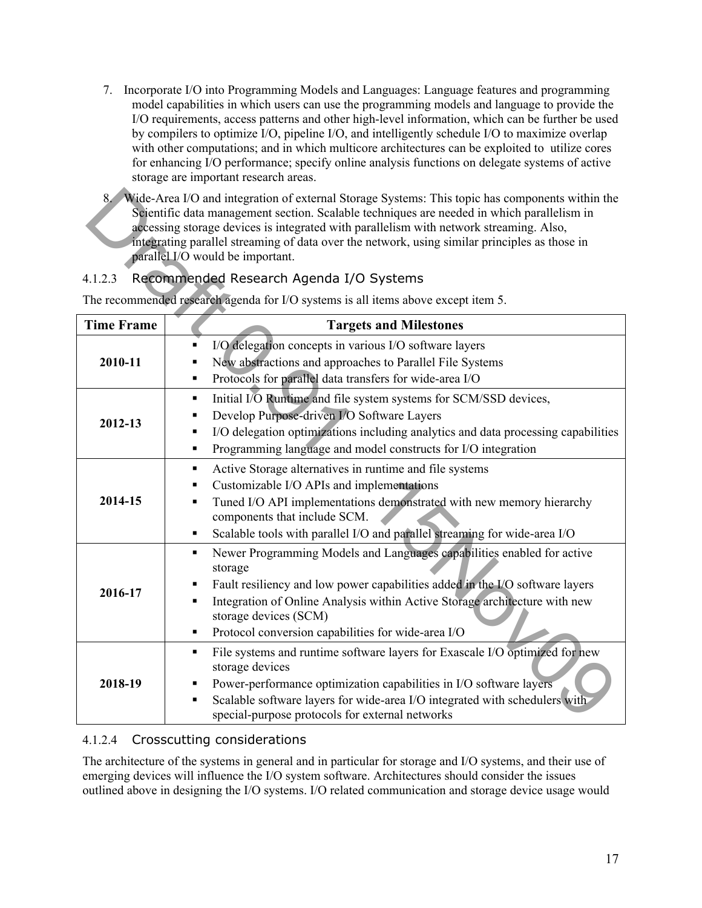- 7. Incorporate I/O into Programming Models and Languages: Language features and programming model capabilities in which users can use the programming models and language to provide the I/O requirements, access patterns and other high-level information, which can be further be used by compilers to optimize I/O, pipeline I/O, and intelligently schedule I/O to maximize overlap with other computations; and in which multicore architectures can be exploited to utilize cores for enhancing I/O performance; specify online analysis functions on delegate systems of active storage are important research areas.
- 8. Wide-Area I/O and integration of external Storage Systems: This topic has components within the Scientific data management section. Scalable techniques are needed in which parallelism in accessing storage devices is integrated with parallelism with network streaming. Also, integrating parallel streaming of data over the network, using similar principles as those in parallel I/O would be important.

# 4.1.2.3 Recommended Research Agenda I/O Systems

| Wide-Area I/O and integration of external Storage Systems: This topic has components within the<br>8.<br>Scientific data management section. Scalable techniques are needed in which parallelism in<br>accessing storage devices is integrated with parallelism with network streaming. Also,<br>integrating parallel streaming of data over the network, using similar principles as those in<br>parallel I/O would be important. |                                                                                                                                                                                                                                                                                                                                               |
|------------------------------------------------------------------------------------------------------------------------------------------------------------------------------------------------------------------------------------------------------------------------------------------------------------------------------------------------------------------------------------------------------------------------------------|-----------------------------------------------------------------------------------------------------------------------------------------------------------------------------------------------------------------------------------------------------------------------------------------------------------------------------------------------|
| 4.1.2.3                                                                                                                                                                                                                                                                                                                                                                                                                            | Recommended Research Agenda I/O Systems                                                                                                                                                                                                                                                                                                       |
| The recommended research agenda for I/O systems is all items above except item 5.                                                                                                                                                                                                                                                                                                                                                  |                                                                                                                                                                                                                                                                                                                                               |
| <b>Time Frame</b>                                                                                                                                                                                                                                                                                                                                                                                                                  | <b>Targets and Milestones</b>                                                                                                                                                                                                                                                                                                                 |
| 2010-11                                                                                                                                                                                                                                                                                                                                                                                                                            | I/O delegation concepts in various I/O software layers<br>n,<br>New abstractions and approaches to Parallel File Systems<br>Protocols for parallel data transfers for wide-area I/O<br>п                                                                                                                                                      |
| 2012-13                                                                                                                                                                                                                                                                                                                                                                                                                            | Initial I/O Runtime and file system systems for SCM/SSD devices,<br>٠<br>Develop Purpose-driven I/O Software Layers<br>п<br>I/O delegation optimizations including analytics and data processing capabilities<br>٠<br>Programming language and model constructs for I/O integration<br>٠                                                      |
| 2014-15                                                                                                                                                                                                                                                                                                                                                                                                                            | Active Storage alternatives in runtime and file systems<br>$\blacksquare$<br>Customizable I/O APIs and implementations<br>Tuned I/O API implementations demonstrated with new memory hierarchy<br>п<br>components that include SCM.<br>Scalable tools with parallel I/O and parallel streaming for wide-area I/O<br>٠                         |
| 2016-17                                                                                                                                                                                                                                                                                                                                                                                                                            | Newer Programming Models and Languages capabilities enabled for active<br>٠<br>storage<br>Fault resiliency and low power capabilities added in the I/O software layers<br>٠<br>Integration of Online Analysis within Active Storage architecture with new<br>storage devices (SCM)<br>Protocol conversion capabilities for wide-area I/O<br>٠ |
| 2018-19                                                                                                                                                                                                                                                                                                                                                                                                                            | File systems and runtime software layers for Exascale I/O optimized for new<br>٠<br>storage devices<br>Power-performance optimization capabilities in I/O software layers<br>٠<br>Scalable software layers for wide-area I/O integrated with schedulers with<br>٠<br>special-purpose protocols for external networks                          |

#### 4.1.2.4 Crosscutting considerations

The architecture of the systems in general and in particular for storage and I/O systems, and their use of emerging devices will influence the I/O system software. Architectures should consider the issues outlined above in designing the I/O systems. I/O related communication and storage device usage would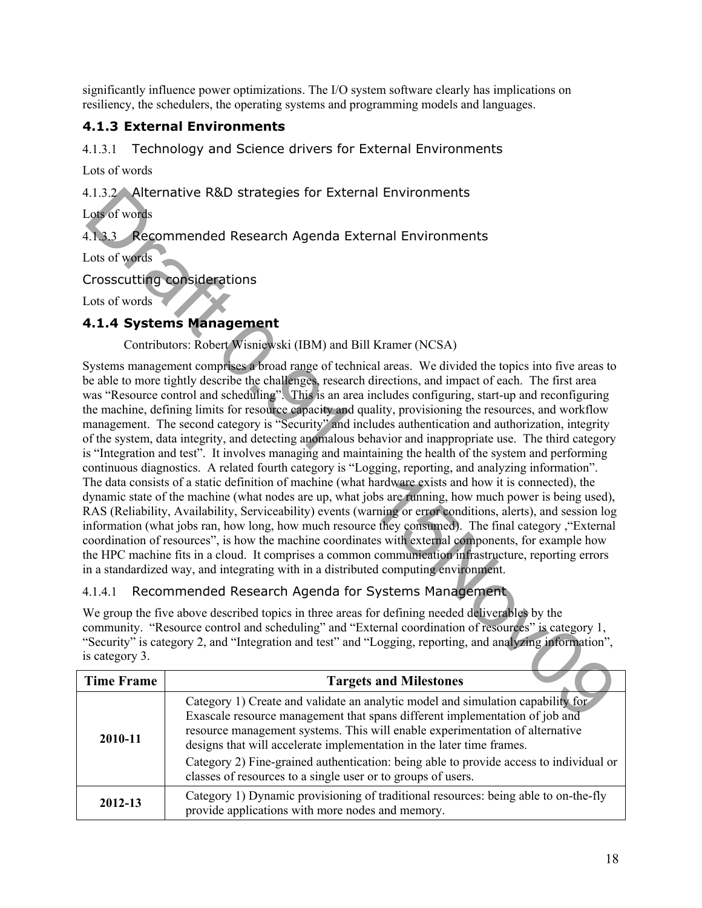significantly influence power optimizations. The I/O system software clearly has implications on resiliency, the schedulers, the operating systems and programming models and languages.

# **4.1.3 External Environments**

4.1.3.1 Technology and Science drivers for External Environments

Lots of words

4.1.3.2 Alternative R&D strategies for External Environments

Lots of words

4.1.3.3 Recommended Research Agenda External Environments

Lots of words

Crosscutting considerations

Lots of words

### **4.1.4 Systems Management**

Contributors: Robert Wisniewski (IBM) and Bill Kramer (NCSA)

Systems management comprises a broad range of technical areas. We divided the topics into five areas to be able to more tightly describe the challenges, research directions, and impact of each. The first area was "Resource control and scheduling". This is an area includes configuring, start-up and reconfiguring the machine, defining limits for resource capacity and quality, provisioning the resources, and workflow management. The second category is "Security" and includes authentication and authorization, integrity of the system, data integrity, and detecting anomalous behavior and inappropriate use. The third category is "Integration and test". It involves managing and maintaining the health of the system and performing continuous diagnostics. A related fourth category is "Logging, reporting, and analyzing information". The data consists of a static definition of machine (what hardware exists and how it is connected), the dynamic state of the machine (what nodes are up, what jobs are running, how much power is being used), RAS (Reliability, Availability, Serviceability) events (warning or error conditions, alerts), and session log information (what jobs ran, how long, how much resource they consumed). The final category ,"External coordination of resources", is how the machine coordinates with external components, for example how the HPC machine fits in a cloud. It comprises a common communication infrastructure, reporting errors in a standardized way, and integrating with in a distributed computing environment. 1.132 Alternative R&D strategies for External Environments<br>
2.63 of words<br>
2.65 of words<br>
2.65 of words<br>
2.65 of words<br>
2.65 of words<br>
2.65 of words<br>
2.65 of words<br>
2.65 of words<br>
2.65 of words<br>
2.65 of words<br>
2.65 of word

### 4.1.4.1 Recommended Research Agenda for Systems Management

We group the five above described topics in three areas for defining needed deliverables by the community. "Resource control and scheduling" and "External coordination of resources" is category 1, "Security" is category 2, and "Integration and test" and "Logging, reporting, and analyzing information", is category 3.

| <b>Time Frame</b> | <b>Targets and Milestones</b>                                                                                                                                                                                                                                                                                                                                                                                                                                                     |
|-------------------|-----------------------------------------------------------------------------------------------------------------------------------------------------------------------------------------------------------------------------------------------------------------------------------------------------------------------------------------------------------------------------------------------------------------------------------------------------------------------------------|
| 2010-11           | Category 1) Create and validate an analytic model and simulation capability for<br>Exascale resource management that spans different implementation of job and<br>resource management systems. This will enable experimentation of alternative<br>designs that will accelerate implementation in the later time frames.<br>Category 2) Fine-grained authentication: being able to provide access to individual or<br>classes of resources to a single user or to groups of users. |
| 2012-13           | Category 1) Dynamic provisioning of traditional resources: being able to on-the-fly<br>provide applications with more nodes and memory.                                                                                                                                                                                                                                                                                                                                           |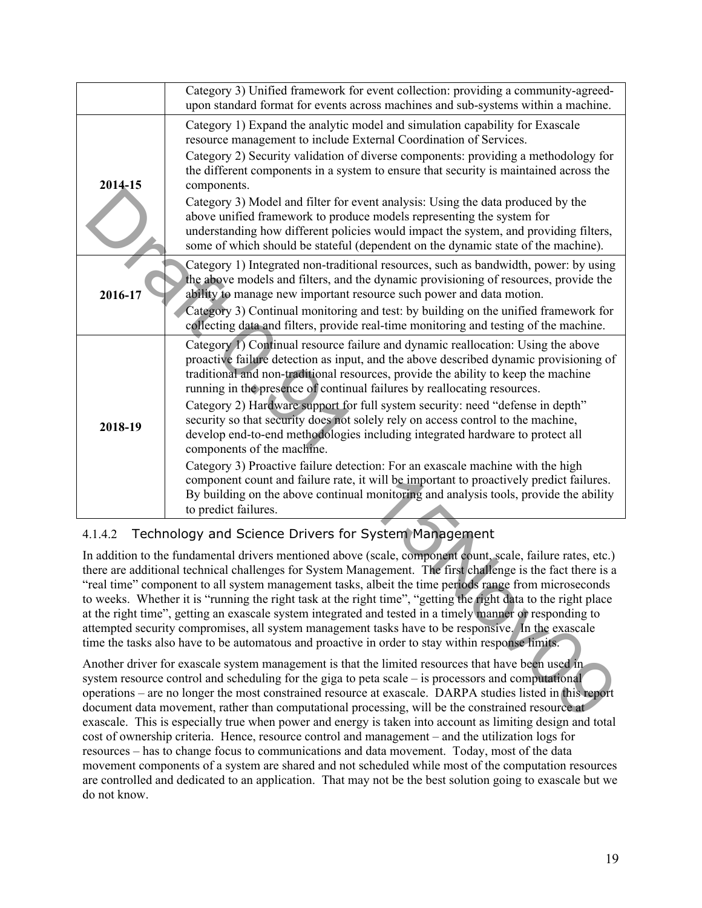|                                                                                                                                                                                                                                                                                                                                                                                                                                                                                                                                                                                                                                                                                                                                                                             | Category 3) Unified framework for event collection: providing a community-agreed-<br>upon standard format for events across machines and sub-systems within a machine.                                                                                                                                                                                                                                                                                                                                                                                                                                                           |
|-----------------------------------------------------------------------------------------------------------------------------------------------------------------------------------------------------------------------------------------------------------------------------------------------------------------------------------------------------------------------------------------------------------------------------------------------------------------------------------------------------------------------------------------------------------------------------------------------------------------------------------------------------------------------------------------------------------------------------------------------------------------------------|----------------------------------------------------------------------------------------------------------------------------------------------------------------------------------------------------------------------------------------------------------------------------------------------------------------------------------------------------------------------------------------------------------------------------------------------------------------------------------------------------------------------------------------------------------------------------------------------------------------------------------|
| 2014-15                                                                                                                                                                                                                                                                                                                                                                                                                                                                                                                                                                                                                                                                                                                                                                     | Category 1) Expand the analytic model and simulation capability for Exascale<br>resource management to include External Coordination of Services.<br>Category 2) Security validation of diverse components: providing a methodology for<br>the different components in a system to ensure that security is maintained across the<br>components.<br>Category 3) Model and filter for event analysis: Using the data produced by the                                                                                                                                                                                               |
|                                                                                                                                                                                                                                                                                                                                                                                                                                                                                                                                                                                                                                                                                                                                                                             | above unified framework to produce models representing the system for<br>understanding how different policies would impact the system, and providing filters,<br>some of which should be stateful (dependent on the dynamic state of the machine).                                                                                                                                                                                                                                                                                                                                                                               |
| 2016-17                                                                                                                                                                                                                                                                                                                                                                                                                                                                                                                                                                                                                                                                                                                                                                     | Category 1) Integrated non-traditional resources, such as bandwidth, power: by using<br>the above models and filters, and the dynamic provisioning of resources, provide the<br>ability to manage new important resource such power and data motion.<br>Category 3) Continual monitoring and test: by building on the unified framework for<br>collecting data and filters, provide real-time monitoring and testing of the machine.                                                                                                                                                                                             |
| 2018-19                                                                                                                                                                                                                                                                                                                                                                                                                                                                                                                                                                                                                                                                                                                                                                     | Category 1) Continual resource failure and dynamic reallocation: Using the above<br>proactive failure detection as input, and the above described dynamic provisioning of<br>traditional and non-traditional resources, provide the ability to keep the machine<br>running in the presence of continual failures by reallocating resources.<br>Category 2) Hardware support for full system security: need "defense in depth"<br>security so that security does not solely rely on access control to the machine,<br>develop end-to-end methodologies including integrated hardware to protect all<br>components of the machine. |
|                                                                                                                                                                                                                                                                                                                                                                                                                                                                                                                                                                                                                                                                                                                                                                             | Category 3) Proactive failure detection: For an exascale machine with the high<br>component count and failure rate, it will be important to proactively predict failures.<br>By building on the above continual monitoring and analysis tools, provide the ability<br>to predict failures.                                                                                                                                                                                                                                                                                                                                       |
| 4.1.4.2                                                                                                                                                                                                                                                                                                                                                                                                                                                                                                                                                                                                                                                                                                                                                                     | Technology and Science Drivers for System Management                                                                                                                                                                                                                                                                                                                                                                                                                                                                                                                                                                             |
| In addition to the fundamental drivers mentioned above (scale, component count, scale, failure rates, etc.)<br>there are additional technical challenges for System Management. The first challenge is the fact there is a<br>"real time" component to all system management tasks, albeit the time periods range from microseconds<br>to weeks. Whether it is "running the right task at the right time", "getting the right data to the right place<br>at the right time", getting an exascale system integrated and tested in a timely manner or responding to<br>attempted security compromises, all system management tasks have to be responsive. In the exascale<br>time the tasks also have to be automatous and proactive in order to stay within response limits. |                                                                                                                                                                                                                                                                                                                                                                                                                                                                                                                                                                                                                                  |
| Another driver for exascale system management is that the limited resources that have been used in<br>system resource control and scheduling for the giga to peta scale - is processors and computational<br>operations – are no longer the most constrained resource at exascale. DARPA studies listed in this report<br>document data movement, rather than computational processing, will be the constrained resource at<br>. This is a consistent of the contract constraint in the constraint of the constraint of the bigger                                                                                                                                                                                                                                          |                                                                                                                                                                                                                                                                                                                                                                                                                                                                                                                                                                                                                                  |

### 4.1.4.2 Technology and Science Drivers for System Management

Another driver for exascale system management is that the limited resources that have been used in system resource control and scheduling for the giga to peta scale – is processors and computational operations – are no longer the most constrained resource at exascale. DARPA studies listed in this report document data movement, rather than computational processing, will be the constrained resource at exascale. This is especially true when power and energy is taken into account as limiting design and total cost of ownership criteria. Hence, resource control and management – and the utilization logs for resources – has to change focus to communications and data movement. Today, most of the data movement components of a system are shared and not scheduled while most of the computation resources are controlled and dedicated to an application. That may not be the best solution going to exascale but we do not know.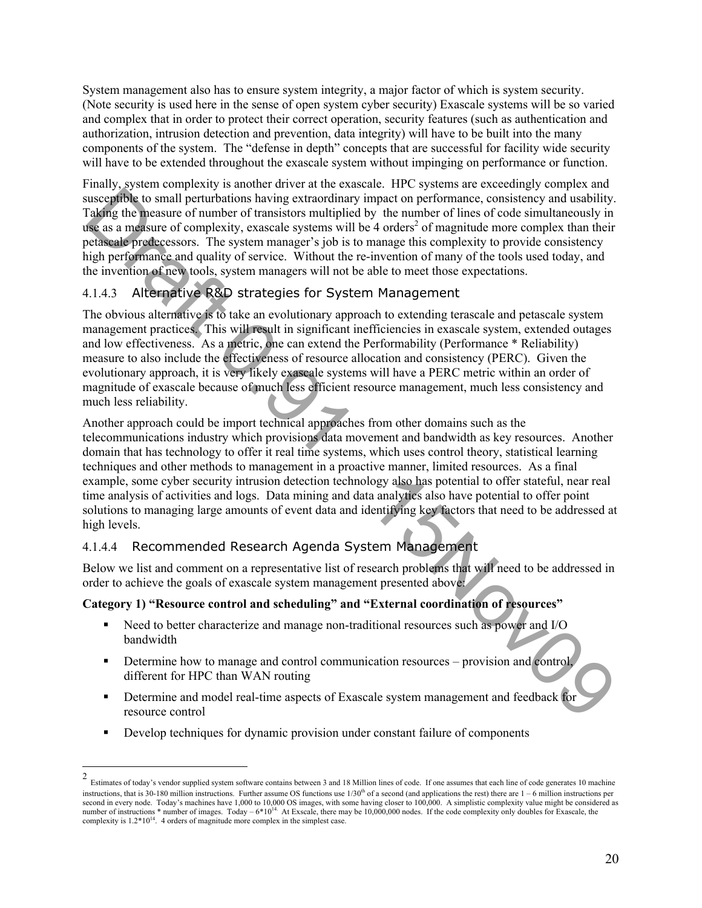System management also has to ensure system integrity, a major factor of which is system security. (Note security is used here in the sense of open system cyber security) Exascale systems will be so varied and complex that in order to protect their correct operation, security features (such as authentication and authorization, intrusion detection and prevention, data integrity) will have to be built into the many components of the system. The "defense in depth" concepts that are successful for facility wide security will have to be extended throughout the exascale system without impinging on performance or function.

Finally, system complexity is another driver at the exascale. HPC systems are exceedingly complex and susceptible to small perturbations having extraordinary impact on performance, consistency and usability. Taking the measure of number of transistors multiplied by the number of lines of code simultaneously in use as a measure of complexity, exascale systems will be 4 orders<sup>2</sup> of magnitude more complex than their petascale predecessors. The system manager's job is to manage this complexity to provide consistency high performance and quality of service. Without the re-invention of many of the tools used today, and the invention of new tools, system managers will not be able to meet those expectations.

# 4.1.4.3 Alternative R&D strategies for System Management

The obvious alternative is to take an evolutionary approach to extending terascale and petascale system management practices. This will result in significant inefficiencies in exascale system, extended outages and low effectiveness. As a metric, one can extend the Performability (Performance \* Reliability) measure to also include the effectiveness of resource allocation and consistency (PERC). Given the evolutionary approach, it is very likely exascale systems will have a PERC metric within an order of magnitude of exascale because of much less efficient resource management, much less consistency and much less reliability.

Another approach could be import technical approaches from other domains such as the telecommunications industry which provisions data movement and bandwidth as key resources. Another domain that has technology to offer it real time systems, which uses control theory, statistical learning techniques and other methods to management in a proactive manner, limited resources. As a final example, some cyber security intrusion detection technology also has potential to offer stateful, near real time analysis of activities and logs. Data mining and data analytics also have potential to offer point solutions to managing large amounts of event data and identifying key factors that need to be addressed at high levels. uscepite to email perturbations having extractionary impact on performance, consistency and usshirly, indepthene on the beauting throughout the state in the mean of connection of manison of manison and the state in the sta

### 4.1.4.4 Recommended Research Agenda System Management

Below we list and comment on a representative list of research problems that will need to be addressed in order to achieve the goals of exascale system management presented above:

#### **Category 1) "Resource control and scheduling" and "External coordination of resources"**

- Need to better characterize and manage non-traditional resources such as power and I/O bandwidth
- Determine how to manage and control communication resources provision and control, different for HPC than WAN routing
- Determine and model real-time aspects of Exascale system management and feedback for resource control
- Develop techniques for dynamic provision under constant failure of components

 <sup>2</sup> Estimates of today's vendor supplied system software contains between 3 and 18 Million lines of code. If one assumes that each line of code generates 10 machine instructions, that is 30-180 million instructions. Further assume OS functions use  $1/30<sup>th</sup>$  of a second (and applications the rest) there are  $1 - 6$  million instructions per second in every node. Today's machines have 1,000 to 10,000 OS images, with some having closer to 100,000. A simplistic complexity value might be considered as number of instructions \* number of images. Today –  $6*10^{14}$ . At Exscale, there may be 10,000,000 nodes. If the code complexity only doubles for Exascale, the complexity is  $1.2*10^{14}$ . 4 orders of magnitude more complex in the simplest case.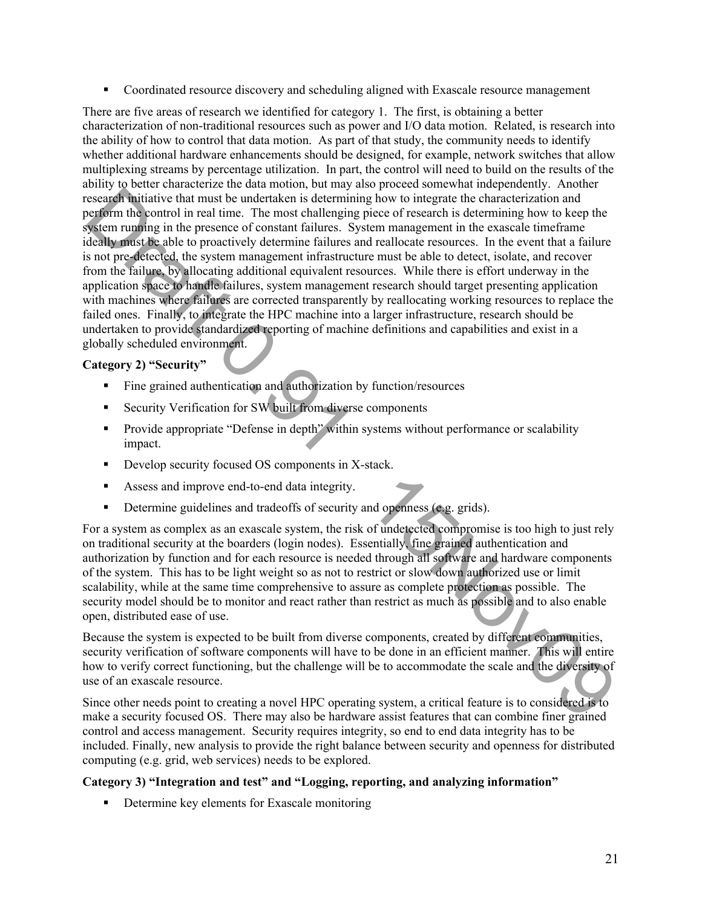• Coordinated resource discovery and scheduling aligned with Exascale resource management

There are five areas of research we identified for category 1. The first, is obtaining a better characterization of non-traditional resources such as power and I/O data motion. Related, is research into the ability of how to control that data motion. As part of that study, the community needs to identify whether additional hardware enhancements should be designed, for example, network switches that allow multiplexing streams by percentage utilization. In part, the control will need to build on the results of the ability to better characterize the data motion, but may also proceed somewhat independently. Another research initiative that must be undertaken is determining how to integrate the characterization and perform the control in real time. The most challenging piece of research is determining how to keep the system running in the presence of constant failures. System management in the exascale timeframe ideally must be able to proactively determine failures and reallocate resources. In the event that a failure is not pre-detected, the system management infrastructure must be able to detect, isolate, and recover from the failure, by allocating additional equivalent resources. While there is effort underway in the application space to handle failures, system management research should target presenting application with machines where failures are corrected transparently by reallocating working resources to replace the failed ones. Finally, to integrate the HPC machine into a larger infrastructure, research should be undertaken to provide standardized reporting of machine definitions and capabilities and exist in a globally scheduled environment. essense hatitative that must be undertaken is determining how to integrate the characterization and<br>specifin the control in real time - The most calallerging piece of research is determining how to keep the<br>space of the co

#### **Category 2) "Security"**

- Fine grained authentication and authorization by function/resources
- **Security Verification for SW built from diverse components**
- **Provide appropriate "Defense in depth" within systems without performance or scalability** impact.
- Develop security focused OS components in X-stack.
- Assess and improve end-to-end data integrity.
- Determine guidelines and tradeoffs of security and openness (e.g. grids).

For a system as complex as an exascale system, the risk of undetected compromise is too high to just rely on traditional security at the boarders (login nodes). Essentially, fine grained authentication and authorization by function and for each resource is needed through all software and hardware components of the system. This has to be light weight so as not to restrict or slow down authorized use or limit scalability, while at the same time comprehensive to assure as complete protection as possible. The security model should be to monitor and react rather than restrict as much as possible and to also enable open, distributed ease of use.

Because the system is expected to be built from diverse components, created by different communities, security verification of software components will have to be done in an efficient manner. This will entire how to verify correct functioning, but the challenge will be to accommodate the scale and the diversity of use of an exascale resource.

Since other needs point to creating a novel HPC operating system, a critical feature is to considered is to make a security focused OS. There may also be hardware assist features that can combine finer grained control and access management. Security requires integrity, so end to end data integrity has to be included. Finally, new analysis to provide the right balance between security and openness for distributed computing (e.g. grid, web services) needs to be explored.

#### **Category 3) "Integration and test" and "Logging, reporting, and analyzing information"**

Determine key elements for Exascale monitoring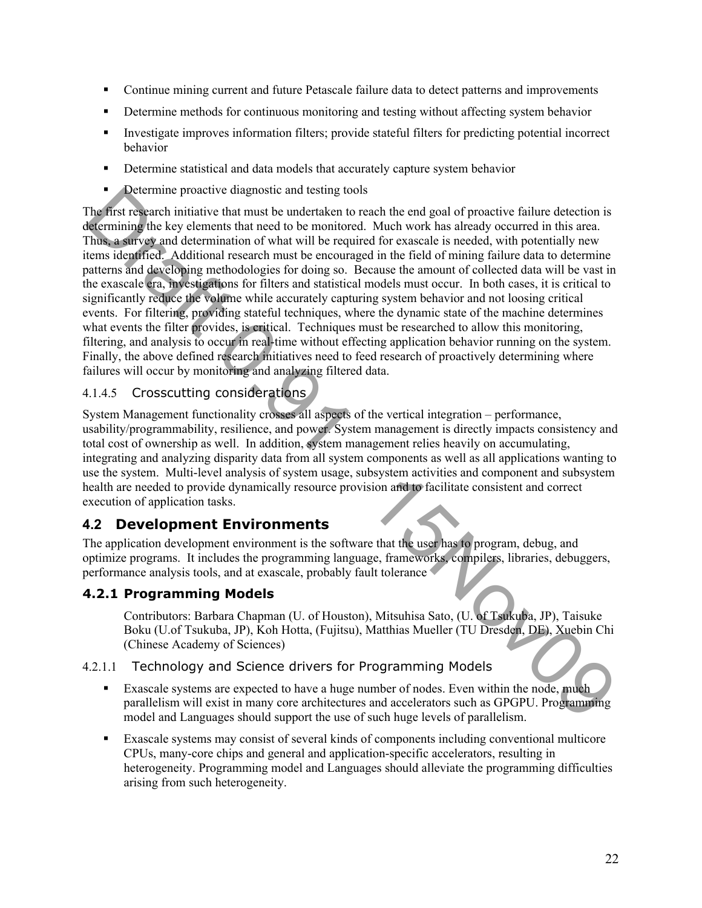- Continue mining current and future Petascale failure data to detect patterns and improvements
- Determine methods for continuous monitoring and testing without affecting system behavior
- Investigate improves information filters; provide stateful filters for predicting potential incorrect behavior
- **Determine statistical and data models that accurately capture system behavior**
- Determine proactive diagnostic and testing tools

The first research initiative that must be undertaken to reach the end goal of proactive failure detection is determining the key elements that need to be monitored. Much work has already occurred in this area. Thus, a survey and determination of what will be required for exascale is needed, with potentially new items identified. Additional research must be encouraged in the field of mining failure data to determine patterns and developing methodologies for doing so. Because the amount of collected data will be vast in the exascale era, investigations for filters and statistical models must occur. In both cases, it is critical to significantly reduce the volume while accurately capturing system behavior and not loosing critical events. For filtering, providing stateful techniques, where the dynamic state of the machine determines what events the filter provides, is critical. Techniques must be researched to allow this monitoring, filtering, and analysis to occur in real-time without effecting application behavior running on the system. Finally, the above defined research initiatives need to feed research of proactively determining where failures will occur by monitoring and analyzing filtered data. Determining the key denotes dual estatistic and testing tools.<br>
The first research initiative that must be undertaken to reach the end goal of proveries initiative controls<br>
in the key denents that need to be monitored. Mu

#### 4.1.4.5 Crosscutting considerations

System Management functionality crosses all aspects of the vertical integration – performance, usability/programmability, resilience, and power. System management is directly impacts consistency and total cost of ownership as well. In addition, system management relies heavily on accumulating, integrating and analyzing disparity data from all system components as well as all applications wanting to use the system. Multi-level analysis of system usage, subsystem activities and component and subsystem health are needed to provide dynamically resource provision and to facilitate consistent and correct execution of application tasks.

# **4.2 Development Environments**

The application development environment is the software that the user has to program, debug, and optimize programs. It includes the programming language, frameworks, compilers, libraries, debuggers, performance analysis tools, and at exascale, probably fault tolerance

### **4.2.1 Programming Models**

Contributors: Barbara Chapman (U. of Houston), Mitsuhisa Sato, (U. of Tsukuba, JP), Taisuke Boku (U.of Tsukuba, JP), Koh Hotta, (Fujitsu), Matthias Mueller (TU Dresden, DE), Xuebin Chi (Chinese Academy of Sciences)

#### 4.2.1.1 Technology and Science drivers for Programming Models

- **Exascale systems are expected to have a huge number of nodes. Even within the node, much** parallelism will exist in many core architectures and accelerators such as GPGPU. Programming model and Languages should support the use of such huge levels of parallelism.
- Exascale systems may consist of several kinds of components including conventional multicore CPUs, many-core chips and general and application-specific accelerators, resulting in heterogeneity. Programming model and Languages should alleviate the programming difficulties arising from such heterogeneity.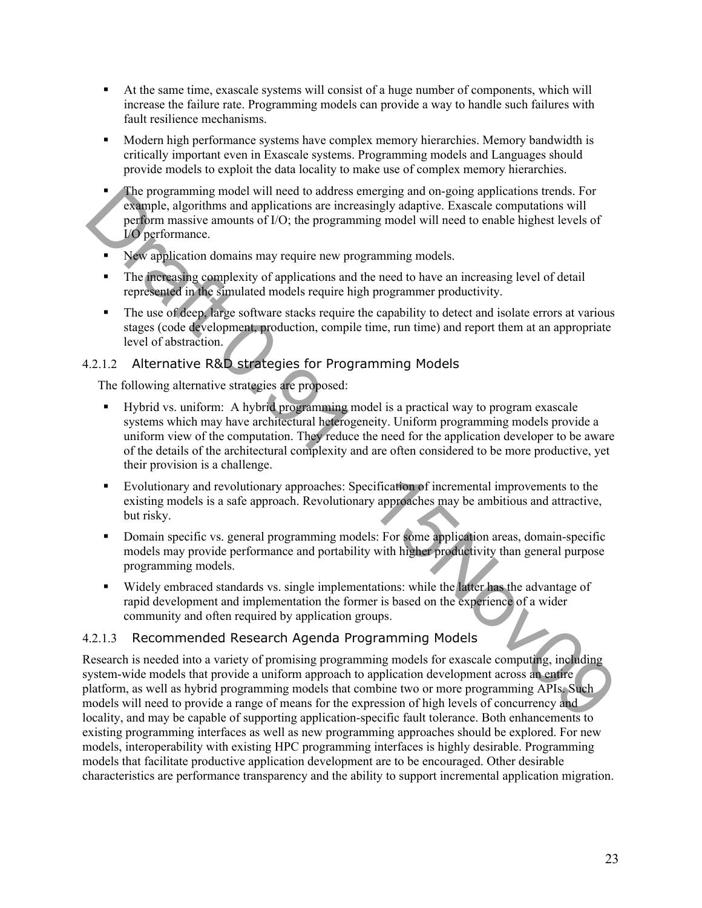- At the same time, exascale systems will consist of a huge number of components, which will increase the failure rate. Programming models can provide a way to handle such failures with fault resilience mechanisms.
- **Modern high performance systems have complex memory hierarchies. Memory bandwidth is** critically important even in Exascale systems. Programming models and Languages should provide models to exploit the data locality to make use of complex memory hierarchies.
- The programming model will need to address emerging and on-going applications trends. For example, algorithms and applications are increasingly adaptive. Exascale computations will perform massive amounts of I/O; the programming model will need to enable highest levels of I/O performance.
- New application domains may require new programming models.
- The increasing complexity of applications and the need to have an increasing level of detail represented in the simulated models require high programmer productivity.
- The use of deep, large software stacks require the capability to detect and isolate errors at various stages (code development, production, compile time, run time) and report them at an appropriate level of abstraction.

#### 4.2.1.2 Alternative R&D strategies for Programming Models

The following alternative strategies are proposed:

- Hybrid vs. uniform: A hybrid programming model is a practical way to program exascale systems which may have architectural heterogeneity. Uniform programming models provide a uniform view of the computation. They reduce the need for the application developer to be aware of the details of the architectural complexity and are often considered to be more productive, yet their provision is a challenge. The programming model will need to address emerging and on-gong applications trends. For example, algorithms and applications are increasingly adaptive. Exaceale computations will proform massive intensity and the act to c
	- Evolutionary and revolutionary approaches: Specification of incremental improvements to the existing models is a safe approach. Revolutionary approaches may be ambitious and attractive, but risky.
	- Domain specific vs. general programming models: For some application areas, domain-specific models may provide performance and portability with higher productivity than general purpose programming models.
	- Widely embraced standards vs. single implementations: while the latter has the advantage of rapid development and implementation the former is based on the experience of a wider community and often required by application groups.

#### 4.2.1.3 Recommended Research Agenda Programming Models

Research is needed into a variety of promising programming models for exascale computing, including system-wide models that provide a uniform approach to application development across an entire platform, as well as hybrid programming models that combine two or more programming APIs. Such models will need to provide a range of means for the expression of high levels of concurrency and locality, and may be capable of supporting application-specific fault tolerance. Both enhancements to existing programming interfaces as well as new programming approaches should be explored. For new models, interoperability with existing HPC programming interfaces is highly desirable. Programming models that facilitate productive application development are to be encouraged. Other desirable characteristics are performance transparency and the ability to support incremental application migration.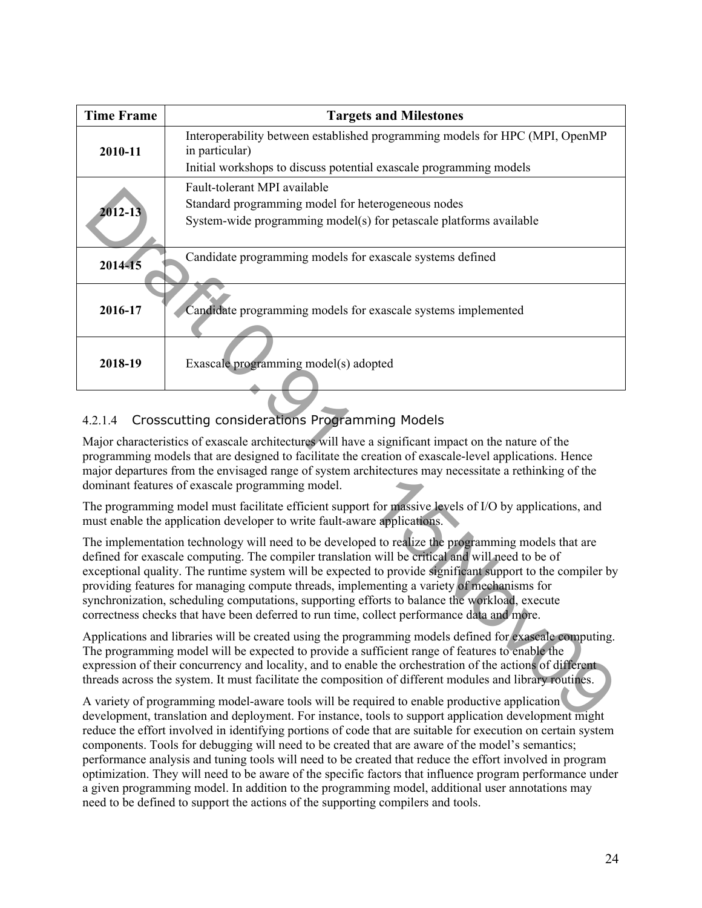| <b>Time Frame</b>                                                                                                                                                                                     | <b>Targets and Milestones</b>                                                                                                                                                      |
|-------------------------------------------------------------------------------------------------------------------------------------------------------------------------------------------------------|------------------------------------------------------------------------------------------------------------------------------------------------------------------------------------|
|                                                                                                                                                                                                       | Interoperability between established programming models for HPC (MPI, OpenMP                                                                                                       |
| 2010-11                                                                                                                                                                                               | in particular)<br>Initial workshops to discuss potential exascale programming models                                                                                               |
|                                                                                                                                                                                                       | Fault-tolerant MPI available                                                                                                                                                       |
|                                                                                                                                                                                                       | Standard programming model for heterogeneous nodes                                                                                                                                 |
| 2012-13                                                                                                                                                                                               | System-wide programming model(s) for petascale platforms available                                                                                                                 |
|                                                                                                                                                                                                       |                                                                                                                                                                                    |
| 2014-15                                                                                                                                                                                               | Candidate programming models for exascale systems defined                                                                                                                          |
|                                                                                                                                                                                                       |                                                                                                                                                                                    |
| 2016-17                                                                                                                                                                                               | Candidate programming models for exascale systems implemented                                                                                                                      |
|                                                                                                                                                                                                       |                                                                                                                                                                                    |
|                                                                                                                                                                                                       |                                                                                                                                                                                    |
| 2018-19                                                                                                                                                                                               | Exascale programming model(s) adopted                                                                                                                                              |
|                                                                                                                                                                                                       |                                                                                                                                                                                    |
| 4.2.1.4                                                                                                                                                                                               | <b>Crosscutting considerations Programming Models</b>                                                                                                                              |
|                                                                                                                                                                                                       | Major characteristics of exascale architectures will have a significant impact on the nature of the                                                                                |
|                                                                                                                                                                                                       | programming models that are designed to facilitate the creation of exascale-level applications. Hence                                                                              |
| major departures from the envisaged range of system architectures may necessitate a rethinking of the<br>dominant features of exascale programming model.                                             |                                                                                                                                                                                    |
|                                                                                                                                                                                                       |                                                                                                                                                                                    |
|                                                                                                                                                                                                       | The programming model must facilitate efficient support for massive levels of I/O by applications, and<br>must enable the application developer to write fault-aware applications. |
| The implementation technology will need to be developed to realize the programming models that are                                                                                                    |                                                                                                                                                                                    |
| defined for exascale computing. The compiler translation will be critical and will need to be of                                                                                                      |                                                                                                                                                                                    |
| exceptional quality. The runtime system will be expected to provide significant support to the compiler by                                                                                            |                                                                                                                                                                                    |
| providing features for managing compute threads, implementing a variety of mechanisms for<br>synchronization, scheduling computations, supporting efforts to balance the workload, execute            |                                                                                                                                                                                    |
| correctness checks that have been deferred to run time, collect performance data and more                                                                                                             |                                                                                                                                                                                    |
| Applications and libraries will be created using the programming models defined for exascale computing.                                                                                               |                                                                                                                                                                                    |
| The programming model will be expected to provide a sufficient range of features to enable the                                                                                                        |                                                                                                                                                                                    |
| expression of their concurrency and locality, and to enable the orchestration of the actions of different                                                                                             |                                                                                                                                                                                    |
| threads across the system. It must facilitate the composition of different modules and library routines.                                                                                              |                                                                                                                                                                                    |
| A variety of programming model-aware tools will be required to enable productive application<br>development, translation and deployment. For instance, tools to support application development might |                                                                                                                                                                                    |

# 4.2.1.4 Crosscutting considerations Programming Models

A variety of programming model-aware tools will be required to enable productive application development, translation and deployment. For instance, tools to support application development might reduce the effort involved in identifying portions of code that are suitable for execution on certain system components. Tools for debugging will need to be created that are aware of the model's semantics; performance analysis and tuning tools will need to be created that reduce the effort involved in program optimization. They will need to be aware of the specific factors that influence program performance under a given programming model. In addition to the programming model, additional user annotations may need to be defined to support the actions of the supporting compilers and tools.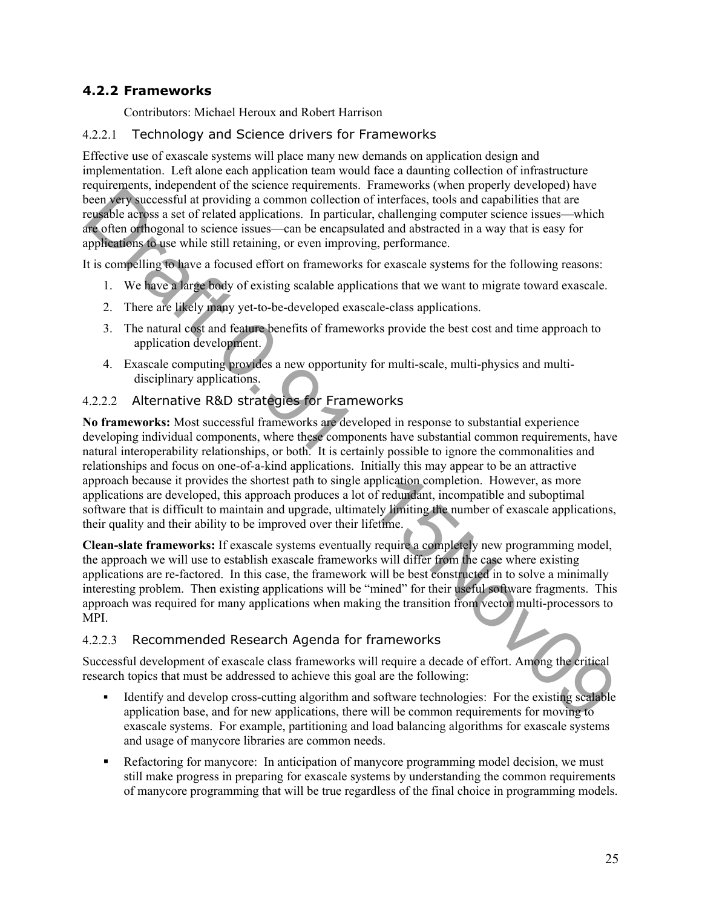### **4.2.2 Frameworks**

Contributors: Michael Heroux and Robert Harrison

#### 4.2.2.1 Technology and Science drivers for Frameworks

Effective use of exascale systems will place many new demands on application design and implementation. Left alone each application team would face a daunting collection of infrastructure requirements, independent of the science requirements. Frameworks (when properly developed) have been very successful at providing a common collection of interfaces, tools and capabilities that are reusable across a set of related applications. In particular, challenging computer science issues—which are often orthogonal to science issues—can be encapsulated and abstracted in a way that is easy for applications to use while still retaining, or even improving, performance.

It is compelling to have a focused effort on frameworks for exascale systems for the following reasons:

- 1. We have a large body of existing scalable applications that we want to migrate toward exascale.
- 2. There are likely many yet-to-be-developed exascale-class applications.
- 3. The natural cost and feature benefits of frameworks provide the best cost and time approach to application development.
- 4. Exascale computing provides a new opportunity for multi-scale, multi-physics and multidisciplinary applications.

#### 4.2.2.2 Alternative R&D strategies for Frameworks

**No frameworks:** Most successful frameworks are developed in response to substantial experience developing individual components, where these components have substantial common requirements, have natural interoperability relationships, or both. It is certainly possible to ignore the commonalities and relationships and focus on one-of-a-kind applications. Initially this may appear to be an attractive approach because it provides the shortest path to single application completion. However, as more applications are developed, this approach produces a lot of redundant, incompatible and suboptimal software that is difficult to maintain and upgrade, ultimately limiting the number of exascale applications, their quality and their ability to be improved over their lifetime. becomes the provides and the formula many collection of interface, tools and expedienties that are<br>
considered a set of relation deplications. In particular, challenge computer science is<br>such a considered and the properti

**Clean-slate frameworks:** If exascale systems eventually require a completely new programming model, the approach we will use to establish exascale frameworks will differ from the case where existing applications are re-factored. In this case, the framework will be best constructed in to solve a minimally interesting problem. Then existing applications will be "mined" for their useful software fragments. This approach was required for many applications when making the transition from vector multi-processors to MPI.

#### 4.2.2.3 Recommended Research Agenda for frameworks

Successful development of exascale class frameworks will require a decade of effort. Among the critical research topics that must be addressed to achieve this goal are the following:

- Identify and develop cross-cutting algorithm and software technologies: For the existing scalable application base, and for new applications, there will be common requirements for moving to exascale systems. For example, partitioning and load balancing algorithms for exascale systems and usage of manycore libraries are common needs.
- **•** Refactoring for manycore: In anticipation of manycore programming model decision, we must still make progress in preparing for exascale systems by understanding the common requirements of manycore programming that will be true regardless of the final choice in programming models.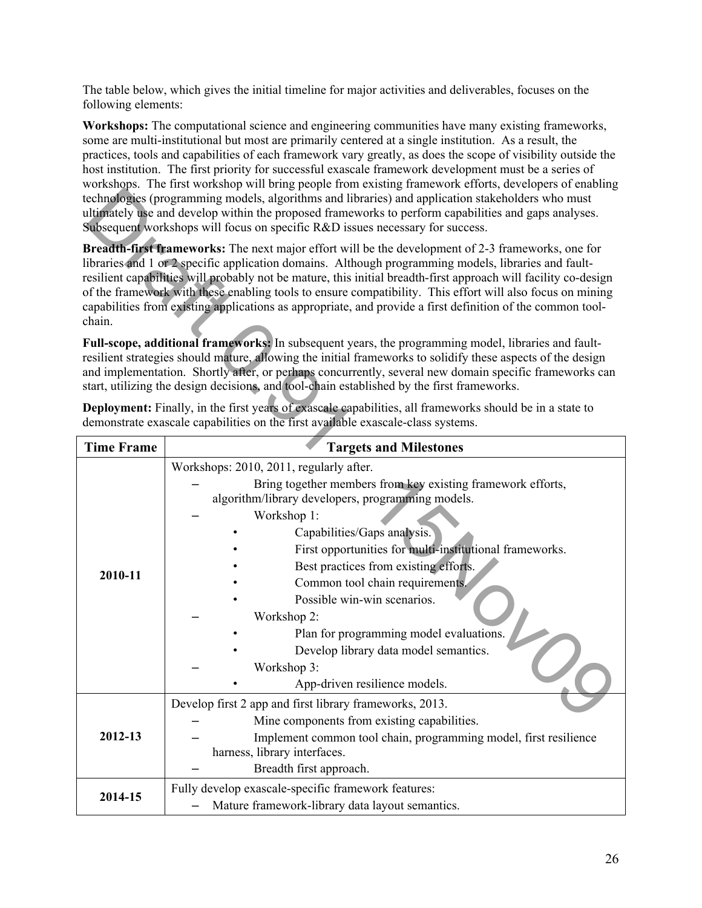The table below, which gives the initial timeline for major activities and deliverables, focuses on the following elements:

**Workshops:** The computational science and engineering communities have many existing frameworks, some are multi-institutional but most are primarily centered at a single institution. As a result, the practices, tools and capabilities of each framework vary greatly, as does the scope of visibility outside the host institution. The first priority for successful exascale framework development must be a series of workshops. The first workshop will bring people from existing framework efforts, developers of enabling technologies (programming models, algorithms and libraries) and application stakeholders who must ultimately use and develop within the proposed frameworks to perform capabilities and gaps analyses. Subsequent workshops will focus on specific R&D issues necessary for success.

| The mot working will only people from existing humework errorio, accept of enabling<br>technologies (programming models, algorithms and libraries) and application stakeholders who must<br>ultimately use and develop within the proposed frameworks to perform capabilities and gaps analyses.<br>Subsequent workshops will focus on specific R&D issues necessary for success. |                                                                                                                                                                                                                                                                                                                                                                                                                                                                                                                                                                 |  |
|-----------------------------------------------------------------------------------------------------------------------------------------------------------------------------------------------------------------------------------------------------------------------------------------------------------------------------------------------------------------------------------|-----------------------------------------------------------------------------------------------------------------------------------------------------------------------------------------------------------------------------------------------------------------------------------------------------------------------------------------------------------------------------------------------------------------------------------------------------------------------------------------------------------------------------------------------------------------|--|
| chain.                                                                                                                                                                                                                                                                                                                                                                            | <b>Breadth-first frameworks:</b> The next major effort will be the development of 2-3 frameworks, one for<br>libraries and 1 or 2 specific application domains. Although programming models, libraries and fault-<br>resilient capabilities will probably not be mature, this initial breadth-first approach will facility co-design<br>of the framework with these enabling tools to ensure compatibility. This effort will also focus on mining<br>capabilities from existing applications as appropriate, and provide a first definition of the common tool- |  |
|                                                                                                                                                                                                                                                                                                                                                                                   | Full-scope, additional frameworks: In subsequent years, the programming model, libraries and fault-<br>resilient strategies should mature, allowing the initial frameworks to solidify these aspects of the design<br>and implementation. Shortly after, or perhaps concurrently, several new domain specific frameworks can<br>start, utilizing the design decisions, and tool-chain established by the first frameworks.                                                                                                                                      |  |
| Deployment: Finally, in the first years of exascale capabilities, all frameworks should be in a state to<br>demonstrate exascale capabilities on the first available exascale-class systems.                                                                                                                                                                                      |                                                                                                                                                                                                                                                                                                                                                                                                                                                                                                                                                                 |  |
| <b>Time Frame</b>                                                                                                                                                                                                                                                                                                                                                                 | <b>Targets and Milestones</b>                                                                                                                                                                                                                                                                                                                                                                                                                                                                                                                                   |  |
| 2010-11                                                                                                                                                                                                                                                                                                                                                                           | Workshops: 2010, 2011, regularly after.<br>Bring together members from key existing framework efforts,<br>algorithm/library developers, programming models.<br>Workshop 1:<br>Capabilities/Gaps analysis.<br>First opportunities for multi-institutional frameworks.<br>Best practices from existing efforts.<br>Common tool chain requirements.<br>Possible win-win scenarios.<br>Workshop 2:<br>Plan for programming model evaluations.<br>Develop library data model semantics.<br>Workshop 3:<br>App-driven resilience models.                              |  |
| 2012-13                                                                                                                                                                                                                                                                                                                                                                           | Develop first 2 app and first library frameworks, 2013.<br>Mine components from existing capabilities.<br>Implement common tool chain, programming model, first resilience<br>harness, library interfaces.<br>Breadth first approach.                                                                                                                                                                                                                                                                                                                           |  |
| 2014-15                                                                                                                                                                                                                                                                                                                                                                           | Fully develop exascale-specific framework features:<br>Mature framework-library data layout semantics.                                                                                                                                                                                                                                                                                                                                                                                                                                                          |  |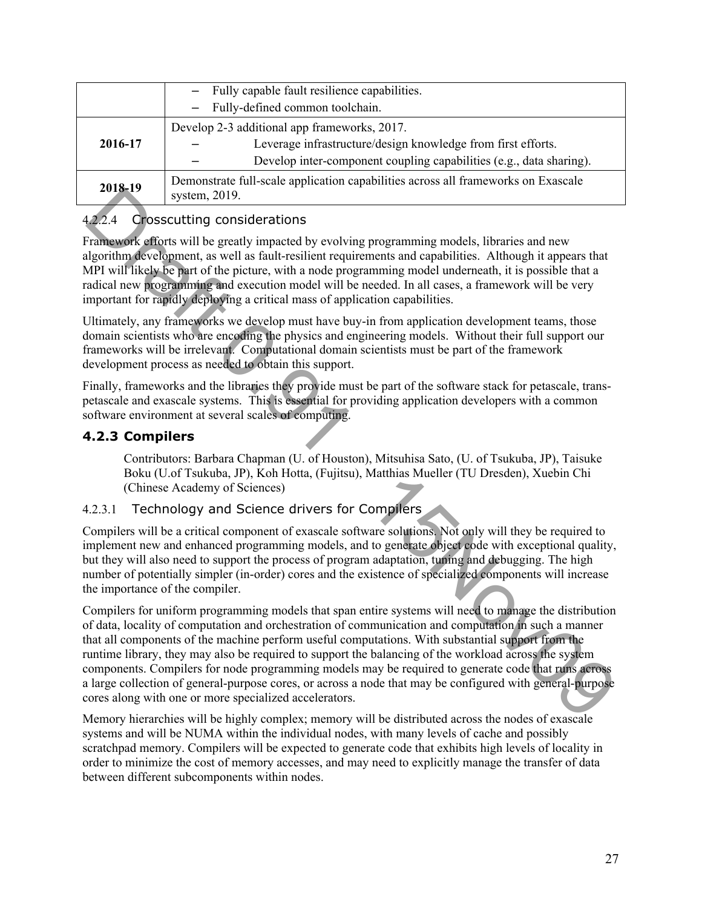|         | - Fully capable fault resilience capabilities.<br>Fully-defined common toolchain.                                                                                                   |
|---------|-------------------------------------------------------------------------------------------------------------------------------------------------------------------------------------|
| 2016-17 | Develop 2-3 additional app frameworks, 2017.<br>Leverage infrastructure/design knowledge from first efforts.<br>Develop inter-component coupling capabilities (e.g., data sharing). |
| 2018-19 | Demonstrate full-scale application capabilities across all frameworks on Exascale<br>system, 2019.                                                                                  |

# 4.2.2.4 Crosscutting considerations

Framework efforts will be greatly impacted by evolving programming models, libraries and new algorithm development, as well as fault-resilient requirements and capabilities. Although it appears that MPI will likely be part of the picture, with a node programming model underneath, it is possible that a radical new programming and execution model will be needed. In all cases, a framework will be very important for rapidly deploying a critical mass of application capabilities.

Ultimately, any frameworks we develop must have buy-in from application development teams, those domain scientists who are encoding the physics and engineering models. Without their full support our frameworks will be irrelevant. Computational domain scientists must be part of the framework development process as needed to obtain this support.

Finally, frameworks and the libraries they provide must be part of the software stack for petascale, transpetascale and exascale systems. This is essential for providing application developers with a common software environment at several scales of computing.

# **4.2.3 Compilers**

Contributors: Barbara Chapman (U. of Houston), Mitsuhisa Sato, (U. of Tsukuba, JP), Taisuke Boku (U.of Tsukuba, JP), Koh Hotta, (Fujitsu), Matthias Mueller (TU Dresden), Xuebin Chi (Chinese Academy of Sciences)

### 4.2.3.1 Technology and Science drivers for Compilers

Compilers will be a critical component of exascale software solutions. Not only will they be required to implement new and enhanced programming models, and to generate object code with exceptional quality, but they will also need to support the process of program adaptation, tuning and debugging. The high number of potentially simpler (in-order) cores and the existence of specialized components will increase the importance of the compiler.

Compilers for uniform programming models that span entire systems will need to manage the distribution of data, locality of computation and orchestration of communication and computation in such a manner that all components of the machine perform useful computations. With substantial support from the runtime library, they may also be required to support the balancing of the workload across the system components. Compilers for node programming models may be required to generate code that runs across a large collection of general-purpose cores, or across a node that may be configured with general-purpose cores along with one or more specialized accelerators. **EVALUATE:** system, 2019.<br> **EVALUATE:** System, 2019.<br> **ETRING CONSECT CONSECT CONSECT CONSECT CONSECT CONSECT CONSECT CONSECT CONSECT CONSECT CONSECT CONSECT CONSECT CONSECT CONSECT CONSECT CONSECT CONSECT CONSECT CONSECT** 

Memory hierarchies will be highly complex; memory will be distributed across the nodes of exascale systems and will be NUMA within the individual nodes, with many levels of cache and possibly scratchpad memory. Compilers will be expected to generate code that exhibits high levels of locality in order to minimize the cost of memory accesses, and may need to explicitly manage the transfer of data between different subcomponents within nodes.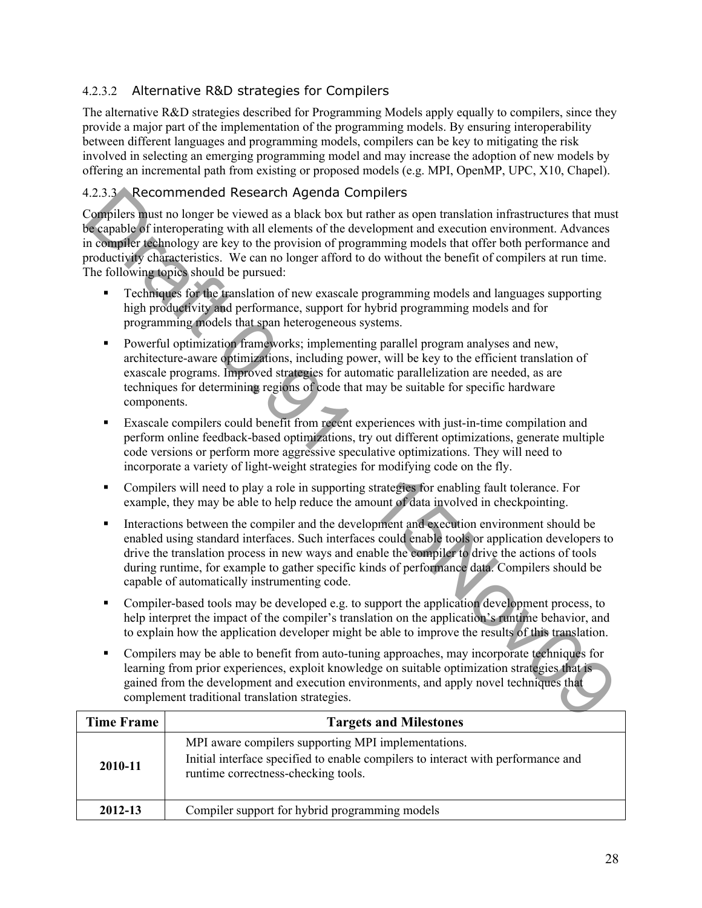# 4.2.3.2 Alternative R&D strategies for Compilers

The alternative R&D strategies described for Programming Models apply equally to compilers, since they provide a major part of the implementation of the programming models. By ensuring interoperability between different languages and programming models, compilers can be key to mitigating the risk involved in selecting an emerging programming model and may increase the adoption of new models by offering an incremental path from existing or proposed models (e.g. MPI, OpenMP, UPC, X10, Chapel).

### 4.2.3.3 Recommended Research Agenda Compilers

Compilers must no longer be viewed as a black box but rather as open translation infrastructures that must be capable of interoperating with all elements of the development and execution environment. Advances in compiler technology are key to the provision of programming models that offer both performance and productivity characteristics. We can no longer afford to do without the benefit of compilers at run time. The following topics should be pursued: 12.33 > Recommended Research Agenda Compilers<br>
complision and this longer best viewed as a black box but rather as open translation infrastructures that must<br>
complision introperating with all elements of the development a

- **Techniques for the translation of new exascale programming models and languages supporting** high productivity and performance, support for hybrid programming models and for programming models that span heterogeneous systems.
- **Powerful optimization frameworks; implementing parallel program analyses and new,** architecture-aware optimizations, including power, will be key to the efficient translation of exascale programs. Improved strategies for automatic parallelization are needed, as are techniques for determining regions of code that may be suitable for specific hardware components.
- Exascale compilers could benefit from recent experiences with just-in-time compilation and perform online feedback-based optimizations, try out different optimizations, generate multiple code versions or perform more aggressive speculative optimizations. They will need to incorporate a variety of light-weight strategies for modifying code on the fly.
- Compilers will need to play a role in supporting strategies for enabling fault tolerance. For example, they may be able to help reduce the amount of data involved in checkpointing.
- Interactions between the compiler and the development and execution environment should be enabled using standard interfaces. Such interfaces could enable tools or application developers to drive the translation process in new ways and enable the compiler to drive the actions of tools during runtime, for example to gather specific kinds of performance data. Compilers should be capable of automatically instrumenting code.
- **Compiler-based tools may be developed e.g. to support the application development process, to** help interpret the impact of the compiler's translation on the application's runtime behavior, and to explain how the application developer might be able to improve the results of this translation.
- Compilers may be able to benefit from auto-tuning approaches, may incorporate techniques for learning from prior experiences, exploit knowledge on suitable optimization strategies that is gained from the development and execution environments, and apply novel techniques that complement traditional translation strategies.

| Time Frame  | <b>Targets and Milestones</b>                                                                                                                                                  |
|-------------|--------------------------------------------------------------------------------------------------------------------------------------------------------------------------------|
| 2010-11     | MPI aware compilers supporting MPI implementations.<br>Initial interface specified to enable compilers to interact with performance and<br>runtime correctness-checking tools. |
| $2012 - 13$ | Compiler support for hybrid programming models                                                                                                                                 |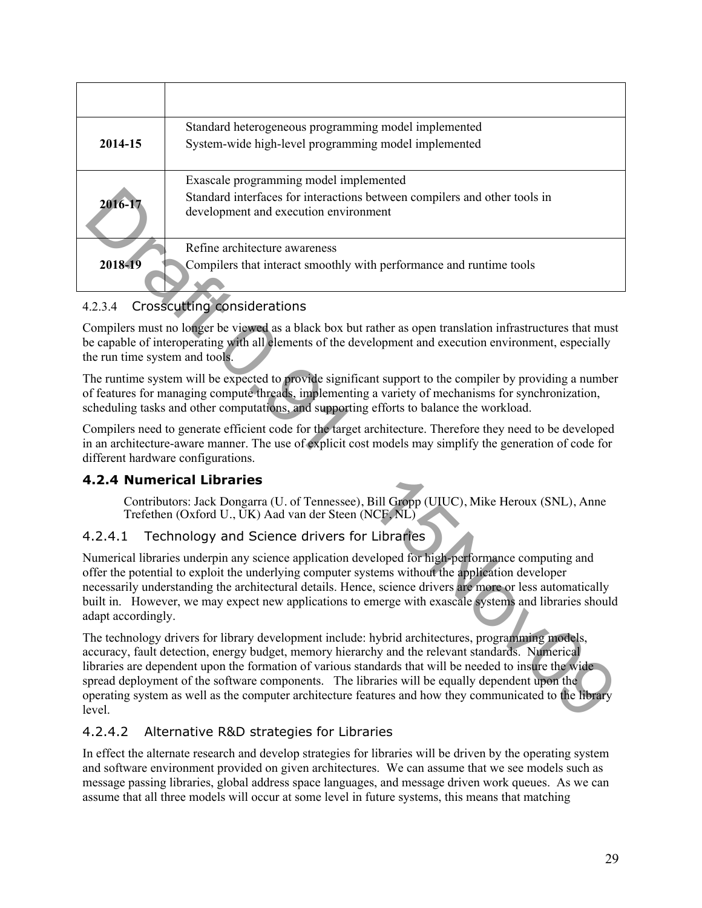|                                                                                                                                                                                                                                                                                                                                                                                                                                                                                                                                        | Standard heterogeneous programming model implemented                                                                                                                                                                                                         |  |  |
|----------------------------------------------------------------------------------------------------------------------------------------------------------------------------------------------------------------------------------------------------------------------------------------------------------------------------------------------------------------------------------------------------------------------------------------------------------------------------------------------------------------------------------------|--------------------------------------------------------------------------------------------------------------------------------------------------------------------------------------------------------------------------------------------------------------|--|--|
| 2014-15                                                                                                                                                                                                                                                                                                                                                                                                                                                                                                                                | System-wide high-level programming model implemented                                                                                                                                                                                                         |  |  |
|                                                                                                                                                                                                                                                                                                                                                                                                                                                                                                                                        | Exascale programming model implemented                                                                                                                                                                                                                       |  |  |
| 2016-17                                                                                                                                                                                                                                                                                                                                                                                                                                                                                                                                | Standard interfaces for interactions between compilers and other tools in<br>development and execution environment                                                                                                                                           |  |  |
|                                                                                                                                                                                                                                                                                                                                                                                                                                                                                                                                        | Refine architecture awareness                                                                                                                                                                                                                                |  |  |
| 2018-19                                                                                                                                                                                                                                                                                                                                                                                                                                                                                                                                | Compilers that interact smoothly with performance and runtime tools                                                                                                                                                                                          |  |  |
| 4.2.3.4                                                                                                                                                                                                                                                                                                                                                                                                                                                                                                                                | Crosscutting considerations                                                                                                                                                                                                                                  |  |  |
| the run time system and tools.                                                                                                                                                                                                                                                                                                                                                                                                                                                                                                         | Compilers must no longer be viewed as a black box but rather as open translation infrastructures that must<br>be capable of interoperating with all elements of the development and execution environment, especially                                        |  |  |
| The runtime system will be expected to provide significant support to the compiler by providing a number<br>of features for managing compute threads, implementing a variety of mechanisms for synchronization,<br>scheduling tasks and other computations, and supporting efforts to balance the workload.                                                                                                                                                                                                                            |                                                                                                                                                                                                                                                              |  |  |
|                                                                                                                                                                                                                                                                                                                                                                                                                                                                                                                                        | Compilers need to generate efficient code for the target architecture. Therefore they need to be developed<br>in an architecture-aware manner. The use of explicit cost models may simplify the generation of code for<br>different hardware configurations. |  |  |
|                                                                                                                                                                                                                                                                                                                                                                                                                                                                                                                                        | <b>4.2.4 Numerical Libraries</b>                                                                                                                                                                                                                             |  |  |
| Contributors: Jack Dongarra (U. of Tennessee), Bill Gropp (UIUC), Mike Heroux (SNL), Anne<br>Trefethen (Oxford U., UK) Aad van der Steen (NCF, NL)                                                                                                                                                                                                                                                                                                                                                                                     |                                                                                                                                                                                                                                                              |  |  |
| 4.2.4.1<br>Technology and Science drivers for Libraries                                                                                                                                                                                                                                                                                                                                                                                                                                                                                |                                                                                                                                                                                                                                                              |  |  |
| Numerical libraries underpin any science application developed for high-performance computing and<br>offer the potential to exploit the underlying computer systems without the application developer<br>necessarily understanding the architectural details. Hence, science drivers are more or less automatically<br>built in. However, we may expect new applications to emerge with exascale systems and libraries should<br>adapt accordingly.                                                                                    |                                                                                                                                                                                                                                                              |  |  |
| The technology drivers for library development include: hybrid architectures, programming models,<br>accuracy, fault detection, energy budget, memory hierarchy and the relevant standards. Numerical<br>libraries are dependent upon the formation of various standards that will be needed to insure the wide<br>spread deployment of the software components. The libraries will be equally dependent upon the<br>operating system as well as the computer architecture features and how they communicated to the library<br>level. |                                                                                                                                                                                                                                                              |  |  |

# 4.2.3.4 Crosscutting considerations

# **4.2.4 Numerical Libraries**

### 4.2.4.1 Technology and Science drivers for Libraries

### 4.2.4.2 Alternative R&D strategies for Libraries

In effect the alternate research and develop strategies for libraries will be driven by the operating system and software environment provided on given architectures. We can assume that we see models such as message passing libraries, global address space languages, and message driven work queues. As we can assume that all three models will occur at some level in future systems, this means that matching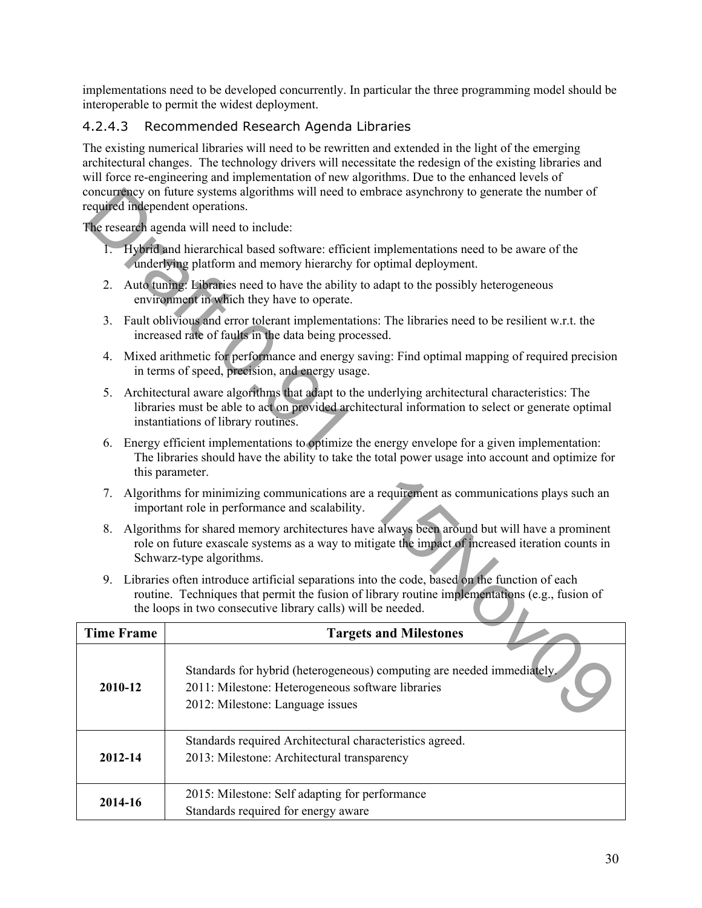implementations need to be developed concurrently. In particular the three programming model should be interoperable to permit the widest deployment.

### 4.2.4.3 Recommended Research Agenda Libraries

The existing numerical libraries will need to be rewritten and extended in the light of the emerging architectural changes. The technology drivers will necessitate the redesign of the existing libraries and will force re-engineering and implementation of new algorithms. Due to the enhanced levels of concurrency on future systems algorithms will need to embrace asynchrony to generate the number of required independent operations.

- 1. Hybrid and hierarchical based software: efficient implementations need to be aware of the underlying platform and memory hierarchy for optimal deployment.
- 2. Auto tuning: Libraries need to have the ability to adapt to the possibly heterogeneous environment in which they have to operate.
- 3. Fault oblivious and error tolerant implementations: The libraries need to be resilient w.r.t. the increased rate of faults in the data being processed.
- 4. Mixed arithmetic for performance and energy saving: Find optimal mapping of required precision in terms of speed, precision, and energy usage.
- 5. Architectural aware algorithms that adapt to the underlying architectural characteristics: The libraries must be able to act on provided architectural information to select or generate optimal instantiations of library routines.
- 6. Energy efficient implementations to optimize the energy envelope for a given implementation: The libraries should have the ability to take the total power usage into account and optimize for this parameter.
- 7. Algorithms for minimizing communications are a requirement as communications plays such an important role in performance and scalability.
- 8. Algorithms for shared memory architectures have always been around but will have a prominent role on future exascale systems as a way to mitigate the impact of increased iteration counts in Schwarz-type algorithms.
- 9. Libraries often introduce artificial separations into the code, based on the function of each routine. Techniques that permit the fusion of library routine implementations (e.g., fusion of the loops in two consecutive library calls) will be needed.

| required independent operations.                                                                                                                                                                                                                                  | concurrency on future systems algorithms will need to embrace asynchrony to generate the number of                                                                                                                   |  |
|-------------------------------------------------------------------------------------------------------------------------------------------------------------------------------------------------------------------------------------------------------------------|----------------------------------------------------------------------------------------------------------------------------------------------------------------------------------------------------------------------|--|
| The research agenda will need to include:                                                                                                                                                                                                                         |                                                                                                                                                                                                                      |  |
| Г.                                                                                                                                                                                                                                                                | Hybrid and hierarchical based software: efficient implementations need to be aware of the<br>underlying platform and memory hierarchy for optimal deployment.                                                        |  |
|                                                                                                                                                                                                                                                                   | 2. Auto tuning: Libraries need to have the ability to adapt to the possibly heterogeneous<br>environment in which they have to operate.                                                                              |  |
| 3.                                                                                                                                                                                                                                                                | Fault oblivious and error tolerant implementations: The libraries need to be resilient w.r.t. the<br>increased rate of faults in the data being processed.                                                           |  |
| 4.                                                                                                                                                                                                                                                                | Mixed arithmetic for performance and energy saving: Find optimal mapping of required precision<br>in terms of speed, precision, and energy usage.                                                                    |  |
| Architectural aware algorithms that adapt to the underlying architectural characteristics: The<br>5.<br>libraries must be able to act on provided architectural information to select or generate optimal<br>instantiations of library routines.                  |                                                                                                                                                                                                                      |  |
| 6.                                                                                                                                                                                                                                                                | Energy efficient implementations to optimize the energy envelope for a given implementation:<br>The libraries should have the ability to take the total power usage into account and optimize for<br>this parameter. |  |
| Algorithms for minimizing communications are a requirement as communications plays such an<br>7.<br>important role in performance and scalability.                                                                                                                |                                                                                                                                                                                                                      |  |
| Algorithms for shared memory architectures have always been around but will have a prominent<br>8.<br>role on future exascale systems as a way to mitigate the impact of increased iteration counts in<br>Schwarz-type algorithms.                                |                                                                                                                                                                                                                      |  |
| 9. Libraries often introduce artificial separations into the code, based on the function of each<br>routine. Techniques that permit the fusion of library routine implementations (e.g., fusion of<br>the loops in two consecutive library calls) will be needed. |                                                                                                                                                                                                                      |  |
| <b>Time Frame</b>                                                                                                                                                                                                                                                 | <b>Targets and Milestones</b>                                                                                                                                                                                        |  |
| 2010-12                                                                                                                                                                                                                                                           | Standards for hybrid (heterogeneous) computing are needed immediately.<br>2011: Milestone: Heterogeneous software libraries<br>2012: Milestone: Language issues                                                      |  |
| 2012-14                                                                                                                                                                                                                                                           | Standards required Architectural characteristics agreed.<br>2013: Milestone: Architectural transparency                                                                                                              |  |
| 2014-16                                                                                                                                                                                                                                                           | 2015: Milestone: Self adapting for performance<br>Standards required for energy aware                                                                                                                                |  |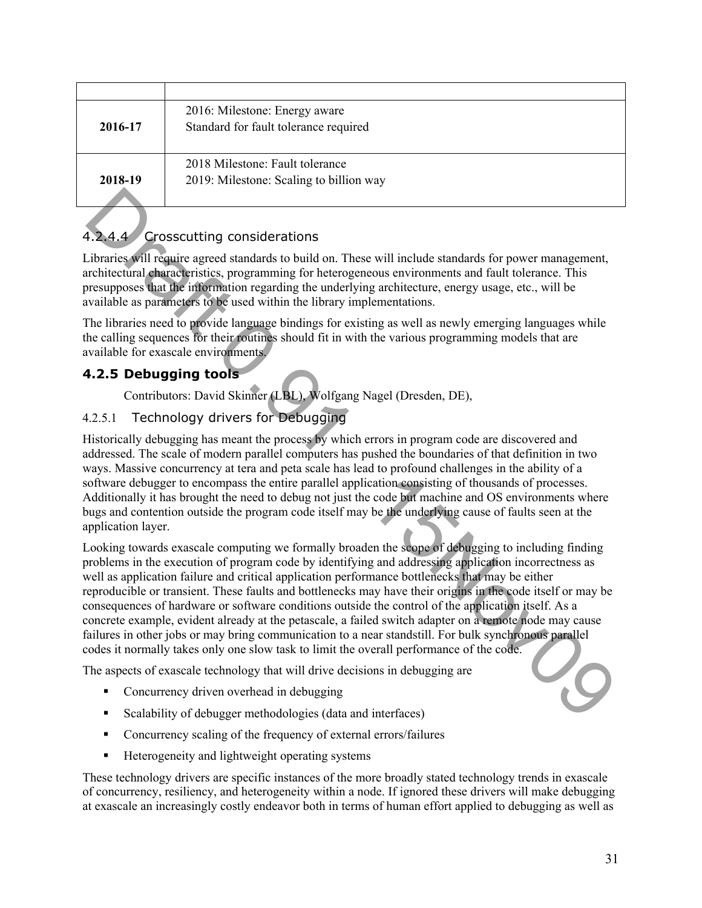| 2016-17 | 2016: Milestone: Energy aware<br>Standard for fault tolerance required     |
|---------|----------------------------------------------------------------------------|
| 2018-19 | 2018 Milestone: Fault tolerance<br>2019: Milestone: Scaling to billion way |

# 4.2.4.4 Crosscutting considerations

Libraries will require agreed standards to build on. These will include standards for power management, architectural characteristics, programming for heterogeneous environments and fault tolerance. This presupposes that the information regarding the underlying architecture, energy usage, etc., will be available as parameters to be used within the library implementations.

The libraries need to provide language bindings for existing as well as newly emerging languages while the calling sequences for their routines should fit in with the various programming models that are available for exascale environments.

### **4.2.5 Debugging tools**

Contributors: David Skinner (LBL), Wolfgang Nagel (Dresden, DE),

# 4.2.5.1 Technology drivers for Debugging

Historically debugging has meant the process by which errors in program code are discovered and addressed. The scale of modern parallel computers has pushed the boundaries of that definition in two ways. Massive concurrency at tera and peta scale has lead to profound challenges in the ability of a software debugger to encompass the entire parallel application consisting of thousands of processes. Additionally it has brought the need to debug not just the code but machine and OS environments where bugs and contention outside the program code itself may be the underlying cause of faults seen at the application layer.

Looking towards exascale computing we formally broaden the scope of debugging to including finding problems in the execution of program code by identifying and addressing application incorrectness as well as application failure and critical application performance bottlenecks that may be either reproducible or transient. These faults and bottlenecks may have their origins in the code itself or may be consequences of hardware or software conditions outside the control of the application itself. As a concrete example, evident already at the petascale, a failed switch adapter on a remote node may cause failures in other jobs or may bring communication to a near standstill. For bulk synchronous parallel codes it normally takes only one slow task to limit the overall performance of the code. **1.2.4.4** Crosscutting considerations<br>
inhanes will negative agreed standards to build on. These will include standards for power management,<br>
chiestical phace theirs into a magnitum for the<br>teneeratons wincomes and faith

The aspects of exascale technology that will drive decisions in debugging are

- Concurrency driven overhead in debugging
- Scalability of debugger methodologies (data and interfaces)
- Concurrency scaling of the frequency of external errors/failures
- Heterogeneity and lightweight operating systems

These technology drivers are specific instances of the more broadly stated technology trends in exascale of concurrency, resiliency, and heterogeneity within a node. If ignored these drivers will make debugging at exascale an increasingly costly endeavor both in terms of human effort applied to debugging as well as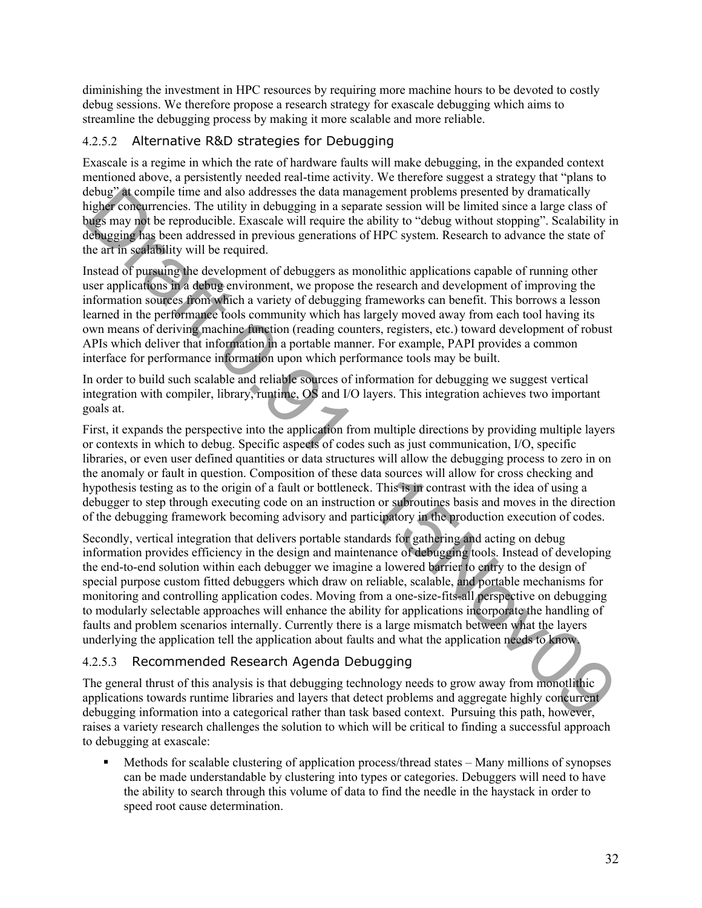diminishing the investment in HPC resources by requiring more machine hours to be devoted to costly debug sessions. We therefore propose a research strategy for exascale debugging which aims to streamline the debugging process by making it more scalable and more reliable.

### 4.2.5.2 Alternative R&D strategies for Debugging

Exascale is a regime in which the rate of hardware faults will make debugging, in the expanded context mentioned above, a persistently needed real-time activity. We therefore suggest a strategy that "plans to debug" at compile time and also addresses the data management problems presented by dramatically higher concurrencies. The utility in debugging in a separate session will be limited since a large class of bugs may not be reproducible. Exascale will require the ability to "debug without stopping". Scalability in debugging has been addressed in previous generations of HPC system. Research to advance the state of the art in scalability will be required.

Instead of pursuing the development of debuggers as monolithic applications capable of running other user applications in a debug environment, we propose the research and development of improving the information sources from which a variety of debugging frameworks can benefit. This borrows a lesson learned in the performance tools community which has largely moved away from each tool having its own means of deriving machine function (reading counters, registers, etc.) toward development of robust APIs which deliver that information in a portable manner. For example, PAPI provides a common interface for performance information upon which performance tools may be built.

In order to build such scalable and reliable sources of information for debugging we suggest vertical integration with compiler, library, runtime, OS and I/O layers. This integration achieves two important goals at.

First, it expands the perspective into the application from multiple directions by providing multiple layers or contexts in which to debug. Specific aspects of codes such as just communication, I/O, specific libraries, or even user defined quantities or data structures will allow the debugging process to zero in on the anomaly or fault in question. Composition of these data sources will allow for cross checking and hypothesis testing as to the origin of a fault or bottleneck. This is in contrast with the idea of using a debugger to step through executing code on an instruction or subroutines basis and moves in the direction of the debugging framework becoming advisory and participatory in the production execution of codes.

Secondly, vertical integration that delivers portable standards for gathering and acting on debug information provides efficiency in the design and maintenance of debugging tools. Instead of developing the end-to-end solution within each debugger we imagine a lowered barrier to entry to the design of special purpose custom fitted debuggers which draw on reliable, scalable, and portable mechanisms for monitoring and controlling application codes. Moving from a one-size-fits-all perspective on debugging to modularly selectable approaches will enhance the ability for applications incorporate the handling of faults and problem scenarios internally. Currently there is a large mismatch between what the layers underlying the application tell the application about faults and what the application needs to know. iclous<sup>7</sup> at compuls time and also addresses the data management problems presented by dramatically<br>ingles concurrencies. The utility in debugeing in a separate session will be limited since a large class of<br>the region may

# 4.2.5.3 Recommended Research Agenda Debugging

The general thrust of this analysis is that debugging technology needs to grow away from monotlithic applications towards runtime libraries and layers that detect problems and aggregate highly concurrent debugging information into a categorical rather than task based context. Pursuing this path, however, raises a variety research challenges the solution to which will be critical to finding a successful approach to debugging at exascale:

 Methods for scalable clustering of application process/thread states – Many millions of synopses can be made understandable by clustering into types or categories. Debuggers will need to have the ability to search through this volume of data to find the needle in the haystack in order to speed root cause determination.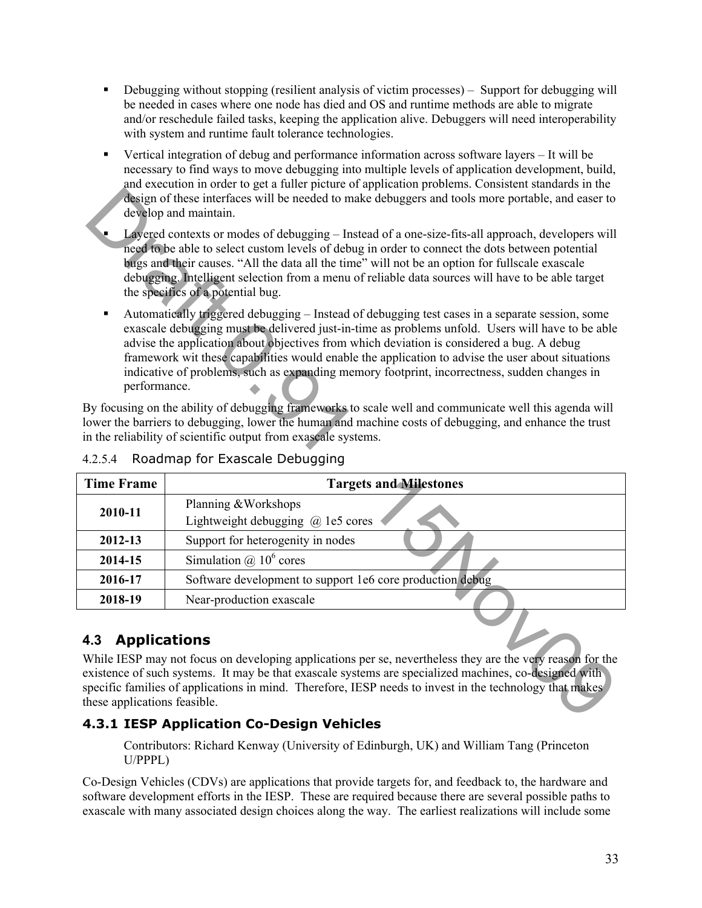- Debugging without stopping (resilient analysis of victim processes) Support for debugging will be needed in cases where one node has died and OS and runtime methods are able to migrate and/or reschedule failed tasks, keeping the application alive. Debuggers will need interoperability with system and runtime fault tolerance technologies.
- Vertical integration of debug and performance information across software layers It will be necessary to find ways to move debugging into multiple levels of application development, build, and execution in order to get a fuller picture of application problems. Consistent standards in the design of these interfaces will be needed to make debuggers and tools more portable, and easer to develop and maintain.
- Layered contexts or modes of debugging Instead of a one-size-fits-all approach, developers will need to be able to select custom levels of debug in order to connect the dots between potential bugs and their causes. "All the data all the time" will not be an option for fullscale exascale debugging. Intelligent selection from a menu of reliable data sources will have to be able target the specifics of a potential bug.
- Automatically triggered debugging Instead of debugging test cases in a separate session, some exascale debugging must be delivered just-in-time as problems unfold. Users will have to be able advise the application about objectives from which deviation is considered a bug. A debug framework wit these capabilities would enable the application to advise the user about situations indicative of problems, such as expanding memory footprint, incorrectness, sudden changes in performance.

|                                           | design of these interfaces will be needed to make debuggers and tools more portable, and easer to<br>develop and maintain.                                                                                                                                                                                                                                                                                                                                                                                            |  |  |  |  |  |  |  |  |  |  |
|-------------------------------------------|-----------------------------------------------------------------------------------------------------------------------------------------------------------------------------------------------------------------------------------------------------------------------------------------------------------------------------------------------------------------------------------------------------------------------------------------------------------------------------------------------------------------------|--|--|--|--|--|--|--|--|--|--|
|                                           | Layered contexts or modes of debugging – Instead of a one-size-fits-all approach, developers will<br>need to be able to select custom levels of debug in order to connect the dots between potential<br>bugs and their causes. "All the data all the time" will not be an option for fullscale exascale<br>debugging. Intelligent selection from a menu of reliable data sources will have to be able target<br>the specifics of a potential bug.                                                                     |  |  |  |  |  |  |  |  |  |  |
| ٠                                         | Automatically triggered debugging – Instead of debugging test cases in a separate session, some<br>exascale debugging must be delivered just-in-time as problems unfold. Users will have to be able<br>advise the application about objectives from which deviation is considered a bug. A debug<br>framework wit these capabilities would enable the application to advise the user about situations<br>indicative of problems, such as expanding memory footprint, incorrectness, sudden changes in<br>performance. |  |  |  |  |  |  |  |  |  |  |
|                                           | By focusing on the ability of debugging frameworks to scale well and communicate well this agenda will<br>lower the barriers to debugging, lower the human and machine costs of debugging, and enhance the trust<br>in the reliability of scientific output from exascale systems.                                                                                                                                                                                                                                    |  |  |  |  |  |  |  |  |  |  |
| Roadmap for Exascale Debugging<br>4.2.5.4 |                                                                                                                                                                                                                                                                                                                                                                                                                                                                                                                       |  |  |  |  |  |  |  |  |  |  |
|                                           |                                                                                                                                                                                                                                                                                                                                                                                                                                                                                                                       |  |  |  |  |  |  |  |  |  |  |
| <b>Time Frame</b>                         | <b>Targets and Milestones</b>                                                                                                                                                                                                                                                                                                                                                                                                                                                                                         |  |  |  |  |  |  |  |  |  |  |
| 2010-11                                   | Planning & Workshops<br>Lightweight debugging $(a)$ 1e5 cores                                                                                                                                                                                                                                                                                                                                                                                                                                                         |  |  |  |  |  |  |  |  |  |  |
| 2012-13                                   | Support for heterogenity in nodes                                                                                                                                                                                                                                                                                                                                                                                                                                                                                     |  |  |  |  |  |  |  |  |  |  |
| 2014-15                                   | Simulation $\omega$ 10 <sup>6</sup> cores                                                                                                                                                                                                                                                                                                                                                                                                                                                                             |  |  |  |  |  |  |  |  |  |  |
| 2016-17                                   | Software development to support 1e6 core production debug                                                                                                                                                                                                                                                                                                                                                                                                                                                             |  |  |  |  |  |  |  |  |  |  |
| 2018-19                                   | Near-production exascale                                                                                                                                                                                                                                                                                                                                                                                                                                                                                              |  |  |  |  |  |  |  |  |  |  |

# 4.2.5.4 Roadmap for Exascale Debugging

# **4.3 Applications**

# **4.3.1 IESP Application Co-Design Vehicles**

Contributors: Richard Kenway (University of Edinburgh, UK) and William Tang (Princeton U/PPPL)

Co-Design Vehicles (CDVs) are applications that provide targets for, and feedback to, the hardware and software development efforts in the IESP. These are required because there are several possible paths to exascale with many associated design choices along the way. The earliest realizations will include some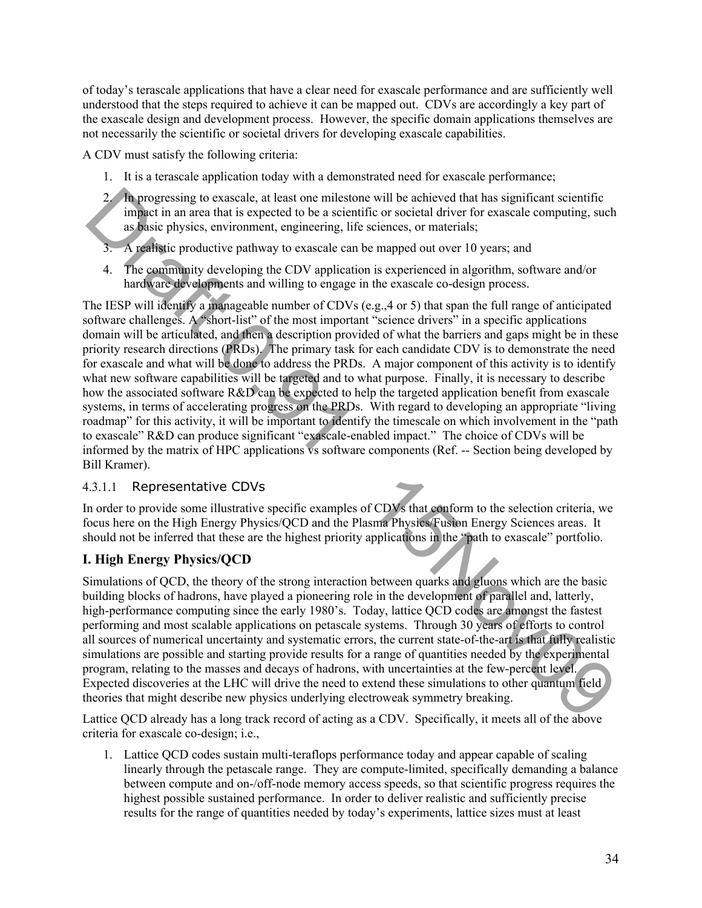of today's terascale applications that have a clear need for exascale performance and are sufficiently well understood that the steps required to achieve it can be mapped out. CDVs are accordingly a key part of the exascale design and development process. However, the specific domain applications themselves are not necessarily the scientific or societal drivers for developing exascale capabilities.

A CDV must satisfy the following criteria:

- 1. It is a terascale application today with a demonstrated need for exascale performance;
- 2. In progressing to exascale, at least one milestone will be achieved that has significant scientific impact in an area that is expected to be a scientific or societal driver for exascale computing, such as basic physics, environment, engineering, life sciences, or materials;
- 3. A realistic productive pathway to exascale can be mapped out over 10 years; and
- 4. The community developing the CDV application is experienced in algorithm, software and/or hardware developments and willing to engage in the exascale co-design process.

The IESP will identify a manageable number of CDVs (e.g.,4 or 5) that span the full range of anticipated software challenges. A "short-list" of the most important "science drivers" in a specific applications domain will be articulated, and then a description provided of what the barriers and gaps might be in these priority research directions (PRDs). The primary task for each candidate CDV is to demonstrate the need for exascale and what will be done to address the PRDs. A major component of this activity is to identify what new software capabilities will be targeted and to what purpose. Finally, it is necessary to describe how the associated software R&D can be expected to help the targeted application benefit from exascale systems, in terms of accelerating progress on the PRDs. With regard to developing an appropriate "living roadmap" for this activity, it will be important to identify the timescale on which involvement in the "path" to exascale" R&D can produce significant "exascale-enabled impact." The choice of CDVs will be informed by the matrix of HPC applications vs software components (Ref. -- Section being developed by Bill Kramer). The more seasonless are loss cases are loss cases are loss carred to a heirevel that has significant scientific<br>as mange in an area that is expected to be a scientific or societal driver for exascate computing, such<br>as mai

#### 4.3.1.1 Representative CDVs

In order to provide some illustrative specific examples of CDVs that conform to the selection criteria, we focus here on the High Energy Physics/QCD and the Plasma Physics/Fusion Energy Sciences areas. It should not be inferred that these are the highest priority applications in the "path to exascale" portfolio.

#### **I. High Energy Physics/QCD**

Simulations of QCD, the theory of the strong interaction between quarks and gluons which are the basic building blocks of hadrons, have played a pioneering role in the development of parallel and, latterly, high-performance computing since the early 1980's. Today, lattice QCD codes are amongst the fastest performing and most scalable applications on petascale systems. Through 30 years of efforts to control all sources of numerical uncertainty and systematic errors, the current state-of-the-art is that fully realistic simulations are possible and starting provide results for a range of quantities needed by the experimental program, relating to the masses and decays of hadrons, with uncertainties at the few-percent level. Expected discoveries at the LHC will drive the need to extend these simulations to other quantum field theories that might describe new physics underlying electroweak symmetry breaking.

Lattice QCD already has a long track record of acting as a CDV. Specifically, it meets all of the above criteria for exascale co-design; i.e.,

1. Lattice QCD codes sustain multi-teraflops performance today and appear capable of scaling linearly through the petascale range. They are compute-limited, specifically demanding a balance between compute and on-/off-node memory access speeds, so that scientific progress requires the highest possible sustained performance. In order to deliver realistic and sufficiently precise results for the range of quantities needed by today's experiments, lattice sizes must at least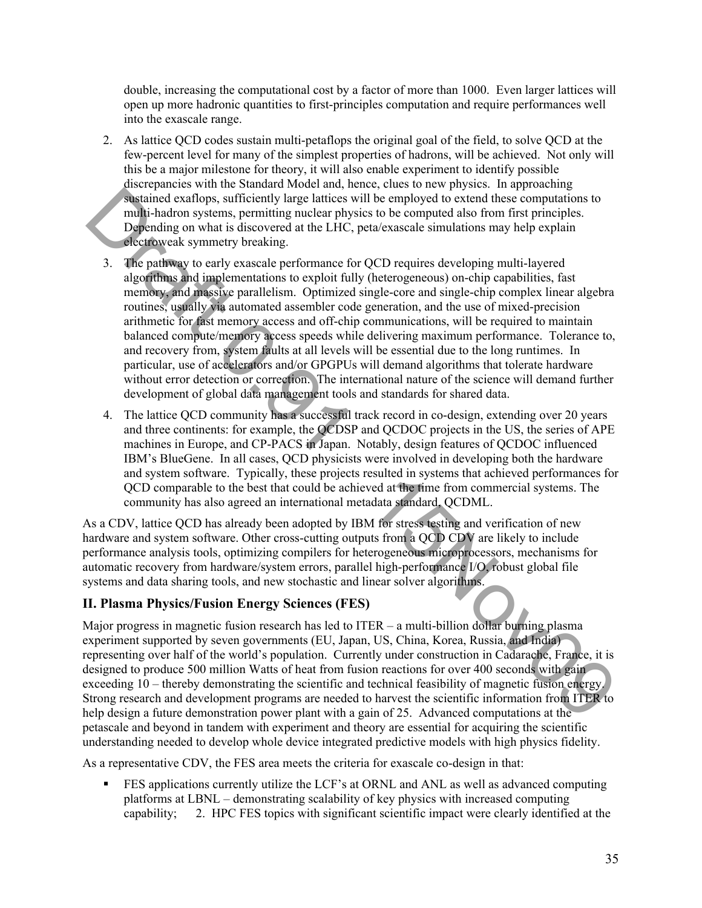double, increasing the computational cost by a factor of more than 1000. Even larger lattices will open up more hadronic quantities to first-principles computation and require performances well into the exascale range.

- 2. As lattice QCD codes sustain multi-petaflops the original goal of the field, to solve QCD at the few-percent level for many of the simplest properties of hadrons, will be achieved. Not only will this be a major milestone for theory, it will also enable experiment to identify possible discrepancies with the Standard Model and, hence, clues to new physics. In approaching sustained exaflops, sufficiently large lattices will be employed to extend these computations to multi-hadron systems, permitting nuclear physics to be computed also from first principles. Depending on what is discovered at the LHC, peta/exascale simulations may help explain electroweak symmetry breaking.
- 3. The pathway to early exascale performance for QCD requires developing multi-layered algorithms and implementations to exploit fully (heterogeneous) on-chip capabilities, fast memory, and massive parallelism. Optimized single-core and single-chip complex linear algebra routines, usually via automated assembler code generation, and the use of mixed-precision arithmetic for fast memory access and off-chip communications, will be required to maintain balanced compute/memory access speeds while delivering maximum performance. Tolerance to, and recovery from, system faults at all levels will be essential due to the long runtimes. In particular, use of accelerators and/or GPGPUs will demand algorithms that tolerate hardware without error detection or correction. The international nature of the science will demand further development of global data management tools and standards for shared data. The<br>simulation systems permitter anciently large lattices will be employed to extend these computations to<br>main-hadron systems, permitting unclear they is the computed also from first principles.<br>The peature of the peature
	- 4. The lattice QCD community has a successful track record in co-design, extending over 20 years and three continents: for example, the QCDSP and QCDOC projects in the US, the series of APE machines in Europe, and CP-PACS in Japan. Notably, design features of QCDOC influenced IBM's BlueGene. In all cases, QCD physicists were involved in developing both the hardware and system software. Typically, these projects resulted in systems that achieved performances for QCD comparable to the best that could be achieved at the time from commercial systems. The community has also agreed an international metadata standard, QCDML.

As a CDV, lattice QCD has already been adopted by IBM for stress testing and verification of new hardware and system software. Other cross-cutting outputs from a OCD CDV are likely to include performance analysis tools, optimizing compilers for heterogeneous microprocessors, mechanisms for automatic recovery from hardware/system errors, parallel high-performance I/O, robust global file systems and data sharing tools, and new stochastic and linear solver algorithms.

### **II. Plasma Physics/Fusion Energy Sciences (FES)**

Major progress in magnetic fusion research has led to ITER – a multi-billion dollar burning plasma experiment supported by seven governments (EU, Japan, US, China, Korea, Russia, and India) representing over half of the world's population. Currently under construction in Cadarache, France, it is designed to produce 500 million Watts of heat from fusion reactions for over 400 seconds with gain exceeding 10 – thereby demonstrating the scientific and technical feasibility of magnetic fusion energy. Strong research and development programs are needed to harvest the scientific information from ITER to help design a future demonstration power plant with a gain of 25. Advanced computations at the petascale and beyond in tandem with experiment and theory are essential for acquiring the scientific understanding needed to develop whole device integrated predictive models with high physics fidelity.

As a representative CDV, the FES area meets the criteria for exascale co-design in that:

 FES applications currently utilize the LCF's at ORNL and ANL as well as advanced computing platforms at LBNL – demonstrating scalability of key physics with increased computing capability; 2. HPC FES topics with significant scientific impact were clearly identified at the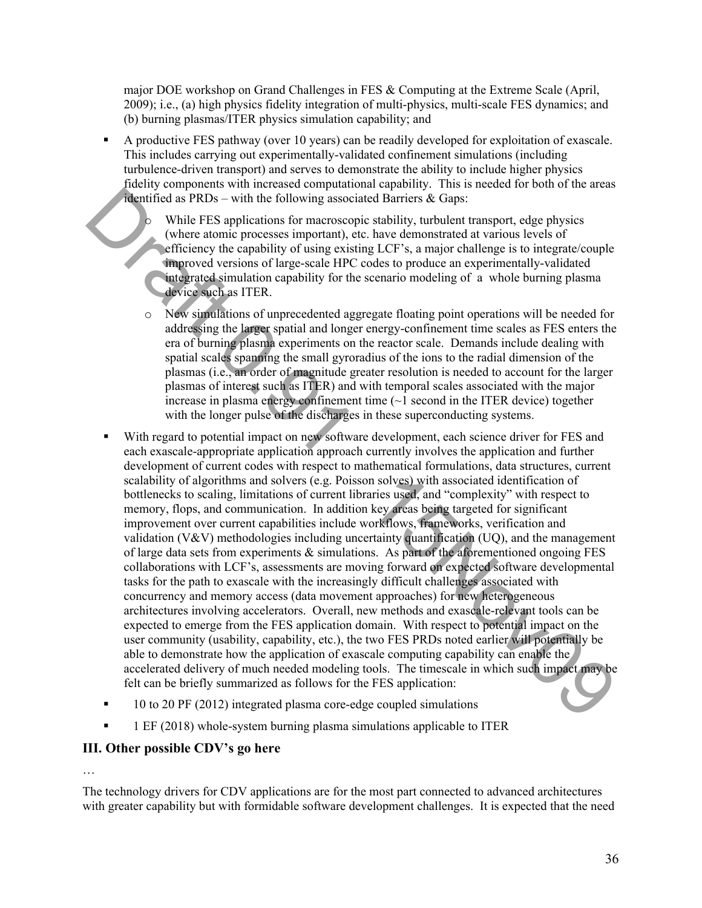major DOE workshop on Grand Challenges in FES & Computing at the Extreme Scale (April, 2009); i.e., (a) high physics fidelity integration of multi-physics, multi-scale FES dynamics; and (b) burning plasmas/ITER physics simulation capability; and

- A productive FES pathway (over 10 years) can be readily developed for exploitation of exascale. This includes carrying out experimentally-validated confinement simulations (including turbulence-driven transport) and serves to demonstrate the ability to include higher physics fidelity components with increased computational capability. This is needed for both of the areas identified as  $PRDs - with$  the following associated Barriers  $\&$  Gaps:
	- While FES applications for macroscopic stability, turbulent transport, edge physics (where atomic processes important), etc. have demonstrated at various levels of efficiency the capability of using existing LCF's, a major challenge is to integrate/couple improved versions of large-scale HPC codes to produce an experimentally-validated integrated simulation capability for the scenario modeling of a whole burning plasma device such as ITER.
	- o New simulations of unprecedented aggregate floating point operations will be needed for addressing the larger spatial and longer energy-confinement time scales as FES enters the era of burning plasma experiments on the reactor scale. Demands include dealing with spatial scales spanning the small gyroradius of the ions to the radial dimension of the plasmas (i.e., an order of magnitude greater resolution is needed to account for the larger plasmas of interest such as ITER) and with temporal scales associated with the major increase in plasma energy confinement time  $(\sim]$  second in the ITER device) together with the longer pulse of the discharges in these superconducting systems.
- With regard to potential impact on new software development, each science driver for FES and each exascale-appropriate application approach currently involves the application and further development of current codes with respect to mathematical formulations, data structures, current scalability of algorithms and solvers (e.g. Poisson solves) with associated identification of bottlenecks to scaling, limitations of current libraries used, and "complexity" with respect to memory, flops, and communication. In addition key areas being targeted for significant improvement over current capabilities include workflows, frameworks, verification and validation (V&V) methodologies including uncertainty quantification (UQ), and the management of large data sets from experiments & simulations. As part of the aforementioned ongoing FES collaborations with LCF's, assessments are moving forward on expected software developmental tasks for the path to exascale with the increasingly difficult challenges associated with concurrency and memory access (data movement approaches) for new heterogeneous architectures involving accelerators. Overall, new methods and exascale-relevant tools can be expected to emerge from the FES application domain. With respect to potential impact on the user community (usability, capability, etc.), the two FES PRDs noted earlier will potentially be able to demonstrate how the application of exascale computing capability can enable the accelerated delivery of much needed modeling tools. The timescale in which such impact may be felt can be briefly summarized as follows for the FES application: **Numtified as PRDs – with the following associated Barriers & Gaps.**<br>
While FES applications for marcoscopic subulity, urbulcned transport, edge physics<br>
(where atomic processes important), etc. have demonstrated at vario
	- <sup>10</sup> to 20 PF (2012) integrated plasma core-edge coupled simulations
	- $\blacksquare$  1 EF (2018) whole-system burning plasma simulations applicable to ITER

#### **III. Other possible CDV's go here**

…

The technology drivers for CDV applications are for the most part connected to advanced architectures with greater capability but with formidable software development challenges. It is expected that the need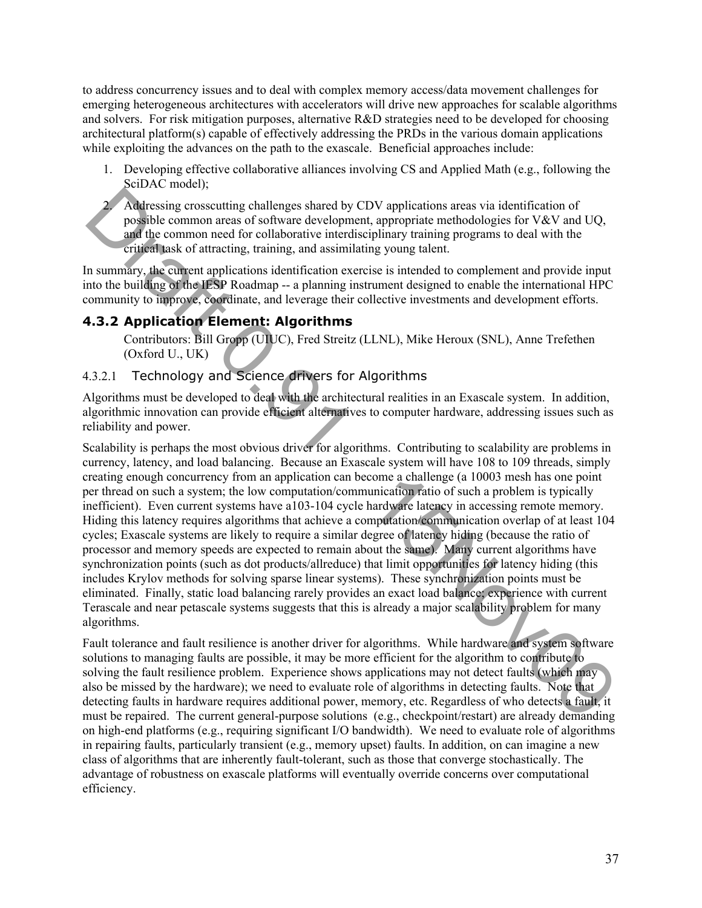to address concurrency issues and to deal with complex memory access/data movement challenges for emerging heterogeneous architectures with accelerators will drive new approaches for scalable algorithms and solvers. For risk mitigation purposes, alternative R&D strategies need to be developed for choosing architectural platform(s) capable of effectively addressing the PRDs in the various domain applications while exploiting the advances on the path to the exascale. Beneficial approaches include:

1. Developing effective collaborative alliances involving CS and Applied Math (e.g., following the SciDAC model);

2. Addressing crosscutting challenges shared by CDV applications areas via identification of possible common areas of software development, appropriate methodologies for V&V and UQ, and the common need for collaborative interdisciplinary training programs to deal with the critical task of attracting, training, and assimilating young talent.

In summary, the current applications identification exercise is intended to complement and provide input into the building of the IESP Roadmap -- a planning instrument designed to enable the international HPC community to improve, coordinate, and leverage their collective investments and development efforts.

# **4.3.2 Application Element: Algorithms**

Contributors: Bill Gropp (UIUC), Fred Streitz (LLNL), Mike Heroux (SNL), Anne Trefethen (Oxford U., UK)

#### 4.3.2.1 Technology and Science drivers for Algorithms

Algorithms must be developed to deal with the architectural realities in an Exascale system. In addition, algorithmic innovation can provide efficient alternatives to computer hardware, addressing issues such as reliability and power.

Scalability is perhaps the most obvious driver for algorithms. Contributing to scalability are problems in currency, latency, and load balancing. Because an Exascale system will have 108 to 109 threads, simply creating enough concurrency from an application can become a challenge (a 10003 mesh has one point per thread on such a system; the low computation/communication ratio of such a problem is typically inefficient). Even current systems have a103-104 cycle hardware latency in accessing remote memory. Hiding this latency requires algorithms that achieve a computation/communication overlap of at least 104 cycles; Exascale systems are likely to require a similar degree of latency hiding (because the ratio of processor and memory speeds are expected to remain about the same). Many current algorithms have synchronization points (such as dot products/allreduce) that limit opportunities for latency hiding (this includes Krylov methods for solving sparse linear systems). These synchronization points must be eliminated. Finally, static load balancing rarely provides an exact load balance; experience with current Terascale and near petascale systems suggests that this is already a major scalability problem for many algorithms. Addressing crosscutting challenges shared by CDV applications areas via identification of<br>possible common areas of software development, appropriate methodologies for V&V and UQ.<br>and the common necas for collaborative inte

Fault tolerance and fault resilience is another driver for algorithms. While hardware and system software solutions to managing faults are possible, it may be more efficient for the algorithm to contribute to solving the fault resilience problem. Experience shows applications may not detect faults (which may also be missed by the hardware); we need to evaluate role of algorithms in detecting faults. Note that detecting faults in hardware requires additional power, memory, etc. Regardless of who detects a fault, it must be repaired. The current general-purpose solutions (e.g., checkpoint/restart) are already demanding on high-end platforms (e.g., requiring significant I/O bandwidth). We need to evaluate role of algorithms in repairing faults, particularly transient (e.g., memory upset) faults. In addition, on can imagine a new class of algorithms that are inherently fault-tolerant, such as those that converge stochastically. The advantage of robustness on exascale platforms will eventually override concerns over computational efficiency.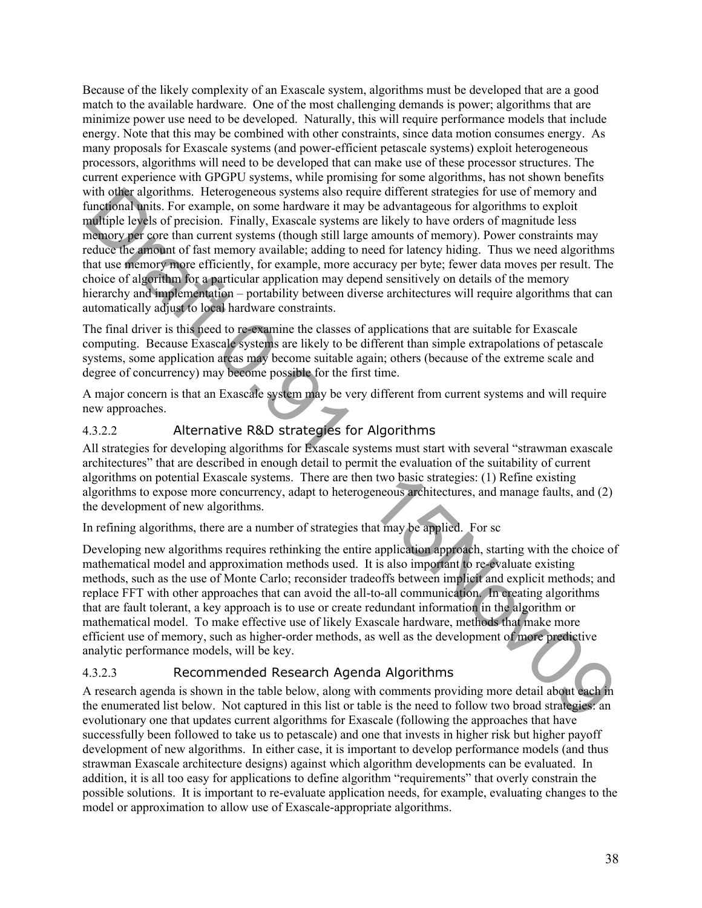Because of the likely complexity of an Exascale system, algorithms must be developed that are a good match to the available hardware. One of the most challenging demands is power; algorithms that are minimize power use need to be developed. Naturally, this will require performance models that include energy. Note that this may be combined with other constraints, since data motion consumes energy. As many proposals for Exascale systems (and power-efficient petascale systems) exploit heterogeneous processors, algorithms will need to be developed that can make use of these processor structures. The current experience with GPGPU systems, while promising for some algorithms, has not shown benefits with other algorithms. Heterogeneous systems also require different strategies for use of memory and functional units. For example, on some hardware it may be advantageous for algorithms to exploit multiple levels of precision. Finally, Exascale systems are likely to have orders of magnitude less memory per core than current systems (though still large amounts of memory). Power constraints may reduce the amount of fast memory available; adding to need for latency hiding. Thus we need algorithms that use memory more efficiently, for example, more accuracy per byte; fewer data moves per result. The choice of algorithm for a particular application may depend sensitively on details of the memory hierarchy and implementation – portability between diverse architectures will require algorithms that can automatically adjust to local hardware constraints. with other algorithms. Heterogeneous systems also require different strategies for use of memory and<br>window and the best of metally characteristic memory and the memory of<br>method with the secondary of memory and the memory

The final driver is this need to re-examine the classes of applications that are suitable for Exascale computing. Because Exascale systems are likely to be different than simple extrapolations of petascale systems, some application areas may become suitable again; others (because of the extreme scale and degree of concurrency) may become possible for the first time.

A major concern is that an Exascale system may be very different from current systems and will require new approaches.

# 4.3.2.2 Alternative R&D strategies for Algorithms

All strategies for developing algorithms for Exascale systems must start with several "strawman exascale architectures" that are described in enough detail to permit the evaluation of the suitability of current algorithms on potential Exascale systems. There are then two basic strategies: (1) Refine existing algorithms to expose more concurrency, adapt to heterogeneous architectures, and manage faults, and (2) the development of new algorithms.

In refining algorithms, there are a number of strategies that may be applied. For sc

Developing new algorithms requires rethinking the entire application approach, starting with the choice of mathematical model and approximation methods used. It is also important to re-evaluate existing methods, such as the use of Monte Carlo; reconsider tradeoffs between implicit and explicit methods; and replace FFT with other approaches that can avoid the all-to-all communication. In creating algorithms that are fault tolerant, a key approach is to use or create redundant information in the algorithm or mathematical model. To make effective use of likely Exascale hardware, methods that make more efficient use of memory, such as higher-order methods, as well as the development of more predictive analytic performance models, will be key.

### 4.3.2.3 Recommended Research Agenda Algorithms

A research agenda is shown in the table below, along with comments providing more detail about each in the enumerated list below. Not captured in this list or table is the need to follow two broad strategies: an evolutionary one that updates current algorithms for Exascale (following the approaches that have successfully been followed to take us to petascale) and one that invests in higher risk but higher payoff development of new algorithms. In either case, it is important to develop performance models (and thus strawman Exascale architecture designs) against which algorithm developments can be evaluated. In addition, it is all too easy for applications to define algorithm "requirements" that overly constrain the possible solutions. It is important to re-evaluate application needs, for example, evaluating changes to the model or approximation to allow use of Exascale-appropriate algorithms.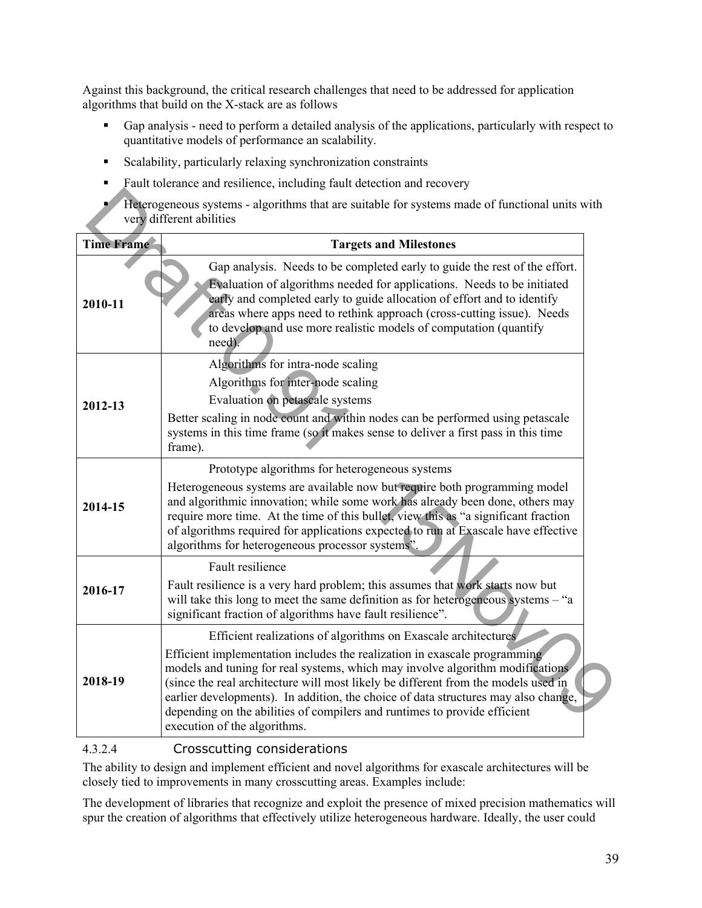Against this background, the critical research challenges that need to be addressed for application algorithms that build on the X-stack are as follows

- Gap analysis need to perform a detailed analysis of the applications, particularly with respect to quantitative models of performance an scalability.
- Scalability, particularly relaxing synchronization constraints
- Fault tolerance and resilience, including fault detection and recovery
- Heterogeneous systems algorithms that are suitable for systems made of functional units with very different abilities

| Heterogeneous systems - algorithms that are suitable for systems made of functional units with<br>very different abilities |                                                                                                                                                                                                                                                                                                                                                                                                                                                                                                                       |  |  |  |  |  |  |
|----------------------------------------------------------------------------------------------------------------------------|-----------------------------------------------------------------------------------------------------------------------------------------------------------------------------------------------------------------------------------------------------------------------------------------------------------------------------------------------------------------------------------------------------------------------------------------------------------------------------------------------------------------------|--|--|--|--|--|--|
| <b>Time Frame</b>                                                                                                          | <b>Targets and Milestones</b>                                                                                                                                                                                                                                                                                                                                                                                                                                                                                         |  |  |  |  |  |  |
| 2010-11                                                                                                                    | Gap analysis. Needs to be completed early to guide the rest of the effort.<br>Evaluation of algorithms needed for applications. Needs to be initiated<br>early and completed early to guide allocation of effort and to identify<br>areas where apps need to rethink approach (cross-cutting issue). Needs<br>to develop and use more realistic models of computation (quantify<br>need).                                                                                                                             |  |  |  |  |  |  |
| 2012-13                                                                                                                    | Algorithms for intra-node scaling<br>Algorithms for inter-node scaling<br>Evaluation on petascale systems<br>Better scaling in node count and within nodes can be performed using petascale<br>systems in this time frame (so it makes sense to deliver a first pass in this time<br>frame).                                                                                                                                                                                                                          |  |  |  |  |  |  |
| 2014-15                                                                                                                    | Prototype algorithms for heterogeneous systems<br>Heterogeneous systems are available now but require both programming model<br>and algorithmic innovation; while some work has already been done, others may<br>require more time. At the time of this bullet, view this as "a significant fraction<br>of algorithms required for applications expected to run at Exascale have effective<br>algorithms for heterogeneous processor systems"                                                                         |  |  |  |  |  |  |
| 2016-17                                                                                                                    | Fault resilience<br>Fault resilience is a very hard problem; this assumes that work starts now but<br>will take this long to meet the same definition as for heterogeneous systems – "a<br>significant fraction of algorithms have fault resilience".                                                                                                                                                                                                                                                                 |  |  |  |  |  |  |
| 2018-19                                                                                                                    | Efficient realizations of algorithms on Exascale architectures<br>Efficient implementation includes the realization in exascale programming<br>models and tuning for real systems, which may involve algorithm modifications<br>(since the real architecture will most likely be different from the models used in<br>earlier developments). In addition, the choice of data structures may also change,<br>depending on the abilities of compilers and runtimes to provide efficient<br>execution of the algorithms. |  |  |  |  |  |  |

#### 4.3.2.4 Crosscutting considerations

The ability to design and implement efficient and novel algorithms for exascale architectures will be closely tied to improvements in many crosscutting areas. Examples include:

The development of libraries that recognize and exploit the presence of mixed precision mathematics will spur the creation of algorithms that effectively utilize heterogeneous hardware. Ideally, the user could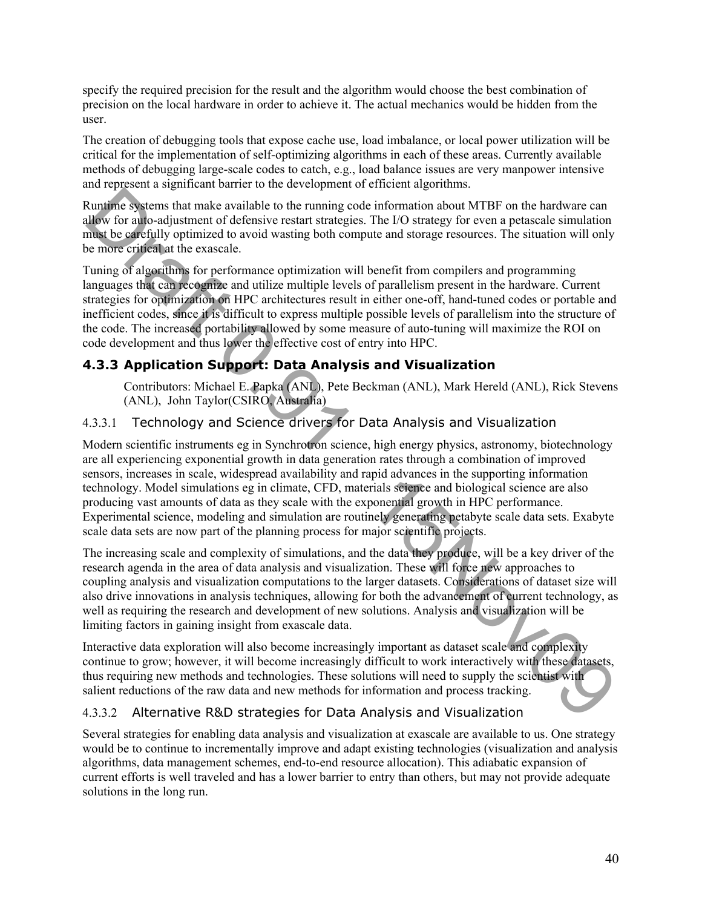specify the required precision for the result and the algorithm would choose the best combination of precision on the local hardware in order to achieve it. The actual mechanics would be hidden from the user.

The creation of debugging tools that expose cache use, load imbalance, or local power utilization will be critical for the implementation of self-optimizing algorithms in each of these areas. Currently available methods of debugging large-scale codes to catch, e.g., load balance issues are very manpower intensive and represent a significant barrier to the development of efficient algorithms.

Runtime systems that make available to the running code information about MTBF on the hardware can allow for auto-adjustment of defensive restart strategies. The I/O strategy for even a petascale simulation must be carefully optimized to avoid wasting both compute and storage resources. The situation will only be more critical at the exascale.

Tuning of algorithms for performance optimization will benefit from compilers and programming languages that can recognize and utilize multiple levels of parallelism present in the hardware. Current strategies for optimization on HPC architectures result in either one-off, hand-tuned codes or portable and inefficient codes, since it is difficult to express multiple possible levels of parallelism into the structure of the code. The increased portability allowed by some measure of auto-tuning will maximize the ROI on code development and thus lower the effective cost of entry into HPC.

# **4.3.3 Application Support: Data Analysis and Visualization**

Contributors: Michael E. Papka (ANL), Pete Beckman (ANL), Mark Hereld (ANL), Rick Stevens (ANL), John Taylor(CSIRO, Australia)

### 4.3.3.1 Technology and Science drivers for Data Analysis and Visualization

Modern scientific instruments eg in Synchrotron science, high energy physics, astronomy, biotechnology are all experiencing exponential growth in data generation rates through a combination of improved sensors, increases in scale, widespread availability and rapid advances in the supporting information technology. Model simulations eg in climate, CFD, materials science and biological science are also producing vast amounts of data as they scale with the exponential growth in HPC performance. Experimental science, modeling and simulation are routinely generating petabyte scale data sets. Exabyte scale data sets are now part of the planning process for major scientific projects. Xumithe systems that make available to the running code information about MTBF on the hardware can<br>like for any disadignment of decision's restart structies. The 100 statety for overa pelassale is multion<br>base be surfaily

The increasing scale and complexity of simulations, and the data they produce, will be a key driver of the research agenda in the area of data analysis and visualization. These will force new approaches to coupling analysis and visualization computations to the larger datasets. Considerations of dataset size will also drive innovations in analysis techniques, allowing for both the advancement of current technology, as well as requiring the research and development of new solutions. Analysis and visualization will be limiting factors in gaining insight from exascale data.

Interactive data exploration will also become increasingly important as dataset scale and complexity continue to grow; however, it will become increasingly difficult to work interactively with these datasets, thus requiring new methods and technologies. These solutions will need to supply the scientist with salient reductions of the raw data and new methods for information and process tracking.

### 4.3.3.2 Alternative R&D strategies for Data Analysis and Visualization

Several strategies for enabling data analysis and visualization at exascale are available to us. One strategy would be to continue to incrementally improve and adapt existing technologies (visualization and analysis algorithms, data management schemes, end-to-end resource allocation). This adiabatic expansion of current efforts is well traveled and has a lower barrier to entry than others, but may not provide adequate solutions in the long run.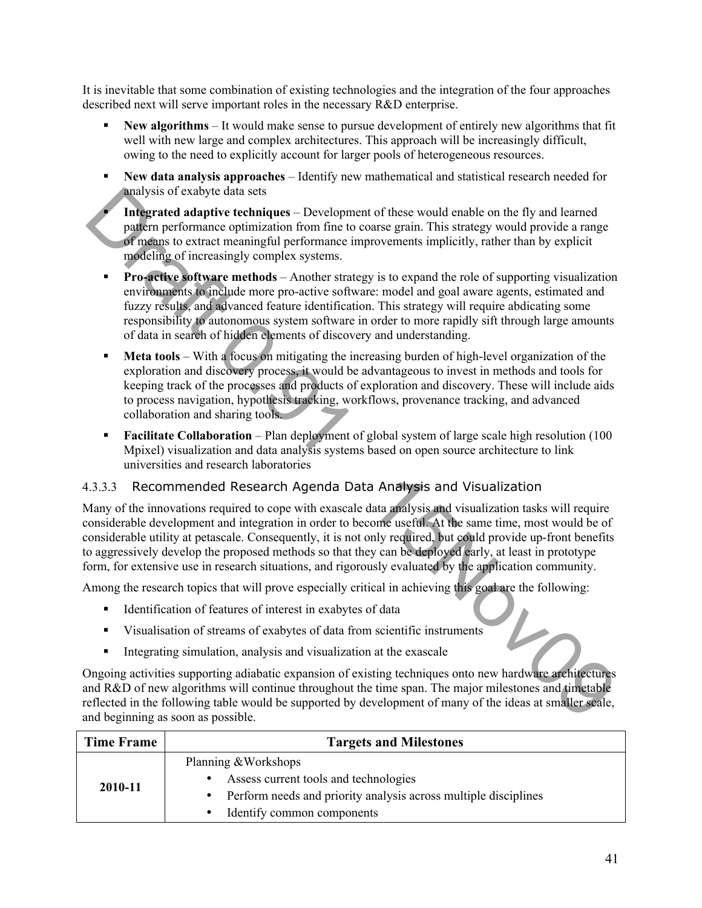It is inevitable that some combination of existing technologies and the integration of the four approaches described next will serve important roles in the necessary R&D enterprise.

- **New algorithms** It would make sense to pursue development of entirely new algorithms that fit well with new large and complex architectures. This approach will be increasingly difficult, owing to the need to explicitly account for larger pools of heterogeneous resources.
- **New data analysis approaches** Identify new mathematical and statistical research needed for analysis of exabyte data sets
- **Integrated adaptive techniques** Development of these would enable on the fly and learned pattern performance optimization from fine to coarse grain. This strategy would provide a range of means to extract meaningful performance improvements implicitly, rather than by explicit modeling of increasingly complex systems.
- **Pro-active software methods** Another strategy is to expand the role of supporting visualization environments to include more pro-active software: model and goal aware agents, estimated and fuzzy results, and advanced feature identification. This strategy will require abdicating some responsibility to autonomous system software in order to more rapidly sift through large amounts of data in search of hidden elements of discovery and understanding.
- **Meta tools** With a focus on mitigating the increasing burden of high-level organization of the exploration and discovery process, it would be advantageous to invest in methods and tools for keeping track of the processes and products of exploration and discovery. These will include aids to process navigation, hypothesis tracking, workflows, provenance tracking, and advanced collaboration and sharing tools.
- **Facilitate Collaboration** Plan deployment of global system of large scale high resolution (100 Mpixel) visualization and data analysis systems based on open source architecture to link universities and research laboratories

#### 4.3.3.3 Recommended Research Agenda Data Analysis and Visualization

Many of the innovations required to cope with exascale data analysis and visualization tasks will require considerable development and integration in order to become useful. At the same time, most would be of considerable utility at petascale. Consequently, it is not only required, but could provide up-front benefits to aggressively develop the proposed methods so that they can be deployed early, at least in prototype form, for extensive use in research situations, and rigorously evaluated by the application community. Thus the case of the method of the second and the second and the second and the second and the second and the second and the second and the second and the second method in the second method in the second method in the seco

Among the research topics that will prove especially critical in achieving this goal are the following:

- Identification of features of interest in exabytes of data
- Visualisation of streams of exabytes of data from scientific instruments
- Integrating simulation, analysis and visualization at the exascale

Ongoing activities supporting adiabatic expansion of existing techniques onto new hardware architectures and R&D of new algorithms will continue throughout the time span. The major milestones and timetable reflected in the following table would be supported by development of many of the ideas at smaller scale, and beginning as soon as possible.

| <b>Time Frame</b> | <b>Targets and Milestones</b>                                                                                                                                               |
|-------------------|-----------------------------------------------------------------------------------------------------------------------------------------------------------------------------|
| 2010-11           | Planning & Workshops<br>Assess current tools and technologies<br>Perform needs and priority analysis across multiple disciplines<br>$\bullet$<br>Identify common components |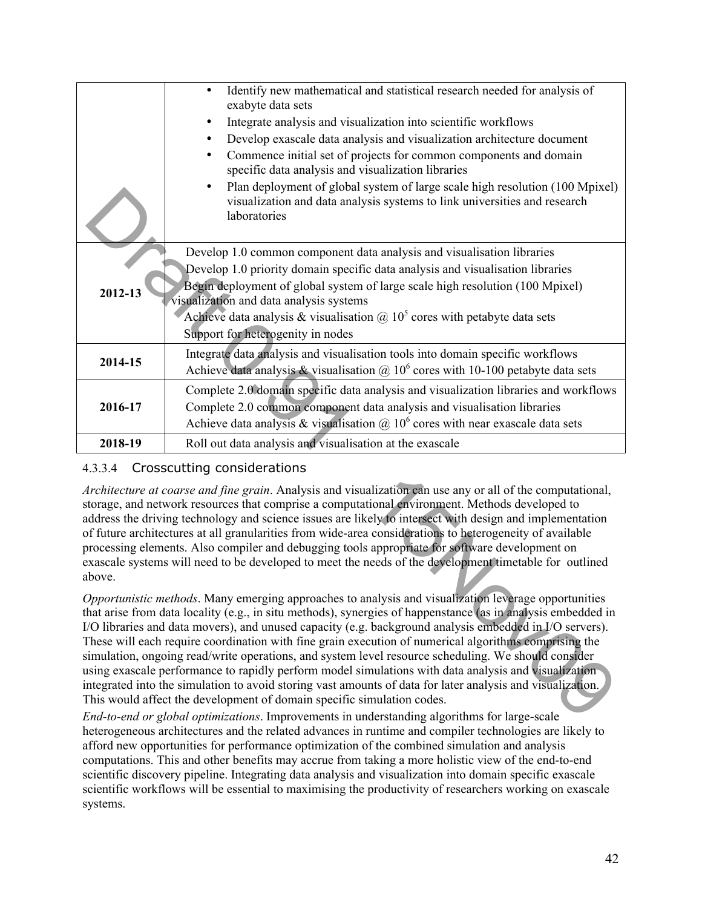|         | Identify new mathematical and statistical research needed for analysis of<br>$\bullet$<br>exabyte data sets                                                                                                        |
|---------|--------------------------------------------------------------------------------------------------------------------------------------------------------------------------------------------------------------------|
|         | Integrate analysis and visualization into scientific workflows<br>$\bullet$                                                                                                                                        |
|         | Develop exascale data analysis and visualization architecture document<br>$\bullet$                                                                                                                                |
|         | Commence initial set of projects for common components and domain<br>٠                                                                                                                                             |
|         | specific data analysis and visualization libraries                                                                                                                                                                 |
|         | Plan deployment of global system of large scale high resolution (100 Mpixel)                                                                                                                                       |
|         | visualization and data analysis systems to link universities and research                                                                                                                                          |
|         | laboratories                                                                                                                                                                                                       |
|         |                                                                                                                                                                                                                    |
|         | Develop 1.0 common component data analysis and visualisation libraries                                                                                                                                             |
|         | Develop 1.0 priority domain specific data analysis and visualisation libraries                                                                                                                                     |
| 2012-13 | Begin deployment of global system of large scale high resolution (100 Mpixel)<br>visualization and data analysis systems                                                                                           |
|         | Achieve data analysis & visualisation $\omega$ 10 <sup>5</sup> cores with petabyte data sets                                                                                                                       |
|         | Support for heterogenity in nodes                                                                                                                                                                                  |
|         |                                                                                                                                                                                                                    |
| 2014-15 | Integrate data analysis and visualisation tools into domain specific workflows                                                                                                                                     |
|         | Achieve data analysis & visualisation $\omega$ 10 <sup>6</sup> cores with 10-100 petabyte data sets                                                                                                                |
|         | Complete 2.0 domain specific data analysis and visualization libraries and workflows                                                                                                                               |
| 2016-17 | Complete 2.0 common component data analysis and visualisation libraries                                                                                                                                            |
|         | Achieve data analysis & visualisation $\omega$ 10 <sup>6</sup> cores with near exascale data sets                                                                                                                  |
| 2018-19 | Roll out data analysis and visualisation at the exascale                                                                                                                                                           |
| 4.3.3.4 | Crosscutting considerations                                                                                                                                                                                        |
|         | Architecture at coarse and fine grain. Analysis and visualization can use any or all of the computational,                                                                                                         |
|         | storage, and network resources that comprise a computational environment. Methods developed to                                                                                                                     |
|         | address the driving technology and science issues are likely to intersect with design and implementation                                                                                                           |
|         | of future architectures at all granularities from wide-area considerations to heterogeneity of available<br>processing elements. Also compiler and debugging tools appropriate for software development on         |
|         | exascale systems will need to be developed to meet the needs of the development timetable for outlined                                                                                                             |
| above.  |                                                                                                                                                                                                                    |
|         | Opportunistic methods. Many emerging approaches to analysis and visualization leverage opportunities                                                                                                               |
|         | that arise from data locality (e.g., in situ methods), synergies of happenstance (as in analysis embedded in                                                                                                       |
|         | I/O libraries and data movers), and unused capacity (e.g. background analysis embedded in I/O servers).                                                                                                            |
|         | These will each require coordination with fine grain execution of numerical algorithms comprising the                                                                                                              |
|         | simulation, ongoing read/write operations, and system level resource scheduling. We should consider                                                                                                                |
|         | using exascale performance to rapidly perform model simulations with data analysis and visualization<br>integrated into the simulation to avoid storing vast amounts of data for later analysis and visualization. |
|         | This would affect the development of domain specific simulation codes.                                                                                                                                             |
|         | <i>End-to-end or global optimizations.</i> Improvements in understanding algorithms for large-scale                                                                                                                |

### 4.3.3.4 Crosscutting considerations

*End-to-end or global optimizations*. Improvements in understanding algorithms for large-scale heterogeneous architectures and the related advances in runtime and compiler technologies are likely to afford new opportunities for performance optimization of the combined simulation and analysis computations. This and other benefits may accrue from taking a more holistic view of the end-to-end scientific discovery pipeline. Integrating data analysis and visualization into domain specific exascale scientific workflows will be essential to maximising the productivity of researchers working on exascale systems.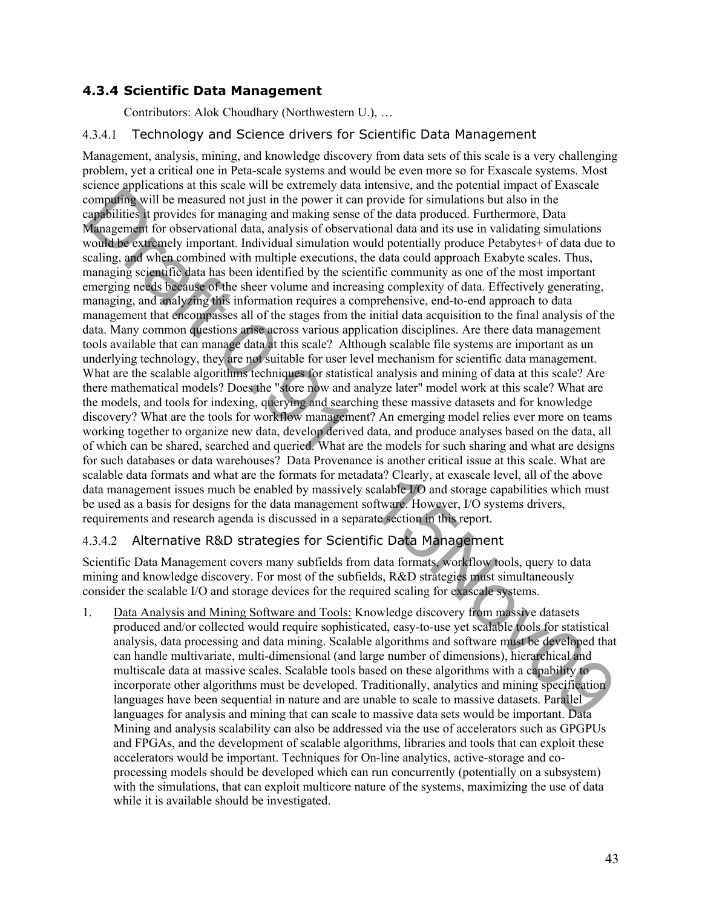#### **4.3.4 Scientific Data Management**

Contributors: Alok Choudhary (Northwestern U.), …

#### 4.3.4.1 Technology and Science drivers for Scientific Data Management

Management, analysis, mining, and knowledge discovery from data sets of this scale is a very challenging problem, yet a critical one in Peta-scale systems and would be even more so for Exascale systems. Most science applications at this scale will be extremely data intensive, and the potential impact of Exascale computing will be measured not just in the power it can provide for simulations but also in the capabilities it provides for managing and making sense of the data produced. Furthermore, Data Management for observational data, analysis of observational data and its use in validating simulations would be extremely important. Individual simulation would potentially produce Petabytes+ of data due to scaling, and when combined with multiple executions, the data could approach Exabyte scales. Thus, managing scientific data has been identified by the scientific community as one of the most important emerging needs because of the sheer volume and increasing complexity of data. Effectively generating, managing, and analyzing this information requires a comprehensive, end-to-end approach to data management that encompasses all of the stages from the initial data acquisition to the final analysis of the data. Many common questions arise across various application disciplines. Are there data management tools available that can manage data at this scale? Although scalable file systems are important as un underlying technology, they are not suitable for user level mechanism for scientific data management. What are the scalable algorithms techniques for statistical analysis and mining of data at this scale? Are there mathematical models? Does the "store now and analyze later" model work at this scale? What are the models, and tools for indexing, querying and searching these massive datasets and for knowledge discovery? What are the tools for workflow management? An emerging model relies ever more on teams working together to organize new data, develop derived data, and produce analyses based on the data, all of which can be shared, searched and queried. What are the models for such sharing and what are designs for such databases or data warehouses? Data Provenance is another critical issue at this scale. What are scalable data formats and what are the formats for metadata? Clearly, at exascale level, all of the above data management issues much be enabled by massively scalable I/O and storage capabilities which must be used as a basis for designs for the data management software. However, I/O systems drivers, requirements and research agenda is discussed in a separate section in this report. comparing will be measured not just in the power it can provide for simulations but also in the magnetimes. It provids for manging and making systes of the data produced Purkmane, Data statistical provides for manging and

### 4.3.4.2 Alternative R&D strategies for Scientific Data Management

Scientific Data Management covers many subfields from data formats, workflow tools, query to data mining and knowledge discovery. For most of the subfields, R&D strategies must simultaneously consider the scalable I/O and storage devices for the required scaling for exascale systems.

1. Data Analysis and Mining Software and Tools: Knowledge discovery from massive datasets produced and/or collected would require sophisticated, easy-to-use yet scalable tools for statistical analysis, data processing and data mining. Scalable algorithms and software must be developed that can handle multivariate, multi-dimensional (and large number of dimensions), hierarchical and multiscale data at massive scales. Scalable tools based on these algorithms with a capability to incorporate other algorithms must be developed. Traditionally, analytics and mining specification languages have been sequential in nature and are unable to scale to massive datasets. Parallel languages for analysis and mining that can scale to massive data sets would be important. Data Mining and analysis scalability can also be addressed via the use of accelerators such as GPGPUs and FPGAs, and the development of scalable algorithms, libraries and tools that can exploit these accelerators would be important. Techniques for On-line analytics, active-storage and coprocessing models should be developed which can run concurrently (potentially on a subsystem) with the simulations, that can exploit multicore nature of the systems, maximizing the use of data while it is available should be investigated.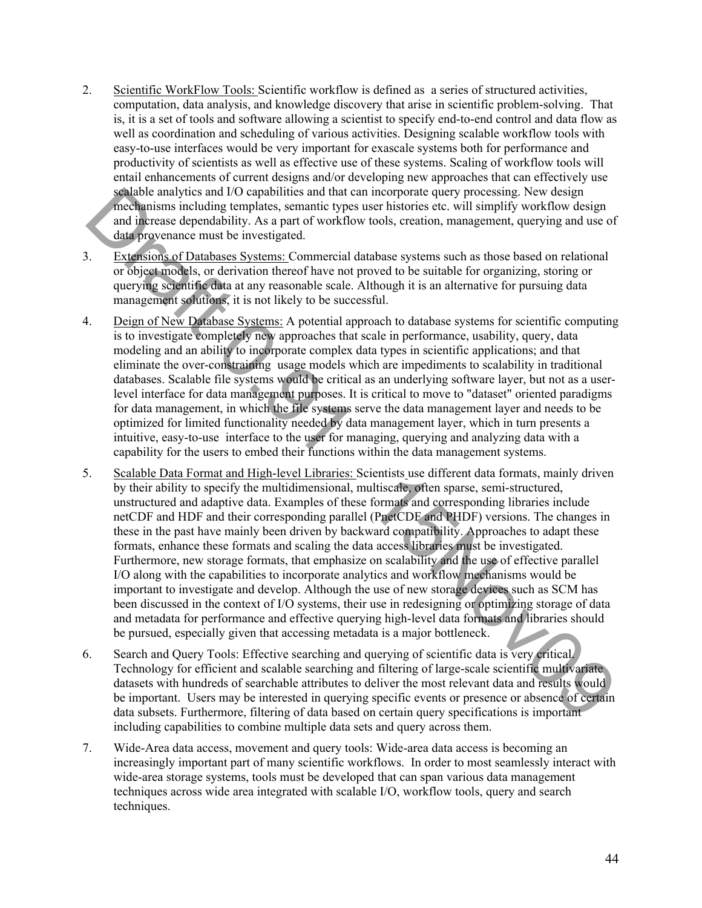- 2. Scientific WorkFlow Tools: Scientific workflow is defined as a series of structured activities, computation, data analysis, and knowledge discovery that arise in scientific problem-solving. That is, it is a set of tools and software allowing a scientist to specify end-to-end control and data flow as well as coordination and scheduling of various activities. Designing scalable workflow tools with easy-to-use interfaces would be very important for exascale systems both for performance and productivity of scientists as well as effective use of these systems. Scaling of workflow tools will entail enhancements of current designs and/or developing new approaches that can effectively use scalable analytics and I/O capabilities and that can incorporate query processing. New design mechanisms including templates, semantic types user histories etc. will simplify workflow design and increase dependability. As a part of workflow tools, creation, management, querying and use of data provenance must be investigated.
- 3. Extensions of Databases Systems: Commercial database systems such as those based on relational or object models, or derivation thereof have not proved to be suitable for organizing, storing or querying scientific data at any reasonable scale. Although it is an alternative for pursuing data management solutions, it is not likely to be successful.
- 4. Deign of New Database Systems: A potential approach to database systems for scientific computing is to investigate completely new approaches that scale in performance, usability, query, data modeling and an ability to incorporate complex data types in scientific applications; and that eliminate the over-constraining usage models which are impediments to scalability in traditional databases. Scalable file systems would be critical as an underlying software layer, but not as a userlevel interface for data management purposes. It is critical to move to "dataset" oriented paradigms for data management, in which the file systems serve the data management layer and needs to be optimized for limited functionality needed by data management layer, which in turn presents a intuitive, easy-to-use interface to the user for managing, querying and analyzing data with a capability for the users to embed their functions within the data management systems.
- 5. Scalable Data Format and High-level Libraries: Scientists use different data formats, mainly driven by their ability to specify the multidimensional, multiscale, often sparse, semi-structured, unstructured and adaptive data. Examples of these formats and corresponding libraries include netCDF and HDF and their corresponding parallel (PnetCDF and PHDF) versions. The changes in these in the past have mainly been driven by backward compatibility. Approaches to adapt these formats, enhance these formats and scaling the data access libraries must be investigated. Furthermore, new storage formats, that emphasize on scalability and the use of effective parallel I/O along with the capabilities to incorporate analytics and workflow mechanisms would be important to investigate and develop. Although the use of new storage devices such as SCM has been discussed in the context of I/O systems, their use in redesigning or optimizing storage of data and metadata for performance and effective querying high-level data formats and libraries should be pursued, especially given that accessing metadata is a major bottleneck. Scaline analytics and 100 capabilities and that can incorporate query processing. New design and increase dependability, As a part of work low design and increase dependability. As a part of work low tools, encaining manag
- 6. Search and Query Tools: Effective searching and querying of scientific data is very critical. Technology for efficient and scalable searching and filtering of large-scale scientific multivariate datasets with hundreds of searchable attributes to deliver the most relevant data and results would be important. Users may be interested in querying specific events or presence or absence of certain data subsets. Furthermore, filtering of data based on certain query specifications is important including capabilities to combine multiple data sets and query across them.
- 7. Wide-Area data access, movement and query tools: Wide-area data access is becoming an increasingly important part of many scientific workflows. In order to most seamlessly interact with wide-area storage systems, tools must be developed that can span various data management techniques across wide area integrated with scalable I/O, workflow tools, query and search techniques.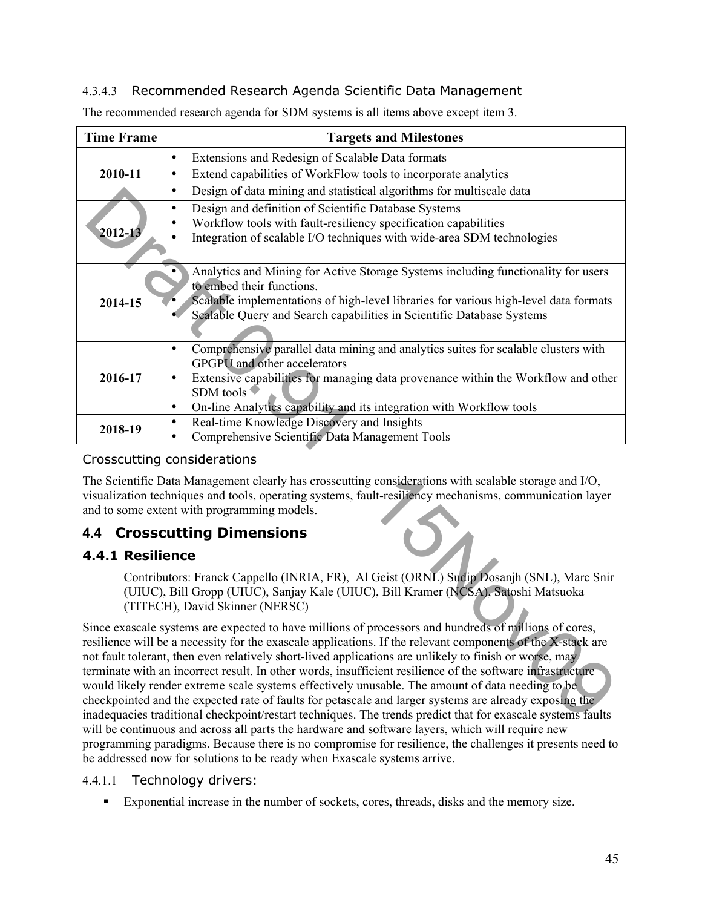#### 4.3.4.3 Recommended Research Agenda Scientific Data Management

| <b>Time Frame</b>       | <b>Targets and Milestones</b>                                                                                                                                                                                                                                                                                                                                                                                                                                                                                                                                                                                                                                                                                                                                             |
|-------------------------|---------------------------------------------------------------------------------------------------------------------------------------------------------------------------------------------------------------------------------------------------------------------------------------------------------------------------------------------------------------------------------------------------------------------------------------------------------------------------------------------------------------------------------------------------------------------------------------------------------------------------------------------------------------------------------------------------------------------------------------------------------------------------|
|                         | Extensions and Redesign of Scalable Data formats<br>$\bullet$                                                                                                                                                                                                                                                                                                                                                                                                                                                                                                                                                                                                                                                                                                             |
| 2010-11                 | Extend capabilities of WorkFlow tools to incorporate analytics<br>$\bullet$                                                                                                                                                                                                                                                                                                                                                                                                                                                                                                                                                                                                                                                                                               |
|                         | Design of data mining and statistical algorithms for multiscale data<br>$\bullet$                                                                                                                                                                                                                                                                                                                                                                                                                                                                                                                                                                                                                                                                                         |
| 2012-13                 | Design and definition of Scientific Database Systems<br>$\bullet$<br>Workflow tools with fault-resiliency specification capabilities<br>$\bullet$<br>Integration of scalable I/O techniques with wide-area SDM technologies                                                                                                                                                                                                                                                                                                                                                                                                                                                                                                                                               |
| 2014-15                 | Analytics and Mining for Active Storage Systems including functionality for users<br>to embed their functions.<br>Scalable implementations of high-level libraries for various high-level data formats<br>Scalable Query and Search capabilities in Scientific Database Systems                                                                                                                                                                                                                                                                                                                                                                                                                                                                                           |
| 2016-17                 | Comprehensive parallel data mining and analytics suites for scalable clusters with<br>$\bullet$<br><b>GPGPU</b> and other accelerators<br>Extensive capabilities for managing data provenance within the Workflow and other<br>$\bullet$<br>SDM tools<br>On-line Analytics capability and its integration with Workflow tools<br>$\bullet$                                                                                                                                                                                                                                                                                                                                                                                                                                |
| 2018-19                 | Real-time Knowledge Discovery and Insights<br>$\bullet$<br>Comprehensive Scientific Data Management Tools<br>$\bullet$                                                                                                                                                                                                                                                                                                                                                                                                                                                                                                                                                                                                                                                    |
|                         | Crosscutting considerations                                                                                                                                                                                                                                                                                                                                                                                                                                                                                                                                                                                                                                                                                                                                               |
|                         | The Scientific Data Management clearly has crosscutting considerations with scalable storage and I/O,<br>visualization techniques and tools, operating systems, fault-resiliency mechanisms, communication layer<br>and to some extent with programming models.                                                                                                                                                                                                                                                                                                                                                                                                                                                                                                           |
|                         | <b>4.4 Crosscutting Dimensions</b>                                                                                                                                                                                                                                                                                                                                                                                                                                                                                                                                                                                                                                                                                                                                        |
| <b>4.4.1 Resilience</b> |                                                                                                                                                                                                                                                                                                                                                                                                                                                                                                                                                                                                                                                                                                                                                                           |
|                         | Contributors: Franck Cappello (INRIA, FR), Al Geist (ORNL) Sudip Dosanjh (SNL), Marc Snir<br>(UIUC), Bill Gropp (UIUC), Sanjay Kale (UIUC), Bill Kramer (NCSA), Satoshi Matsuoka<br>(TITECH), David Skinner (NERSC)                                                                                                                                                                                                                                                                                                                                                                                                                                                                                                                                                       |
|                         | Since exascale systems are expected to have millions of processors and hundreds of millions of cores,<br>resilience will be a necessity for the exascale applications. If the relevant components of the X-stack are<br>not fault tolerant, then even relatively short-lived applications are unlikely to finish or worse, may<br>terminate with an incorrect result. In other words, insufficient resilience of the software infrastructure<br>would likely render extreme scale systems effectively unusable. The amount of data needing to be<br>checkpointed and the expected rate of faults for petascale and larger systems are already exposing the<br>inadequacies traditional checkpoint/restart techniques. The trends predict that for exascale systems faults |

The recommended research agenda for SDM systems is all items above except item 3.

#### Crosscutting considerations

# **4.4 Crosscutting Dimensions**

### **4.4.1 Resilience**

Since exascale systems are expected to have millions of processors and hundreds of millions of cores, resilience will be a necessity for the exascale applications. If the relevant components of the X-stack are not fault tolerant, then even relatively short-lived applications are unlikely to finish or worse, may terminate with an incorrect result. In other words, insufficient resilience of the software infrastructure would likely render extreme scale systems effectively unusable. The amount of data needing to be checkpointed and the expected rate of faults for petascale and larger systems are already exposing the inadequacies traditional checkpoint/restart techniques. The trends predict that for exascale systems faults will be continuous and across all parts the hardware and software layers, which will require new programming paradigms. Because there is no compromise for resilience, the challenges it presents need to be addressed now for solutions to be ready when Exascale systems arrive.

#### 4.4.1.1 Technology drivers:

Exponential increase in the number of sockets, cores, threads, disks and the memory size.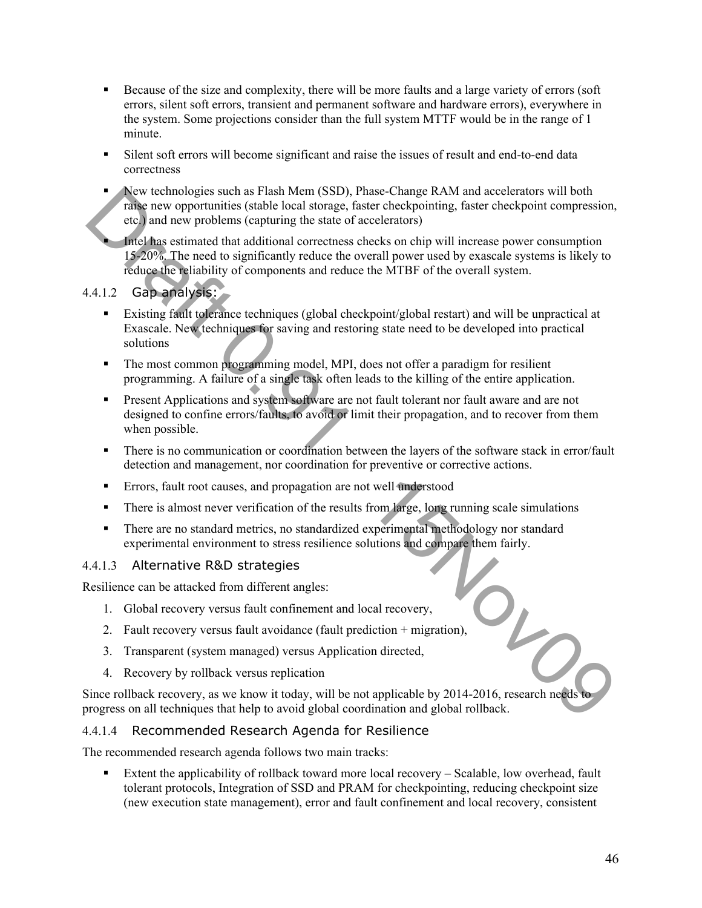- Because of the size and complexity, there will be more faults and a large variety of errors (soft errors, silent soft errors, transient and permanent software and hardware errors), everywhere in the system. Some projections consider than the full system MTTF would be in the range of 1 minute.
- Silent soft errors will become significant and raise the issues of result and end-to-end data correctness
- New technologies such as Flash Mem (SSD), Phase-Change RAM and accelerators will both raise new opportunities (stable local storage, faster checkpointing, faster checkpoint compression, etc.) and new problems (capturing the state of accelerators)
- Intel has estimated that additional correctness checks on chip will increase power consumption 15-20%. The need to significantly reduce the overall power used by exascale systems is likely to reduce the reliability of components and reduce the MTBF of the overall system. Now technologies such as Fiash Mem (SSD), Phase-Change RAM and accelerators will both<br>
and new proportunities (stable local storne, firster checkpointing, fister checkpoint compression,<br>
and new problems (capturing the sta

# 4.4.1.2 Gap analysis:

- Existing fault tolerance techniques (global checkpoint/global restart) and will be unpractical at Exascale. New techniques for saving and restoring state need to be developed into practical solutions
- The most common programming model, MPI, does not offer a paradigm for resilient programming. A failure of a single task often leads to the killing of the entire application.
- **Present Applications and system software are not fault tolerant nor fault aware and are not** designed to confine errors/faults, to avoid or limit their propagation, and to recover from them when possible.
- There is no communication or coordination between the layers of the software stack in error/fault detection and management, nor coordination for preventive or corrective actions.
- **E**rrors, fault root causes, and propagation are not well understood
- There is almost never verification of the results from large, long running scale simulations
- There are no standard metrics, no standardized experimental methodology nor standard experimental environment to stress resilience solutions and compare them fairly.

#### 4.4.1.3 Alternative R&D strategies

Resilience can be attacked from different angles:

- 1. Global recovery versus fault confinement and local recovery,
- 2. Fault recovery versus fault avoidance (fault prediction + migration),
- 3. Transparent (system managed) versus Application directed,
- 4. Recovery by rollback versus replication

Since rollback recovery, as we know it today, will be not applicable by 2014-2016, research needs to progress on all techniques that help to avoid global coordination and global rollback.

#### 4.4.1.4 Recommended Research Agenda for Resilience

The recommended research agenda follows two main tracks:

 Extent the applicability of rollback toward more local recovery – Scalable, low overhead, fault tolerant protocols, Integration of SSD and PRAM for checkpointing, reducing checkpoint size (new execution state management), error and fault confinement and local recovery, consistent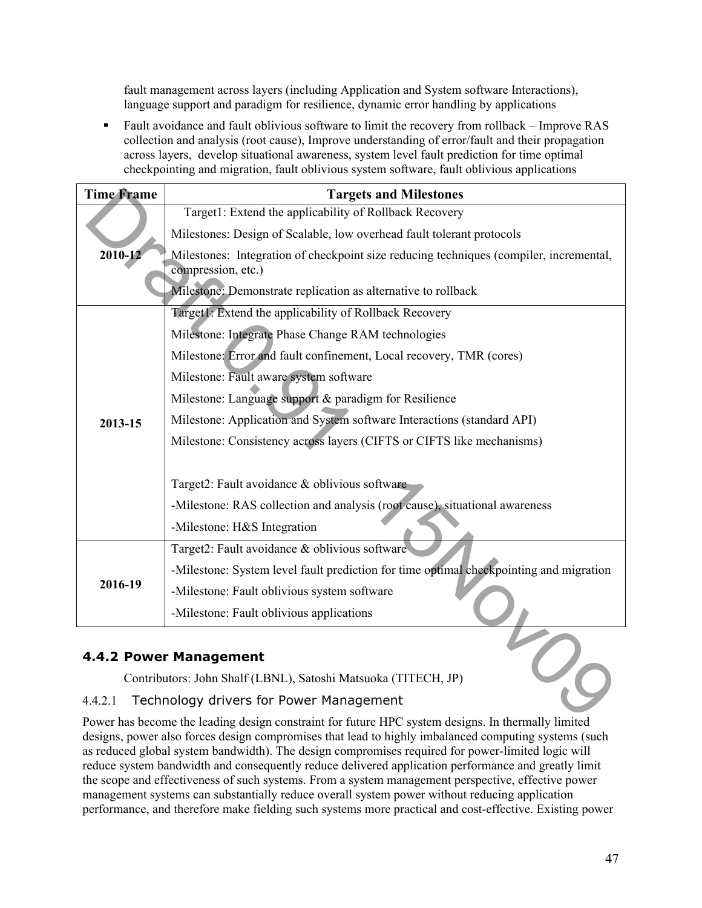fault management across layers (including Application and System software Interactions), language support and paradigm for resilience, dynamic error handling by applications

• Fault avoidance and fault oblivious software to limit the recovery from rollback – Improve RAS collection and analysis (root cause), Improve understanding of error/fault and their propagation across layers, develop situational awareness, system level fault prediction for time optimal checkpointing and migration, fault oblivious system software, fault oblivious applications

| <b>Time Frame</b> | <b>Targets and Milestones</b>                                                                                                                                                                                                                                                                            |  |  |  |  |  |  |  |
|-------------------|----------------------------------------------------------------------------------------------------------------------------------------------------------------------------------------------------------------------------------------------------------------------------------------------------------|--|--|--|--|--|--|--|
|                   | Target1: Extend the applicability of Rollback Recovery                                                                                                                                                                                                                                                   |  |  |  |  |  |  |  |
|                   | Milestones: Design of Scalable, low overhead fault tolerant protocols                                                                                                                                                                                                                                    |  |  |  |  |  |  |  |
| 2010-12           | Milestones: Integration of checkpoint size reducing techniques (compiler, incremental,<br>compression, etc.)                                                                                                                                                                                             |  |  |  |  |  |  |  |
|                   | Milestone: Demonstrate replication as alternative to rollback                                                                                                                                                                                                                                            |  |  |  |  |  |  |  |
|                   | Target1: Extend the applicability of Rollback Recovery                                                                                                                                                                                                                                                   |  |  |  |  |  |  |  |
|                   | Milestone: Integrate Phase Change RAM technologies                                                                                                                                                                                                                                                       |  |  |  |  |  |  |  |
|                   | Milestone: Error and fault confinement, Local recovery, TMR (cores)                                                                                                                                                                                                                                      |  |  |  |  |  |  |  |
|                   | Milestone: Fault aware system software                                                                                                                                                                                                                                                                   |  |  |  |  |  |  |  |
|                   | Milestone: Language support & paradigm for Resilience                                                                                                                                                                                                                                                    |  |  |  |  |  |  |  |
| 2013-15           | Milestone: Application and System software Interactions (standard API)                                                                                                                                                                                                                                   |  |  |  |  |  |  |  |
|                   | Milestone: Consistency across layers (CIFTS or CIFTS like mechanisms)                                                                                                                                                                                                                                    |  |  |  |  |  |  |  |
|                   |                                                                                                                                                                                                                                                                                                          |  |  |  |  |  |  |  |
|                   | Target2: Fault avoidance & oblivious software                                                                                                                                                                                                                                                            |  |  |  |  |  |  |  |
|                   | -Milestone: RAS collection and analysis (root cause), situational awareness                                                                                                                                                                                                                              |  |  |  |  |  |  |  |
|                   | -Milestone: H&S Integration                                                                                                                                                                                                                                                                              |  |  |  |  |  |  |  |
|                   | Target2: Fault avoidance & oblivious software                                                                                                                                                                                                                                                            |  |  |  |  |  |  |  |
|                   | -Milestone: System level fault prediction for time optimal checkpointing and migration                                                                                                                                                                                                                   |  |  |  |  |  |  |  |
| 2016-19           | -Milestone: Fault oblivious system software                                                                                                                                                                                                                                                              |  |  |  |  |  |  |  |
|                   | -Milestone: Fault oblivious applications                                                                                                                                                                                                                                                                 |  |  |  |  |  |  |  |
|                   |                                                                                                                                                                                                                                                                                                          |  |  |  |  |  |  |  |
|                   | 4.4.2 Power Management                                                                                                                                                                                                                                                                                   |  |  |  |  |  |  |  |
|                   | Contributors: John Shalf (LBNL), Satoshi Matsuoka (TITECH, JP)                                                                                                                                                                                                                                           |  |  |  |  |  |  |  |
| 4.4.2.1           | Technology drivers for Power Management                                                                                                                                                                                                                                                                  |  |  |  |  |  |  |  |
|                   | $\mathbf{D}$ . The second function of the second second set $\mathbf{C}$ is $\mathbf{C}$ that is set $\mathbf{D} \mathbf{C}$ and $\mathbf{D} \mathbf{C}$ and $\mathbf{D} \mathbf{C}$ and $\mathbf{D} \mathbf{C}$ and $\mathbf{D} \mathbf{C}$ and $\mathbf{D} \mathbf{C}$ and $\mathbf{D} \mathbf{C}$ and |  |  |  |  |  |  |  |

### **4.4.2 Power Management**

#### 4.4.2.1 Technology drivers for Power Management

Power has become the leading design constraint for future HPC system designs. In thermally limited designs, power also forces design compromises that lead to highly imbalanced computing systems (such as reduced global system bandwidth). The design compromises required for power-limited logic will reduce system bandwidth and consequently reduce delivered application performance and greatly limit the scope and effectiveness of such systems. From a system management perspective, effective power management systems can substantially reduce overall system power without reducing application performance, and therefore make fielding such systems more practical and cost-effective. Existing power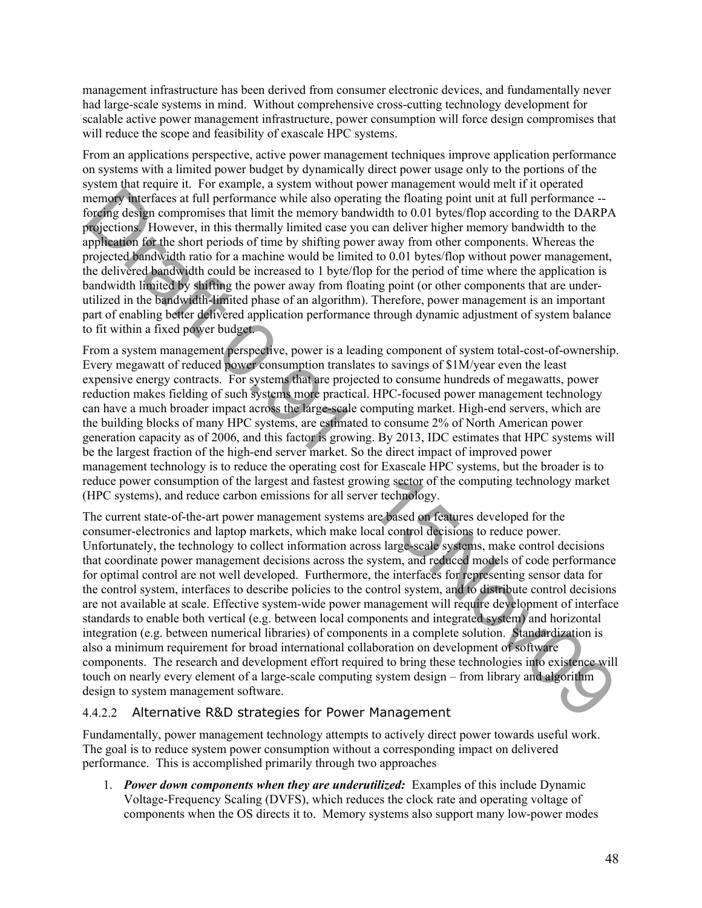management infrastructure has been derived from consumer electronic devices, and fundamentally never had large-scale systems in mind. Without comprehensive cross-cutting technology development for scalable active power management infrastructure, power consumption will force design compromises that will reduce the scope and feasibility of exascale HPC systems.

From an applications perspective, active power management techniques improve application performance on systems with a limited power budget by dynamically direct power usage only to the portions of the system that require it. For example, a system without power management would melt if it operated memory interfaces at full performance while also operating the floating point unit at full performance - forcing design compromises that limit the memory bandwidth to 0.01 bytes/flop according to the DARPA projections. However, in this thermally limited case you can deliver higher memory bandwidth to the application for the short periods of time by shifting power away from other components. Whereas the projected bandwidth ratio for a machine would be limited to 0.01 bytes/flop without power management, the delivered bandwidth could be increased to 1 byte/flop for the period of time where the application is bandwidth limited by shifting the power away from floating point (or other components that are underutilized in the bandwidth-limited phase of an algorithm). Therefore, power management is an important part of enabling better delivered application performance through dynamic adjustment of system balance to fit within a fixed power budget.

From a system management perspective, power is a leading component of system total-cost-of-ownership. Every megawatt of reduced power consumption translates to savings of \$1M/year even the least expensive energy contracts. For systems that are projected to consume hundreds of megawatts, power reduction makes fielding of such systems more practical. HPC-focused power management technology can have a much broader impact across the large-scale computing market. High-end servers, which are the building blocks of many HPC systems, are estimated to consume 2% of North American power generation capacity as of 2006, and this factor is growing. By 2013, IDC estimates that HPC systems will be the largest fraction of the high-end server market. So the direct impact of improved power management technology is to reduce the operating cost for Exascale HPC systems, but the broader is to reduce power consumption of the largest and fastest growing sector of the computing technology market (HPC systems), and reduce carbon emissions for all server technology.

The current state-of-the-art power management systems are based on features developed for the consumer-electronics and laptop markets, which make local control decisions to reduce power. Unfortunately, the technology to collect information across large-scale systems, make control decisions that coordinate power management decisions across the system, and reduced models of code performance for optimal control are not well developed. Furthermore, the interfaces for representing sensor data for the control system, interfaces to describe policies to the control system, and to distribute control decisions are not available at scale. Effective system-wide power management will require development of interface standards to enable both vertical (e.g. between local components and integrated system) and horizontal integration (e.g. between numerical libraries) of components in a complete solution. Standardization is also a minimum requirement for broad international collaboration on development of software components. The research and development effort required to bring these technologies into existence will touch on nearly every element of a large-scale computing system design – from library and algorithm design to system management software. neuropy therefaces at full performance white also operating the floating point unit at full performance propriates that the performance white the control of the performance of the performance of the performance of the perf

#### 4.4.2.2 Alternative R&D strategies for Power Management

Fundamentally, power management technology attempts to actively direct power towards useful work. The goal is to reduce system power consumption without a corresponding impact on delivered performance. This is accomplished primarily through two approaches

1. *Power down components when they are underutilized:* Examples of this include Dynamic Voltage-Frequency Scaling (DVFS), which reduces the clock rate and operating voltage of components when the OS directs it to. Memory systems also support many low-power modes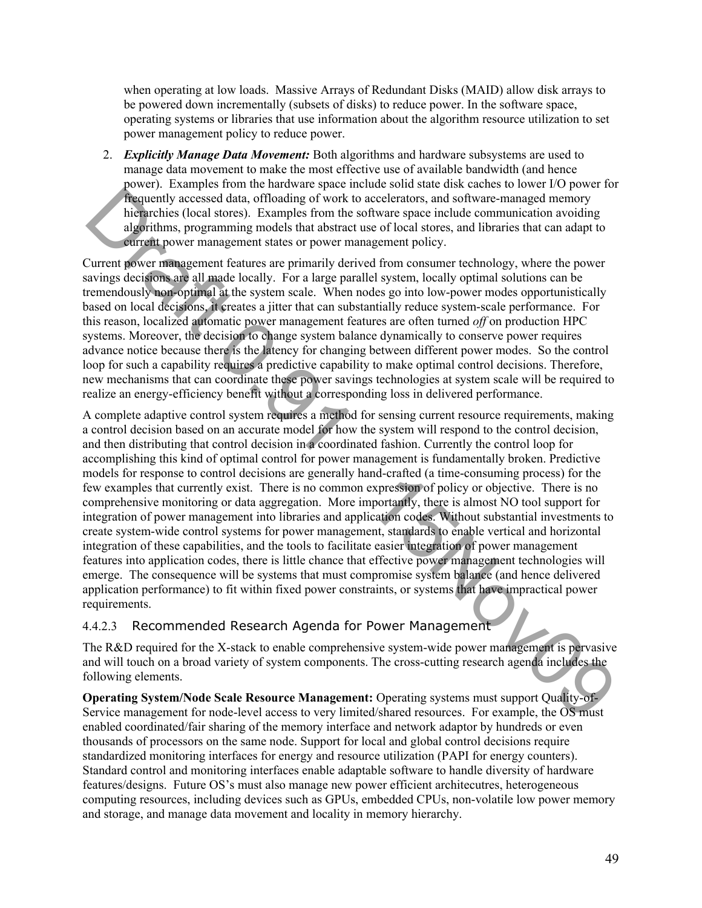when operating at low loads. Massive Arrays of Redundant Disks (MAID) allow disk arrays to be powered down incrementally (subsets of disks) to reduce power. In the software space, operating systems or libraries that use information about the algorithm resource utilization to set power management policy to reduce power.

2. *Explicitly Manage Data Movement:* Both algorithms and hardware subsystems are used to manage data movement to make the most effective use of available bandwidth (and hence power). Examples from the hardware space include solid state disk caches to lower I/O power for frequently accessed data, offloading of work to accelerators, and software-managed memory hierarchies (local stores). Examples from the software space include communication avoiding algorithms, programming models that abstract use of local stores, and libraries that can adapt to current power management states or power management policy.

Current power management features are primarily derived from consumer technology, where the power savings decisions are all made locally. For a large parallel system, locally optimal solutions can be tremendously non-optimal at the system scale. When nodes go into low-power modes opportunistically based on local decisions, it creates a jitter that can substantially reduce system-scale performance. For this reason, localized automatic power management features are often turned *off* on production HPC systems. Moreover, the decision to change system balance dynamically to conserve power requires advance notice because there is the latency for changing between different power modes. So the control loop for such a capability requires a predictive capability to make optimal control decisions. Therefore, new mechanisms that can coordinate these power savings technologies at system scale will be required to realize an energy-efficiency benefit without a corresponding loss in delivered performance.

A complete adaptive control system requires a method for sensing current resource requirements, making a control decision based on an accurate model for how the system will respond to the control decision, and then distributing that control decision in a coordinated fashion. Currently the control loop for accomplishing this kind of optimal control for power management is fundamentally broken. Predictive models for response to control decisions are generally hand-crafted (a time-consuming process) for the few examples that currently exist. There is no common expression of policy or objective. There is no comprehensive monitoring or data aggregation. More importantly, there is almost NO tool support for integration of power management into libraries and application codes. Without substantial investments to create system-wide control systems for power management, standards to enable vertical and horizontal integration of these capabilities, and the tools to facilitate easier integration of power management features into application codes, there is little chance that effective power management technologies will emerge. The consequence will be systems that must compromise system balance (and hence delivered application performance) to fit within fixed power constraints, or systems that have impractical power requirements. **Theorem Internal Scheme and Amelia Constant and Scheme and Scheme and Scheme and Scheme and Scheme and Scheme and Scheme and Scheme and Scheme and Scheme and Scheme and Scheme and Scheme and Scheme and Scheme and Scheme a** 

#### 4.4.2.3 Recommended Research Agenda for Power Management

The R&D required for the X-stack to enable comprehensive system-wide power management is pervasive and will touch on a broad variety of system components. The cross-cutting research agenda includes the following elements.

**Operating System/Node Scale Resource Management:** Operating systems must support Quality-of-Service management for node-level access to very limited/shared resources. For example, the OS must enabled coordinated/fair sharing of the memory interface and network adaptor by hundreds or even thousands of processors on the same node. Support for local and global control decisions require standardized monitoring interfaces for energy and resource utilization (PAPI for energy counters). Standard control and monitoring interfaces enable adaptable software to handle diversity of hardware features/designs. Future OS's must also manage new power efficient architecutres, heterogeneous computing resources, including devices such as GPUs, embedded CPUs, non-volatile low power memory and storage, and manage data movement and locality in memory hierarchy.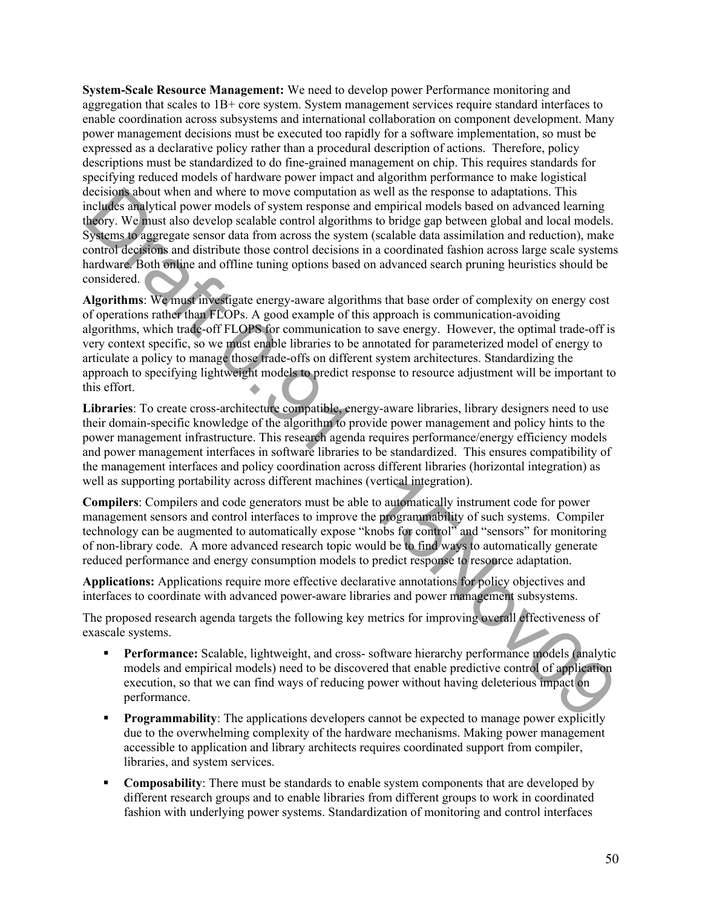**System-Scale Resource Management:** We need to develop power Performance monitoring and aggregation that scales to 1B+ core system. System management services require standard interfaces to enable coordination across subsystems and international collaboration on component development. Many power management decisions must be executed too rapidly for a software implementation, so must be expressed as a declarative policy rather than a procedural description of actions. Therefore, policy descriptions must be standardized to do fine-grained management on chip. This requires standards for specifying reduced models of hardware power impact and algorithm performance to make logistical decisions about when and where to move computation as well as the response to adaptations. This includes analytical power models of system response and empirical models based on advanced learning theory. We must also develop scalable control algorithms to bridge gap between global and local models. Systems to aggregate sensor data from across the system (scalable data assimilation and reduction), make control decisions and distribute those control decisions in a coordinated fashion across large scale systems hardware. Both online and offline tuning options based on advanced search pruning heuristics should be considered.

**Algorithms**: We must investigate energy-aware algorithms that base order of complexity on energy cost of operations rather than FLOPs. A good example of this approach is communication-avoiding algorithms, which trade-off FLOPS for communication to save energy. However, the optimal trade-off is very context specific, so we must enable libraries to be annotated for parameterized model of energy to articulate a policy to manage those trade-offs on different system architectures. Standardizing the approach to specifying lightweight models to predict response to resource adjustment will be important to this effort. decisions about when and where to move computation as well as the response to adaptations. This properties and a properties and properties and properties and properties of system response and empirical models based on adva

**Libraries**: To create cross-architecture compatible, energy-aware libraries, library designers need to use their domain-specific knowledge of the algorithm to provide power management and policy hints to the power management infrastructure. This research agenda requires performance/energy efficiency models and power management interfaces in software libraries to be standardized. This ensures compatibility of the management interfaces and policy coordination across different libraries (horizontal integration) as well as supporting portability across different machines (vertical integration).

**Compilers**: Compilers and code generators must be able to automatically instrument code for power management sensors and control interfaces to improve the programmability of such systems. Compiler technology can be augmented to automatically expose "knobs for control" and "sensors" for monitoring of non-library code. A more advanced research topic would be to find ways to automatically generate reduced performance and energy consumption models to predict response to resource adaptation.

**Applications:** Applications require more effective declarative annotations for policy objectives and interfaces to coordinate with advanced power-aware libraries and power management subsystems.

The proposed research agenda targets the following key metrics for improving overall effectiveness of exascale systems.

- **Performance:** Scalable, lightweight, and cross- software hierarchy performance models (analytic models and empirical models) need to be discovered that enable predictive control of application execution, so that we can find ways of reducing power without having deleterious impact on performance.
- **Programmability**: The applications developers cannot be expected to manage power explicitly due to the overwhelming complexity of the hardware mechanisms. Making power management accessible to application and library architects requires coordinated support from compiler, libraries, and system services.
- **Composability**: There must be standards to enable system components that are developed by different research groups and to enable libraries from different groups to work in coordinated fashion with underlying power systems. Standardization of monitoring and control interfaces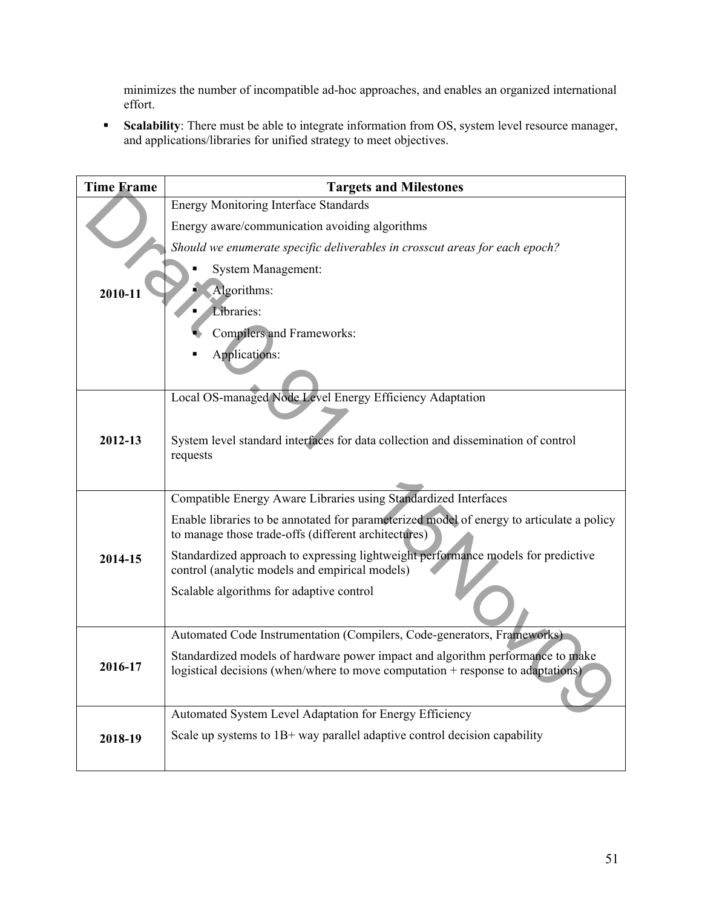minimizes the number of incompatible ad-hoc approaches, and enables an organized international effort.

**Scalability**: There must be able to integrate information from OS, system level resource manager, and applications/libraries for unified strategy to meet objectives.

| <b>Time Erame</b> | <b>Targets and Milestones</b>                                                                                                                     |  |  |  |  |  |  |
|-------------------|---------------------------------------------------------------------------------------------------------------------------------------------------|--|--|--|--|--|--|
|                   | <b>Energy Monitoring Interface Standards</b>                                                                                                      |  |  |  |  |  |  |
|                   | Energy aware/communication avoiding algorithms                                                                                                    |  |  |  |  |  |  |
|                   | Should we enumerate specific deliverables in crosscut areas for each epoch?                                                                       |  |  |  |  |  |  |
|                   | <b>System Management:</b>                                                                                                                         |  |  |  |  |  |  |
| 2010-11           | Algorithms:                                                                                                                                       |  |  |  |  |  |  |
|                   | Libraries:                                                                                                                                        |  |  |  |  |  |  |
|                   | <b>Compilers and Frameworks:</b>                                                                                                                  |  |  |  |  |  |  |
|                   | Applications:                                                                                                                                     |  |  |  |  |  |  |
|                   |                                                                                                                                                   |  |  |  |  |  |  |
|                   | Local OS-managed Node Level Energy Efficiency Adaptation                                                                                          |  |  |  |  |  |  |
|                   |                                                                                                                                                   |  |  |  |  |  |  |
| 2012-13           | System level standard interfaces for data collection and dissemination of control                                                                 |  |  |  |  |  |  |
|                   | requests                                                                                                                                          |  |  |  |  |  |  |
|                   |                                                                                                                                                   |  |  |  |  |  |  |
|                   | Compatible Energy Aware Libraries using Standardized Interfaces                                                                                   |  |  |  |  |  |  |
|                   | Enable libraries to be annotated for parameterized model of energy to articulate a policy<br>to manage those trade-offs (different architectures) |  |  |  |  |  |  |
| 2014-15           | Standardized approach to expressing lightweight performance models for predictive<br>control (analytic models and empirical models)               |  |  |  |  |  |  |
|                   | Scalable algorithms for adaptive control                                                                                                          |  |  |  |  |  |  |
|                   |                                                                                                                                                   |  |  |  |  |  |  |
|                   | Automated Code Instrumentation (Compilers, Code-generators, Frameworks)                                                                           |  |  |  |  |  |  |
| 2016-17           | Standardized models of hardware power impact and algorithm performance to make                                                                    |  |  |  |  |  |  |
|                   | logistical decisions (when/where to move computation + response to adaptations)                                                                   |  |  |  |  |  |  |
|                   | Automated System Level Adaptation for Energy Efficiency                                                                                           |  |  |  |  |  |  |
| 2018-19           | Scale up systems to 1B+ way parallel adaptive control decision capability                                                                         |  |  |  |  |  |  |
|                   |                                                                                                                                                   |  |  |  |  |  |  |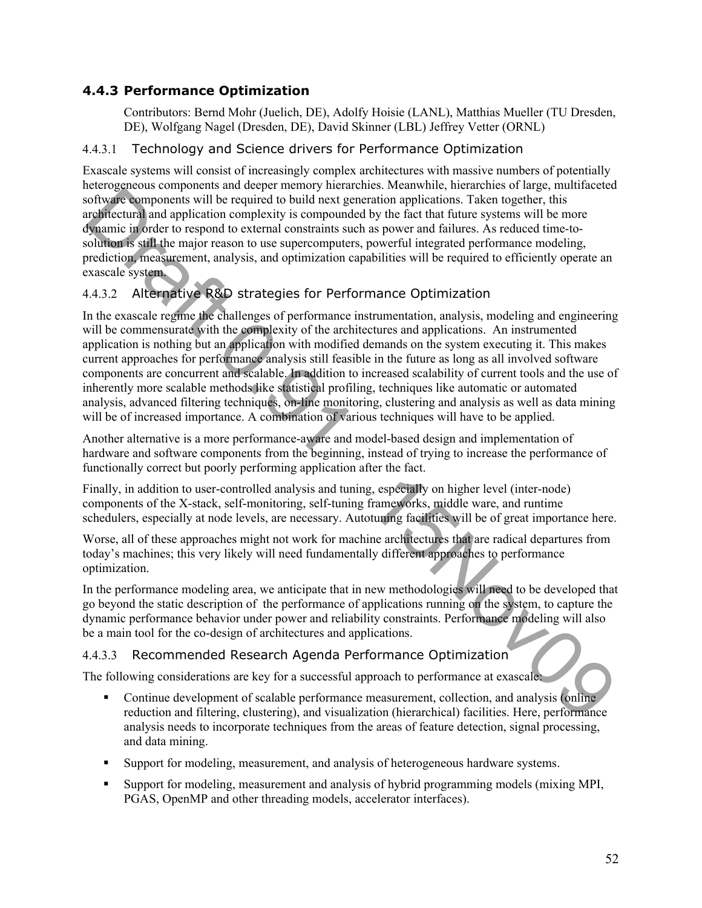#### **4.4.3 Performance Optimization**

Contributors: Bernd Mohr (Juelich, DE), Adolfy Hoisie (LANL), Matthias Mueller (TU Dresden, DE), Wolfgang Nagel (Dresden, DE), David Skinner (LBL) Jeffrey Vetter (ORNL)

#### 4.4.3.1 Technology and Science drivers for Performance Optimization

Exascale systems will consist of increasingly complex architectures with massive numbers of potentially heterogeneous components and deeper memory hierarchies. Meanwhile, hierarchies of large, multifaceted software components will be required to build next generation applications. Taken together, this architectural and application complexity is compounded by the fact that future systems will be more dynamic in order to respond to external constraints such as power and failures. As reduced time-tosolution is still the major reason to use supercomputers, powerful integrated performance modeling, prediction, measurement, analysis, and optimization capabilities will be required to efficiently operate an exascale system.

# 4.4.3.2 Alternative R&D strategies for Performance Optimization

In the exascale regime the challenges of performance instrumentation, analysis, modeling and engineering will be commensurate with the complexity of the architectures and applications. An instrumented application is nothing but an application with modified demands on the system executing it. This makes current approaches for performance analysis still feasible in the future as long as all involved software components are concurrent and scalable. In addition to increased scalability of current tools and the use of inherently more scalable methods like statistical profiling, techniques like automatic or automated analysis, advanced filtering techniques, on-line monitoring, clustering and analysis as well as data mining will be of increased importance. A combination of various techniques will have to be applied. collumple to the state of the state of the state of the state of the state of the state of the state of the state of the following contents of the figure of the figure of the figure of the figure of the figure of the figur

Another alternative is a more performance-aware and model-based design and implementation of hardware and software components from the beginning, instead of trying to increase the performance of functionally correct but poorly performing application after the fact.

Finally, in addition to user-controlled analysis and tuning, especially on higher level (inter-node) components of the X-stack, self-monitoring, self-tuning frameworks, middle ware, and runtime schedulers, especially at node levels, are necessary. Autotuning facilities will be of great importance here.

Worse, all of these approaches might not work for machine architectures that are radical departures from today's machines; this very likely will need fundamentally different approaches to performance optimization.

In the performance modeling area, we anticipate that in new methodologies will need to be developed that go beyond the static description of the performance of applications running on the system, to capture the dynamic performance behavior under power and reliability constraints. Performance modeling will also be a main tool for the co-design of architectures and applications.

#### 4.4.3.3 Recommended Research Agenda Performance Optimization

The following considerations are key for a successful approach to performance at exascale:

- Continue development of scalable performance measurement, collection, and analysis (online) reduction and filtering, clustering), and visualization (hierarchical) facilities. Here, performance analysis needs to incorporate techniques from the areas of feature detection, signal processing, and data mining.
- Support for modeling, measurement, and analysis of heterogeneous hardware systems.
- Support for modeling, measurement and analysis of hybrid programming models (mixing MPI, PGAS, OpenMP and other threading models, accelerator interfaces).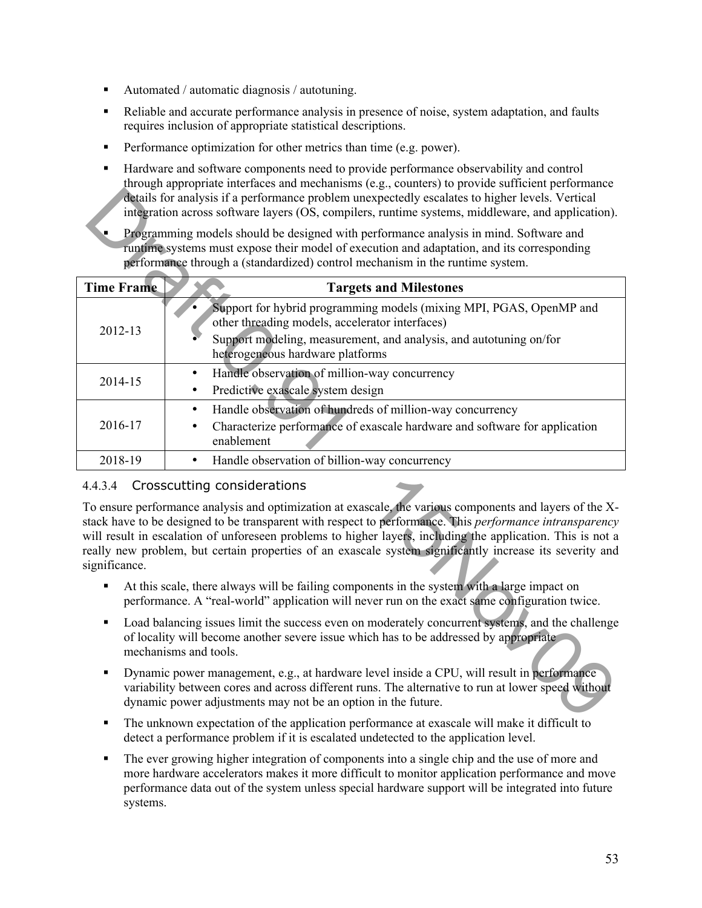- Automated / automatic diagnosis / autotuning.
- Reliable and accurate performance analysis in presence of noise, system adaptation, and faults requires inclusion of appropriate statistical descriptions.
- **Performance optimization for other metrics than time (e.g. power).**
- Hardware and software components need to provide performance observability and control through appropriate interfaces and mechanisms (e.g., counters) to provide sufficient performance details for analysis if a performance problem unexpectedly escalates to higher levels. Vertical integration across software layers (OS, compilers, runtime systems, middleware, and application).
- Programming models should be designed with performance analysis in mind. Software and runtime systems must expose their model of execution and adaptation, and its corresponding performance through a (standardized) control mechanism in the runtime system.

|                   | details for analysis if a performance problem unexpectedly escalates to higher levels. Vertical<br>integration across software layers (OS, compilers, runtime systems, middleware, and application).                                                                                                                                                                                                                                                                                                                                                                                                                                                      |
|-------------------|-----------------------------------------------------------------------------------------------------------------------------------------------------------------------------------------------------------------------------------------------------------------------------------------------------------------------------------------------------------------------------------------------------------------------------------------------------------------------------------------------------------------------------------------------------------------------------------------------------------------------------------------------------------|
|                   | Programming models should be designed with performance analysis in mind. Software and<br>runtime systems must expose their model of execution and adaptation, and its corresponding<br>performance through a (standardized) control mechanism in the runtime system.                                                                                                                                                                                                                                                                                                                                                                                      |
| <b>Time Frame</b> | <b>Targets and Milestones</b>                                                                                                                                                                                                                                                                                                                                                                                                                                                                                                                                                                                                                             |
| 2012-13           | Support for hybrid programming models (mixing MPI, PGAS, OpenMP and<br>other threading models, accelerator interfaces)<br>Support modeling, measurement, and analysis, and autotuning on/for<br>heterogeneous hardware platforms                                                                                                                                                                                                                                                                                                                                                                                                                          |
| 2014-15           | Handle observation of million-way concurrency<br>$\bullet$<br>Predictive exascale system design<br>$\bullet$                                                                                                                                                                                                                                                                                                                                                                                                                                                                                                                                              |
| 2016-17           | Handle observation of hundreds of million-way concurrency<br>$\bullet$<br>Characterize performance of exascale hardware and software for application<br>$\bullet$<br>enablement                                                                                                                                                                                                                                                                                                                                                                                                                                                                           |
| 2018-19           | Handle observation of billion-way concurrency<br>$\bullet$                                                                                                                                                                                                                                                                                                                                                                                                                                                                                                                                                                                                |
| 4.4.3.4           | Crosscutting considerations                                                                                                                                                                                                                                                                                                                                                                                                                                                                                                                                                                                                                               |
| significance.     | To ensure performance analysis and optimization at exascale, the various components and layers of the X-<br>stack have to be designed to be transparent with respect to performance. This performance intransparency<br>will result in escalation of unforeseen problems to higher layers, including the application. This is not a<br>really new problem, but certain properties of an exascale system significantly increase its severity and                                                                                                                                                                                                           |
| ٠                 | At this scale, there always will be failing components in the system with a large impact on<br>performance. A "real-world" application will never run on the exact same configuration twice.                                                                                                                                                                                                                                                                                                                                                                                                                                                              |
| ٠                 | Load balancing issues limit the success even on moderately concurrent systems, and the challenge<br>of locality will become another severe issue which has to be addressed by appropriate<br>mechanisms and tools.                                                                                                                                                                                                                                                                                                                                                                                                                                        |
| ٠                 | Dynamic power management, e.g., at hardware level inside a CPU, will result in performance<br>variability between cores and across different runs. The alternative to run at lower speed without<br>dynamic power adjustments may not be an option in the future.                                                                                                                                                                                                                                                                                                                                                                                         |
|                   | $\overline{r}$ and $\overline{r}$ and $\overline{r}$ and $\overline{r}$ and $\overline{r}$ and $\overline{r}$ and $\overline{r}$ and $\overline{r}$ and $\overline{r}$ and $\overline{r}$ and $\overline{r}$ and $\overline{r}$ and $\overline{r}$ and $\overline{r}$ and $\overline{r}$ and $\overline{r}$ and $\overline{r}$ and<br>$\frac{1}{2}$ $\frac{1}{2}$ $\frac{1}{2}$ $\frac{1}{2}$ $\frac{1}{2}$ $\frac{1}{2}$ $\frac{1}{2}$ $\frac{1}{2}$ $\frac{1}{2}$ $\frac{1}{2}$ $\frac{1}{2}$ $\frac{1}{2}$ $\frac{1}{2}$ $\frac{1}{2}$ $\frac{1}{2}$ $\frac{1}{2}$ $\frac{1}{2}$ $\frac{1}{2}$ $\frac{1}{2}$ $\frac{1}{2}$ $\frac{1}{2}$ $\frac{1}{2}$ |

### 4.4.3.4 Crosscutting considerations

- At this scale, there always will be failing components in the system with a large impact on performance. A "real-world" application will never run on the exact same configuration twice.
- Load balancing issues limit the success even on moderately concurrent systems, and the challenge of locality will become another severe issue which has to be addressed by appropriate mechanisms and tools.
- Dynamic power management, e.g., at hardware level inside a CPU, will result in performance variability between cores and across different runs. The alternative to run at lower speed without dynamic power adjustments may not be an option in the future.
- The unknown expectation of the application performance at exascale will make it difficult to detect a performance problem if it is escalated undetected to the application level.
- The ever growing higher integration of components into a single chip and the use of more and more hardware accelerators makes it more difficult to monitor application performance and move performance data out of the system unless special hardware support will be integrated into future systems.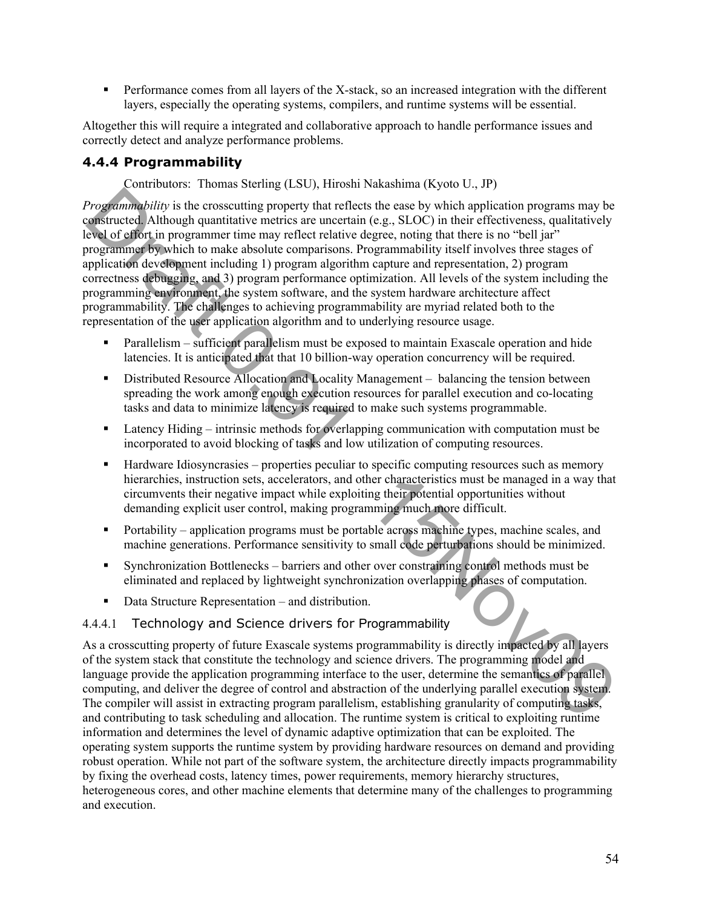Performance comes from all layers of the X-stack, so an increased integration with the different layers, especially the operating systems, compilers, and runtime systems will be essential.

Altogether this will require a integrated and collaborative approach to handle performance issues and correctly detect and analyze performance problems.

#### **4.4.4 Programmability**

Contributors: Thomas Sterling (LSU), Hiroshi Nakashima (Kyoto U., JP)

*Programmability* is the crosscutting property that reflects the ease by which application programs may be constructed. Although quantitative metrics are uncertain (e.g., SLOC) in their effectiveness, qualitatively level of effort in programmer time may reflect relative degree, noting that there is no "bell jar" programmer by which to make absolute comparisons. Programmability itself involves three stages of application development including 1) program algorithm capture and representation, 2) program correctness debugging, and 3) program performance optimization. All levels of the system including the programming environment, the system software, and the system hardware architecture affect programmability. The challenges to achieving programmability are myriad related both to the representation of the user application algorithm and to underlying resource usage. *Programmability* is the crosscutting property that reflects the ease by which application programs may be one of edifficular detection (e.g., SLOC) in their effective may be even of edifficult and the eventual (e.g., soli

- Parallelism sufficient parallelism must be exposed to maintain Exascale operation and hide latencies. It is anticipated that that 10 billion-way operation concurrency will be required.
- Distributed Resource Allocation and Locality Management balancing the tension between spreading the work among enough execution resources for parallel execution and co-locating tasks and data to minimize latency is required to make such systems programmable.
- Latency Hiding intrinsic methods for overlapping communication with computation must be incorporated to avoid blocking of tasks and low utilization of computing resources.
- Hardware Idiosyncrasies properties peculiar to specific computing resources such as memory hierarchies, instruction sets, accelerators, and other characteristics must be managed in a way that circumvents their negative impact while exploiting their potential opportunities without demanding explicit user control, making programming much more difficult.
- Portability application programs must be portable across machine types, machine scales, and machine generations. Performance sensitivity to small code perturbations should be minimized.
- Synchronization Bottlenecks barriers and other over constraining control methods must be eliminated and replaced by lightweight synchronization overlapping phases of computation.
- Data Structure Representation and distribution.

#### 4.4.4.1 Technology and Science drivers for Programmability

As a crosscutting property of future Exascale systems programmability is directly impacted by all layers of the system stack that constitute the technology and science drivers. The programming model and language provide the application programming interface to the user, determine the semantics of parallel computing, and deliver the degree of control and abstraction of the underlying parallel execution system. The compiler will assist in extracting program parallelism, establishing granularity of computing tasks, and contributing to task scheduling and allocation. The runtime system is critical to exploiting runtime information and determines the level of dynamic adaptive optimization that can be exploited. The operating system supports the runtime system by providing hardware resources on demand and providing robust operation. While not part of the software system, the architecture directly impacts programmability by fixing the overhead costs, latency times, power requirements, memory hierarchy structures, heterogeneous cores, and other machine elements that determine many of the challenges to programming and execution.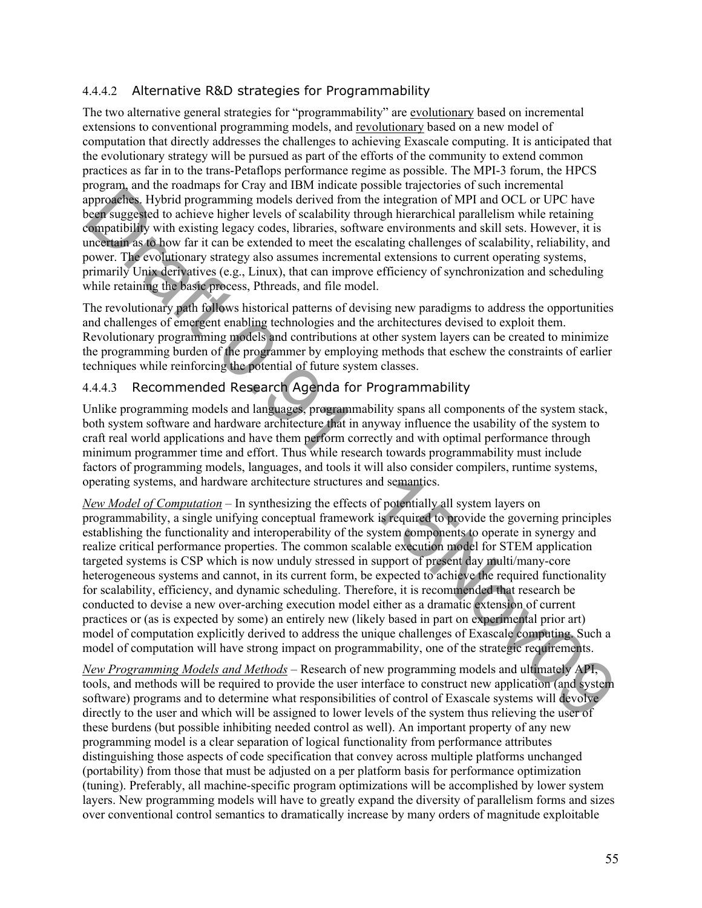#### 4.4.4.2 Alternative R&D strategies for Programmability

The two alternative general strategies for "programmability" are evolutionary based on incremental extensions to conventional programming models, and revolutionary based on a new model of computation that directly addresses the challenges to achieving Exascale computing. It is anticipated that the evolutionary strategy will be pursued as part of the efforts of the community to extend common practices as far in to the trans-Petaflops performance regime as possible. The MPI-3 forum, the HPCS program, and the roadmaps for Cray and IBM indicate possible trajectories of such incremental approaches. Hybrid programming models derived from the integration of MPI and OCL or UPC have been suggested to achieve higher levels of scalability through hierarchical parallelism while retaining compatibility with existing legacy codes, libraries, software environments and skill sets. However, it is uncertain as to how far it can be extended to meet the escalating challenges of scalability, reliability, and power. The evolutionary strategy also assumes incremental extensions to current operating systems, primarily Unix derivatives (e.g., Linux), that can improve efficiency of synchronization and scheduling while retaining the basic process, Pthreads, and file model.

The revolutionary path follows historical patterns of devising new paradigms to address the opportunities and challenges of emergent enabling technologies and the architectures devised to exploit them. Revolutionary programming models and contributions at other system layers can be created to minimize the programming burden of the programmer by employing methods that eschew the constraints of earlier techniques while reinforcing the potential of future system classes.

### 4.4.4.3 Recommended Research Agenda for Programmability

Unlike programming models and languages, programmability spans all components of the system stack, both system software and hardware architecture that in anyway influence the usability of the system to craft real world applications and have them perform correctly and with optimal performance through minimum programmer time and effort. Thus while research towards programmability must include factors of programming models, languages, and tools it will also consider compilers, runtime systems, operating systems, and hardware architecture structures and semantics.

*New Model of Computation* – In synthesizing the effects of potentially all system layers on programmability, a single unifying conceptual framework is required to provide the governing principles establishing the functionality and interoperability of the system components to operate in synergy and realize critical performance properties. The common scalable execution model for STEM application targeted systems is CSP which is now unduly stressed in support of present day multi/many-core heterogeneous systems and cannot, in its current form, be expected to achieve the required functionality for scalability, efficiency, and dynamic scheduling. Therefore, it is recommended that research be conducted to devise a new over-arching execution model either as a dramatic extension of current practices or (as is expected by some) an entirely new (likely based in part on experimental prior art) model of computation explicitly derived to address the unique challenges of Exascale computing. Such a model of computation will have strong impact on programmability, one of the strategic requirements. mpaying Hobstid programming models derived from the integration of MPI and OCL or UPC have synthated programming models derived from the integration of MPI and OCL or UPC have synthated profits of sachies in the chemical p

*New Programming Models and Methods* – Research of new programming models and ultimately API, tools, and methods will be required to provide the user interface to construct new application (and system software) programs and to determine what responsibilities of control of Exascale systems will devolve directly to the user and which will be assigned to lower levels of the system thus relieving the user of these burdens (but possible inhibiting needed control as well). An important property of any new programming model is a clear separation of logical functionality from performance attributes distinguishing those aspects of code specification that convey across multiple platforms unchanged (portability) from those that must be adjusted on a per platform basis for performance optimization (tuning). Preferably, all machine-specific program optimizations will be accomplished by lower system layers. New programming models will have to greatly expand the diversity of parallelism forms and sizes over conventional control semantics to dramatically increase by many orders of magnitude exploitable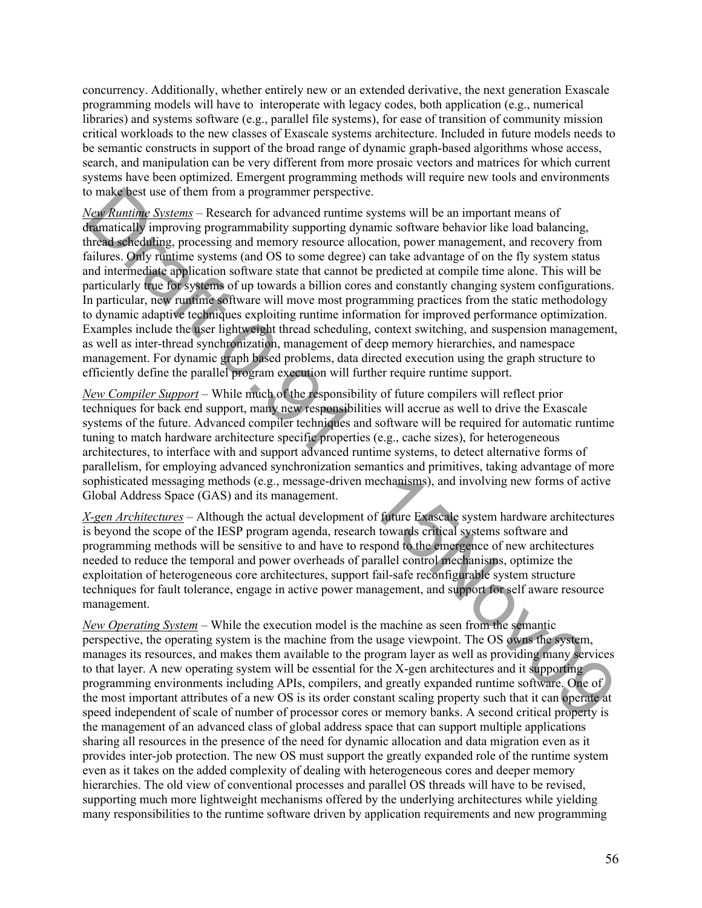concurrency. Additionally, whether entirely new or an extended derivative, the next generation Exascale programming models will have to interoperate with legacy codes, both application (e.g., numerical libraries) and systems software (e.g., parallel file systems), for ease of transition of community mission critical workloads to the new classes of Exascale systems architecture. Included in future models needs to be semantic constructs in support of the broad range of dynamic graph-based algorithms whose access, search, and manipulation can be very different from more prosaic vectors and matrices for which current systems have been optimized. Emergent programming methods will require new tools and environments to make best use of them from a programmer perspective.

*New Runtime Systems* – Research for advanced runtime systems will be an important means of dramatically improving programmability supporting dynamic software behavior like load balancing, thread scheduling, processing and memory resource allocation, power management, and recovery from failures. Only runtime systems (and OS to some degree) can take advantage of on the fly system status and intermediate application software state that cannot be predicted at compile time alone. This will be particularly true for systems of up towards a billion cores and constantly changing system configurations. In particular, new runtime software will move most programming practices from the static methodology to dynamic adaptive techniques exploiting runtime information for improved performance optimization. Examples include the user lightweight thread scheduling, context switching, and suspension management, as well as inter-thread synchronization, management of deep memory hierarchies, and namespace management. For dynamic graph based problems, data directed execution using the graph structure to efficiently define the parallel program execution will further require runtime support. o make heat use of them form a programmer perspective.<br>In many and the state of the form form a programment perspective controlled in the state of the state of the state of the state of the state of the state of the state

*New Compiler Support* – While much of the responsibility of future compilers will reflect prior techniques for back end support, many new responsibilities will accrue as well to drive the Exascale systems of the future. Advanced compiler techniques and software will be required for automatic runtime tuning to match hardware architecture specific properties (e.g., cache sizes), for heterogeneous architectures, to interface with and support advanced runtime systems, to detect alternative forms of parallelism, for employing advanced synchronization semantics and primitives, taking advantage of more sophisticated messaging methods (e.g., message-driven mechanisms), and involving new forms of active Global Address Space (GAS) and its management.

*X-gen Architectures* – Although the actual development of future Exascale system hardware architectures is beyond the scope of the IESP program agenda, research towards critical systems software and programming methods will be sensitive to and have to respond to the emergence of new architectures needed to reduce the temporal and power overheads of parallel control mechanisms, optimize the exploitation of heterogeneous core architectures, support fail-safe reconfigurable system structure techniques for fault tolerance, engage in active power management, and support for self aware resource management.

*New Operating System* – While the execution model is the machine as seen from the semantic perspective, the operating system is the machine from the usage viewpoint. The OS owns the system, manages its resources, and makes them available to the program layer as well as providing many services to that layer. A new operating system will be essential for the X-gen architectures and it supporting programming environments including APIs, compilers, and greatly expanded runtime software. One of the most important attributes of a new OS is its order constant scaling property such that it can operate at speed independent of scale of number of processor cores or memory banks. A second critical property is the management of an advanced class of global address space that can support multiple applications sharing all resources in the presence of the need for dynamic allocation and data migration even as it provides inter-job protection. The new OS must support the greatly expanded role of the runtime system even as it takes on the added complexity of dealing with heterogeneous cores and deeper memory hierarchies. The old view of conventional processes and parallel OS threads will have to be revised, supporting much more lightweight mechanisms offered by the underlying architectures while yielding many responsibilities to the runtime software driven by application requirements and new programming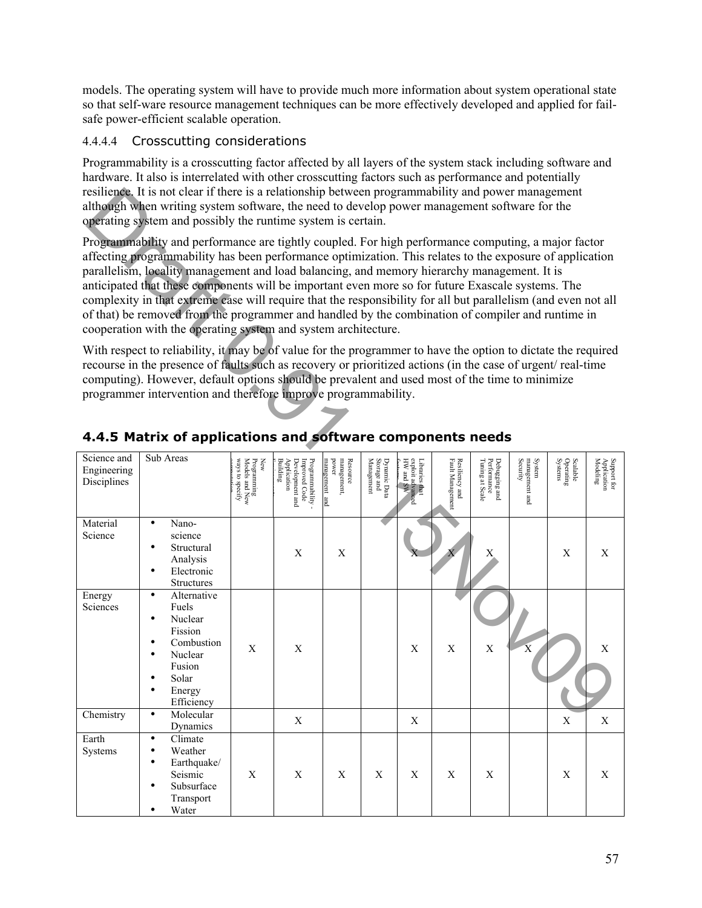models. The operating system will have to provide much more information about system operational state so that self-ware resource management techniques can be more effectively developed and applied for failsafe power-efficient scalable operation.

#### 4.4.4.4 Crosscutting considerations

Programmability is a crosscutting factor affected by all layers of the system stack including software and hardware. It also is interrelated with other crosscutting factors such as performance and potentially resilience. It is not clear if there is a relationship between programmability and power management although when writing system software, the need to develop power management software for the operating system and possibly the runtime system is certain.

| resilience. It is not clear if there is a relationship between programmability and power management<br>although when writing system software, the need to develop power management software for the<br>operating system and possibly the runtime system is certain.                                                                                                                                                                                                                                                                                                                                                                                                                                                                                                                                                                                                                                                                                                                                                                                                                                              |                                                                                                                                       |                                                         |                                                                                  |                                                    |                                           |                                                 |                                    |                                                 |                                      |                                  |                                        |
|------------------------------------------------------------------------------------------------------------------------------------------------------------------------------------------------------------------------------------------------------------------------------------------------------------------------------------------------------------------------------------------------------------------------------------------------------------------------------------------------------------------------------------------------------------------------------------------------------------------------------------------------------------------------------------------------------------------------------------------------------------------------------------------------------------------------------------------------------------------------------------------------------------------------------------------------------------------------------------------------------------------------------------------------------------------------------------------------------------------|---------------------------------------------------------------------------------------------------------------------------------------|---------------------------------------------------------|----------------------------------------------------------------------------------|----------------------------------------------------|-------------------------------------------|-------------------------------------------------|------------------------------------|-------------------------------------------------|--------------------------------------|----------------------------------|----------------------------------------|
| Programmability and performance are tightly coupled. For high performance computing, a major factor<br>affecting programmability has been performance optimization. This relates to the exposure of application<br>parallelism, locality management and load balancing, and memory hierarchy management. It is<br>anticipated that these components will be important even more so for future Exascale systems. The<br>complexity in that extreme case will require that the responsibility for all but parallelism (and even not all<br>of that) be removed from the programmer and handled by the combination of compiler and runtime in<br>cooperation with the operating system and system architecture.<br>With respect to reliability, it may be of value for the programmer to have the option to dictate the required<br>recourse in the presence of faults such as recovery or prioritized actions (in the case of urgent/real-time<br>computing). However, default options should be prevalent and used most of the time to minimize<br>programmer intervention and therefore improve programmability. |                                                                                                                                       |                                                         |                                                                                  |                                                    |                                           |                                                 |                                    |                                                 |                                      |                                  |                                        |
|                                                                                                                                                                                                                                                                                                                                                                                                                                                                                                                                                                                                                                                                                                                                                                                                                                                                                                                                                                                                                                                                                                                  | 4.4.5 Matrix of applications and software components needs                                                                            |                                                         |                                                                                  |                                                    |                                           |                                                 |                                    |                                                 |                                      |                                  |                                        |
| Science and<br>Engineering<br>Disciplines                                                                                                                                                                                                                                                                                                                                                                                                                                                                                                                                                                                                                                                                                                                                                                                                                                                                                                                                                                                                                                                                        | Sub Areas                                                                                                                             | New<br>Programming<br>Models and New<br>ways to specify | Application<br>Building<br>Programmability -<br>Improved Code<br>Development and | power<br>Resource<br>management,<br>management and | Dynamic Data<br>Storage and<br>Management | Libraries that<br>exploit advanced<br>HW and SW | Resiliency and<br>Fault Management | Debugging and<br>Performance<br>Tuning at Scale | System<br>management and<br>Security | Scalable<br>Operating<br>Systems | Support for<br>Application<br>Modeling |
| Material<br>Science                                                                                                                                                                                                                                                                                                                                                                                                                                                                                                                                                                                                                                                                                                                                                                                                                                                                                                                                                                                                                                                                                              | Nano-<br>$\bullet$<br>science<br>Structural<br>Analysis<br>Electronic<br>٠<br>Structures                                              |                                                         | X                                                                                | $\mathbf X$                                        |                                           |                                                 |                                    | Х                                               |                                      | X                                | Χ                                      |
| Energy<br>Sciences                                                                                                                                                                                                                                                                                                                                                                                                                                                                                                                                                                                                                                                                                                                                                                                                                                                                                                                                                                                                                                                                                               | Alternative<br>$\bullet$<br>Fuels<br>Nuclear<br>٠<br>Fission<br>Combustion<br>Nuclear<br>٠<br>Fusion<br>Solar<br>Energy<br>Efficiency | X                                                       | X                                                                                |                                                    |                                           | X                                               | $\mathbf X$                        | $\mathbf X$                                     | Х                                    |                                  | Х                                      |
| Chemistry                                                                                                                                                                                                                                                                                                                                                                                                                                                                                                                                                                                                                                                                                                                                                                                                                                                                                                                                                                                                                                                                                                        | $\bullet$<br>Molecular<br>Dynamics                                                                                                    |                                                         | X                                                                                |                                                    |                                           | X                                               |                                    |                                                 |                                      | X                                | X                                      |
| Earth<br>Systems                                                                                                                                                                                                                                                                                                                                                                                                                                                                                                                                                                                                                                                                                                                                                                                                                                                                                                                                                                                                                                                                                                 | Climate<br>$\bullet$<br>Weather<br>$\bullet$<br>Earthquake/<br>$\bullet$<br>Seismic<br>Subsurface<br>$\bullet$<br>Transport<br>Water  | X                                                       | X                                                                                | X                                                  | X                                         | X                                               | X                                  | X                                               |                                      | $\boldsymbol{\mathrm{X}}$        | X                                      |

# **4.4.5 Matrix of applications and software components needs**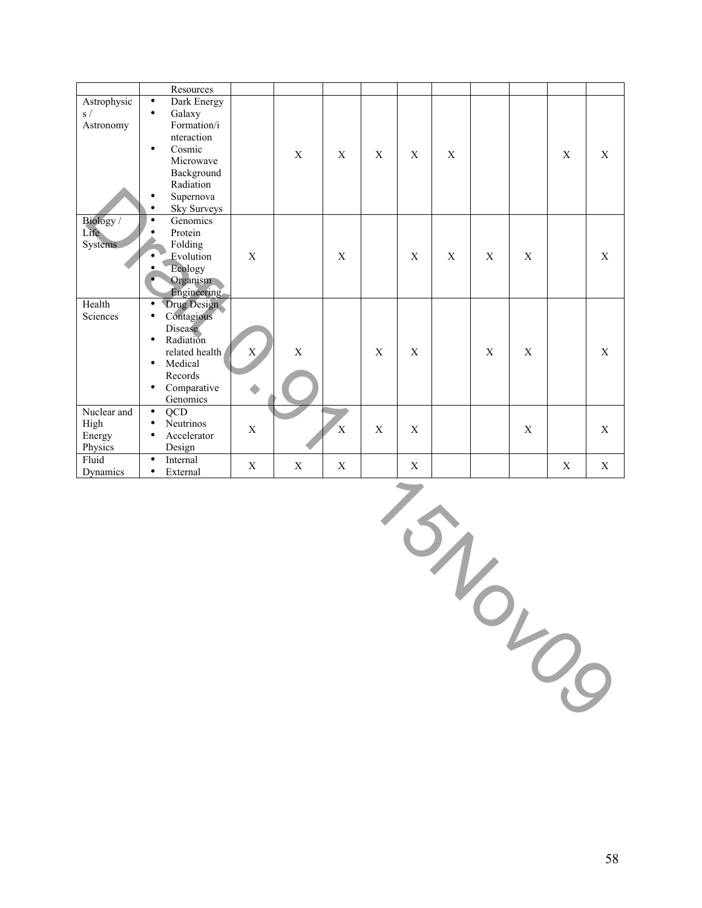|             | Resources                       |             |             |              |             |             |             |             |             |             |             |
|-------------|---------------------------------|-------------|-------------|--------------|-------------|-------------|-------------|-------------|-------------|-------------|-------------|
|             |                                 |             |             |              |             |             |             |             |             |             |             |
| Astrophysic | Dark Energy<br>$\bullet$        |             |             |              |             |             |             |             |             |             |             |
| s/          | $\bullet$<br>Galaxy             |             |             |              |             |             |             |             |             |             |             |
| Astronomy   | Formation/i                     |             |             |              |             |             |             |             |             |             |             |
|             | nteraction                      |             |             |              |             |             |             |             |             |             |             |
|             | Cosmic<br>$\bullet$             |             | $\mathbf X$ | $\mathbf X$  | $\mathbf X$ | $\mathbf X$ | $\mathbf X$ |             |             | $\mathbf X$ | $\mathbf X$ |
|             | Microwave                       |             |             |              |             |             |             |             |             |             |             |
|             | Background                      |             |             |              |             |             |             |             |             |             |             |
|             | Radiation                       |             |             |              |             |             |             |             |             |             |             |
|             | Supernova<br>٠                  |             |             |              |             |             |             |             |             |             |             |
|             | $\bullet$<br><b>Sky Surveys</b> |             |             |              |             |             |             |             |             |             |             |
| Biology /   | Genomics<br>$\bullet$           |             |             |              |             |             |             |             |             |             |             |
| Life        | Protein<br>٠                    |             |             |              |             |             |             |             |             |             |             |
|             |                                 |             |             |              |             |             |             |             |             |             |             |
| Systems     | Folding                         |             |             |              |             |             |             |             |             |             |             |
|             | Evolution<br>$\bullet$          | $\mathbf X$ |             | $\mathbf X$  |             | $\mathbf X$ | $\mathbf X$ | $\mathbf X$ | $\mathbf X$ |             | X           |
|             | Ecology<br>$\bullet$            |             |             |              |             |             |             |             |             |             |             |
|             | Organism                        |             |             |              |             |             |             |             |             |             |             |
|             | <b>Engineering</b>              |             |             |              |             |             |             |             |             |             |             |
| Health      | Drug Design<br>$\bullet$        |             |             |              |             |             |             |             |             |             |             |
| Sciences    | Contagious<br>$\bullet$         |             |             |              |             |             |             |             |             |             |             |
|             | Disease                         |             |             |              |             |             |             |             |             |             |             |
|             | $\bullet$<br>Radiation          |             |             |              |             |             |             |             |             |             |             |
|             | related health                  | $\bar{X}$   | $\mathbf X$ |              | $\mathbf X$ | $\mathbf X$ |             | $\mathbf X$ | $\mathbf X$ |             | $\mathbf X$ |
|             | Medical<br>$\bullet$            |             |             |              |             |             |             |             |             |             |             |
|             |                                 |             |             |              |             |             |             |             |             |             |             |
|             | Records                         |             |             |              |             |             |             |             |             |             |             |
|             | Comparative<br>$\bullet$        |             |             |              |             |             |             |             |             |             |             |
|             | Genomics                        |             |             |              |             |             |             |             |             |             |             |
| Nuclear and | <b>QCD</b><br>$\bullet$         |             |             |              |             |             |             |             |             |             |             |
| High        | Neutrinos<br>$\bullet$          |             |             | $\mathbf{X}$ | $\mathbf X$ | $\mathbf X$ |             |             | $\mathbf X$ |             |             |
| Energy      | $\bullet$<br>Accelerator        | $\mathbf X$ |             |              |             |             |             |             |             |             | $\mathbf X$ |
| Physics     | Design                          |             |             |              |             |             |             |             |             |             |             |
| Fluid       | Internal<br>$\bullet$           |             |             |              |             |             |             |             |             |             |             |
| Dynamics    | External<br>$\bullet$           | $\mathbf X$ | $\mathbf X$ | $\mathbf X$  |             | $\mathbf X$ |             |             |             | $\mathbf X$ | $\mathbf X$ |
|             |                                 |             |             |              |             |             |             |             |             |             |             |
|             |                                 |             |             |              |             |             | $5\nu$      |             |             | OL OCO      |             |
|             |                                 |             |             |              |             |             |             |             |             |             |             |

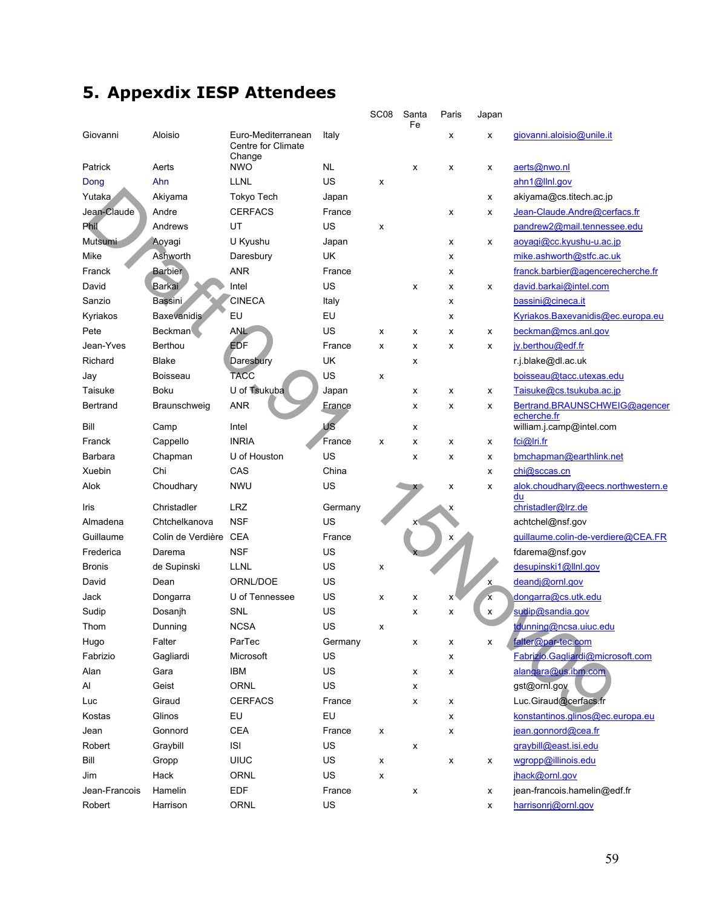# **5. Appexdix IESP Attendees**

|               |                       |                                          |           | SC <sub>08</sub>   | Santa<br>Fe | Paris | Japan |                                         |
|---------------|-----------------------|------------------------------------------|-----------|--------------------|-------------|-------|-------|-----------------------------------------|
| Giovanni      | Aloisio               | Euro-Mediterranean<br>Centre for Climate | Italy     |                    |             | X     | x     | giovanni.aloisio@unile.it               |
| Patrick       | Aerts                 | Change<br><b>NWO</b>                     | <b>NL</b> |                    | x           | X     | X     | aerts@nwo.nl                            |
| Dong          | Ahn                   | LLNL                                     | US        | X                  |             |       |       | ahn1@llnl.gov                           |
| Yutaka        | Akiyama               | Tokyo Tech                               | Japan     |                    |             |       | X     | akiyama@cs.titech.ac.jp                 |
| Jean-Claude   | Andre                 | <b>CERFACS</b>                           | France    |                    |             | X     | X     | Jean-Claude.Andre@cerfacs.fr            |
| Phil          | Andrews               | UT                                       | US        | X                  |             |       |       | pandrew2@mail.tennessee.edu             |
| Mutsumi       | Aoyagi                | U Kyushu                                 | Japan     |                    |             | x     | X     | aoyagi@cc.kyushu-u.ac.jp                |
| Mike          | Ashworth              | Daresbury                                | UK        |                    |             | X     |       | mike.ashworth@stfc.ac.uk                |
| Franck        | <b>Barbier</b>        | ANR                                      | France    |                    |             | x     |       | franck.barbier@agencerecherche.fr       |
| David         | <b>Barkai</b>         | Intel                                    | US        |                    | X           | x     | X     | david.barkai@intel.com                  |
| Sanzio        | Bassini               | <b>CINECA</b>                            | Italy     |                    |             | x     |       | bassini@cineca.it                       |
| Kyriakos      | <b>Baxevanidis</b>    | EU                                       | EU        |                    |             | x     |       | Kyriakos.Baxevanidis@ec.europa.eu       |
| Pete          | <b>Beckman</b>        | ANL                                      | US        | X                  | X           | x     | х     | beckman@mcs.anl.gov                     |
| Jean-Yves     | Berthou               | <b>EDF</b>                               | France    | X                  | x           | X     | X     | jy.berthou@edf.fr                       |
| Richard       | Blake                 | Daresbury                                | UK        |                    | х           |       |       | r.j.blake@dl.ac.uk                      |
| Jay           | Boisseau              | <b>TACC</b>                              | US        | X                  |             |       |       | boisseau@tacc.utexas.edu                |
| Taisuke       | Boku                  | U of Tsukuba                             | Japan     |                    | х           | X     | X     | Taisuke@cs.tsukuba.ac.jp                |
| Bertrand      | Braunschweig          | <b>ANR</b>                               | Erance    |                    | х           | x     | X     | Bertrand.BRAUNSCHWEIG@agencer           |
| Bill          | Camp                  | Intel                                    | US        |                    | х           |       |       | echerche.fr<br>william.j.camp@intel.com |
| Franck        | Cappello              | <b>INRIA</b>                             | France    | X                  | х           | x     | х     | fci@lri.fr                              |
| Barbara       | Chapman               | U of Houston                             | US        |                    | x           | x     | х     | bmchapman@earthlink.net                 |
| Xuebin        | Chi                   | CAS                                      | China     |                    |             |       | X     | chi@sccas.cn                            |
| Alok          | Choudhary             | <b>NWU</b>                               | US        |                    |             | X     | X     | alok.choudhary@eecs.northwestern.e      |
| Iris          | Christadler           | <b>LRZ</b>                               | Germany   |                    |             |       |       | du<br>christadler@Irz.de                |
| Almadena      | Chtchelkanova         | <b>NSF</b>                               | US        |                    |             |       |       | achtchel@nsf.gov                        |
| Guillaume     | Colin de Verdière CEA |                                          | France    |                    |             |       |       | guillaume.colin-de-verdiere@CEA.FR      |
| Frederica     | Darema                | <b>NSF</b>                               | US        |                    |             |       |       | fdarema@nsf.gov                         |
| <b>Bronis</b> | de Supinski           | LLNL                                     | US        | x                  |             |       |       | desupinski1@llnl.gov                    |
| David         | Dean                  | ORNL/DOE                                 | US        |                    |             |       | x     | deandi@ornl.gov                         |
| Jack          | Dongarra              | U of Tennessee                           | US        | X                  | x           | x     | х     | dongarra@cs.utk.edu                     |
| Sudip         | Dosanjh               | <b>SNL</b>                               | US        |                    | х           | X     | X     | sudip@sandia.gov                        |
| Thom          | Dunning               | <b>NCSA</b>                              | US        | x                  |             |       |       | tdunning@ncsa.uiuc.edu                  |
| Hugo          | Falter                | ParTec                                   | Germany   |                    | X           | x     | X     | falter@par-tec.com                      |
| Fabrizio      | Gagliardi             | Microsoft                                | <b>US</b> |                    |             | x     |       | Fabrizio.Gagliardi@microsoft.com        |
| Alan          | Gara                  | <b>IBM</b>                               | US        |                    | X           | x     |       | alangara@us.ibm.com                     |
| Al            | Geist                 | ORNL                                     | US        |                    | X           |       |       | gst@ornl.gov                            |
| Luc           | Giraud                | <b>CERFACS</b>                           | France    |                    | x           | X     |       | Luc.Giraud@cerfacs.fr                   |
| Kostas        | Glinos                | EU                                       | EU        |                    |             | x     |       | konstantinos.glinos@ec.europa.eu        |
| Jean          | Gonnord               | CEA                                      | France    | $\pmb{\mathsf{x}}$ |             | x     |       | jean.gonnord@cea.fr                     |
| Robert        | Graybill              | <b>ISI</b>                               | US        |                    | X           |       |       | graybill@east.isi.edu                   |
| Bill          | Gropp                 | <b>UIUC</b>                              | US        | X                  |             | x     | X     | wqropp@illinois.edu                     |
| Jim           | Hack                  | ORNL                                     | US        | X                  |             |       |       | jhack@ornl.gov                          |
| Jean-Francois | Hamelin               | <b>EDF</b>                               | France    |                    | X           |       | X     | jean-francois.hamelin@edf.fr            |
| Robert        | Harrison              | ORNL                                     | US        |                    |             |       | x     | harrisonrj@ornl.gov                     |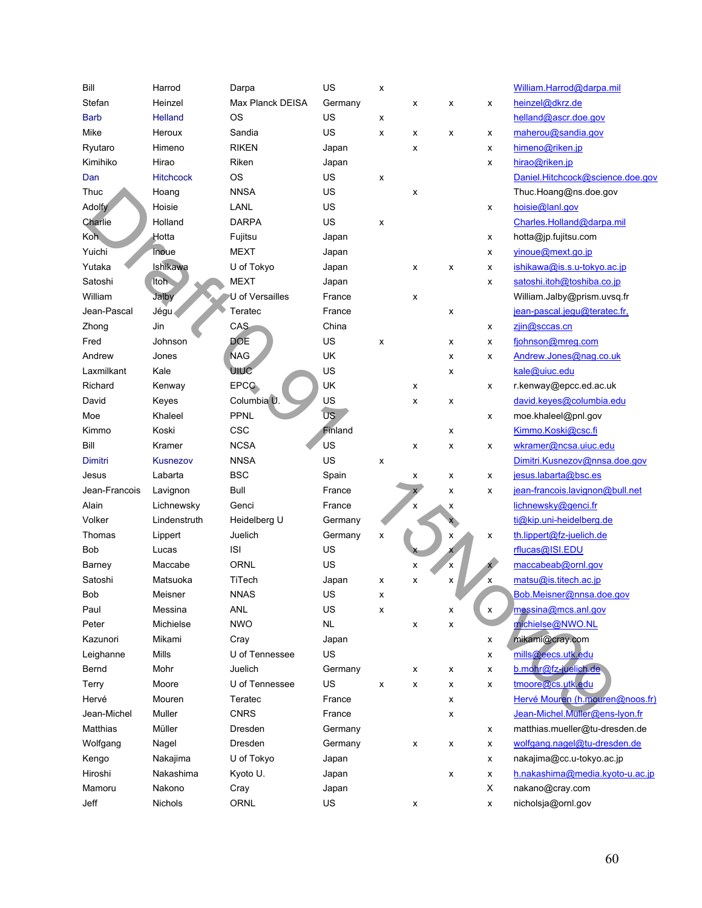| Bill          | Harrod           | Darpa            | US        | x              |   |   |   | William.Harrod@darpa.mil         |
|---------------|------------------|------------------|-----------|----------------|---|---|---|----------------------------------|
| Stefan        | Heinzel          | Max Planck DEISA | Germany   |                | x | x | x | heinzel@dkrz.de                  |
| <b>Barb</b>   | <b>Helland</b>   | <b>OS</b>        | US        | X              |   |   |   | helland@ascr.doe.gov             |
| Mike          | Heroux           | Sandia           | US        | x              | x | x | x | maherou@sandia.gov               |
| Ryutaro       | Himeno           | <b>RIKEN</b>     | Japan     |                | x |   | x | himeno@riken.jp                  |
| Kimihiko      | Hirao            | Riken            | Japan     |                |   |   | x | hirao@riken.jp                   |
| Dan           | <b>Hitchcock</b> | OS               | US        | x              |   |   |   | Daniel.Hitchcock@science.doe.gov |
| Thuc          | Hoang            | <b>NNSA</b>      | US        |                | x |   |   | Thuc.Hoang@ns.doe.gov            |
| Adolfy        | Hoisie           | LANL             | US        |                |   |   | x | hoisie@lanl.gov                  |
| Charlie       | Holland          | <b>DARPA</b>     | US        | $\pmb{\times}$ |   |   |   | Charles.Holland@darpa.mil        |
| Koh.          | Hotta            | Fujitsu          | Japan     |                |   |   | x | hotta@jp.fujitsu.com             |
| Yuichi        | Inoue            | <b>MEXT</b>      | Japan     |                |   |   | x | vinoue@mext.go.jp                |
| Yutaka        | Ishikawa         | U of Tokyo       | Japan     |                | x | x | x | ishikawa@is.s.u-tokyo.ac.jp      |
| Satoshi       | Itoh             | <b>MEXT</b>      | Japan     |                |   |   | X | satoshi.itoh@toshiba.co.jp       |
| William       | Jalby            | U of Versailles  | France    |                | x |   |   | William.Jalby@prism.uvsq.fr      |
| Jean-Pascal   | Jégu             | Teratec          | France    |                |   | x |   | jean-pascal.jegu@teratec.fr,     |
| Zhong         | Jin              | <b>CAS</b>       | China     |                |   |   | x | zjin@sccas.cn                    |
| Fred          | Johnson          | <b>DOE</b>       | US        | x              |   | x | x | fjohnson@mreg.com                |
| Andrew        | Jones            | <b>NAG</b>       | UK        |                |   | x | x | Andrew.Jones@nag.co.uk           |
| Laxmilkant    | Kale             | <b>UIUC</b>      | US        |                |   | х |   | kale@uiuc.edu                    |
| Richard       | Kenway           | <b>EPCC</b>      | UK        |                | x |   | x | r.kenway@epcc.ed.ac.uk           |
| David         | Keyes            | Columbia U.      | US        |                | X | x |   | david.keyes@columbia.edu         |
| Moe           | Khaleel          | <b>PPNL</b>      | <b>US</b> |                |   |   | X | moe.khaleel@pnl.gov              |
| Kimmo         | Koski            | CSC              | Finland   |                |   | x |   | Kimmo.Koski@csc.fi               |
| Bill          | Kramer           | <b>NCSA</b>      | US        |                | x | x | x | wkramer@ncsa.uiuc.edu            |
| Dimitri       | <b>Kusnezov</b>  | <b>NNSA</b>      | US        | x              |   |   |   | Dimitri.Kusnezov@nnsa.doe.gov    |
| Jesus         | Labarta          | <b>BSC</b>       | Spain     |                | x | х | x | jesus.labarta@bsc.es             |
| Jean-Francois | Lavignon         | Bull             | France    |                |   | x | X | jean-francois.lavignon@bull.net  |
| Alain         | Lichnewsky       | Genci            | France    |                | х | x |   | lichnewsky@genci.fr              |
| Volker        | Lindenstruth     | Heidelberg U     | Germany   |                |   |   |   | ti@kip.uni-heidelberg.de         |
| Thomas        | Lippert          | Juelich          | Germany   | x              |   | x | х | th.lippert@fz-juelich.de         |
| <b>Bob</b>    | Lucas            | <b>ISI</b>       | US        |                |   |   |   | rflucas@ISI.EDU                  |
| Barney        | Maccabe          | <b>ORNL</b>      | US        |                | x | x |   | maccabeab@ornl.gov               |
| Satoshi       | Matsuoka         | TiTech           | Japan     | х              | X | х | x | matsu@is.titech.ac.jp            |
| Bob           | Meisner          | <b>NNAS</b>      | US        | X              |   |   |   | Bob.Meisner@nnsa.doe.gov         |
| Paul          | Messina          | <b>ANL</b>       | US        | X              |   | x | x | messina@mcs.anl.gov              |
| Peter         | Michielse        | <b>NWO</b>       | NL        |                | x | x |   | michielse@NWO.NL                 |
| Kazunori      | Mikami           | Cray             | Japan     |                |   |   | х | mikami@cray.com                  |
| Leighanne     | Mills            | U of Tennessee   | US        |                |   |   | x | mills@eecs.utk.edu               |
| Bernd         | Mohr             | Juelich          | Germany   |                | x | x | x | b.mohr@fz-juelich.de             |
| Terry         | Moore            | U of Tennessee   | US        | x              | x | x | x | tmoore@cs.utk.edu                |
| Hervé         | Mouren           | Teratec          | France    |                |   | x |   | Hervé Mouren (h.mouren@noos.fr)  |
| Jean-Michel   | Muller           | <b>CNRS</b>      | France    |                |   | x |   | Jean-Michel.Muller@ens-lyon.fr   |
| Matthias      | Müller           | Dresden          | Germany   |                |   |   | x | matthias.mueller@tu-dresden.de   |
| Wolfgang      | Nagel            | Dresden          | Germany   |                | x | x | x | wolfgang.nagel@tu-dresden.de     |
| Kengo         | Nakajima         | U of Tokyo       | Japan     |                |   |   | x | nakajima@cc.u-tokyo.ac.jp        |
| Hiroshi       | Nakashima        | Kyoto U.         | Japan     |                |   | x | x | h.nakashima@media.kyoto-u.ac.jp  |
| Mamoru        | Nakono           | Cray             | Japan     |                |   |   | X | nakano@cray.com                  |
| Jeff          | Nichols          | ORNL             | US        |                | X |   | x | nicholsja@ornl.gov               |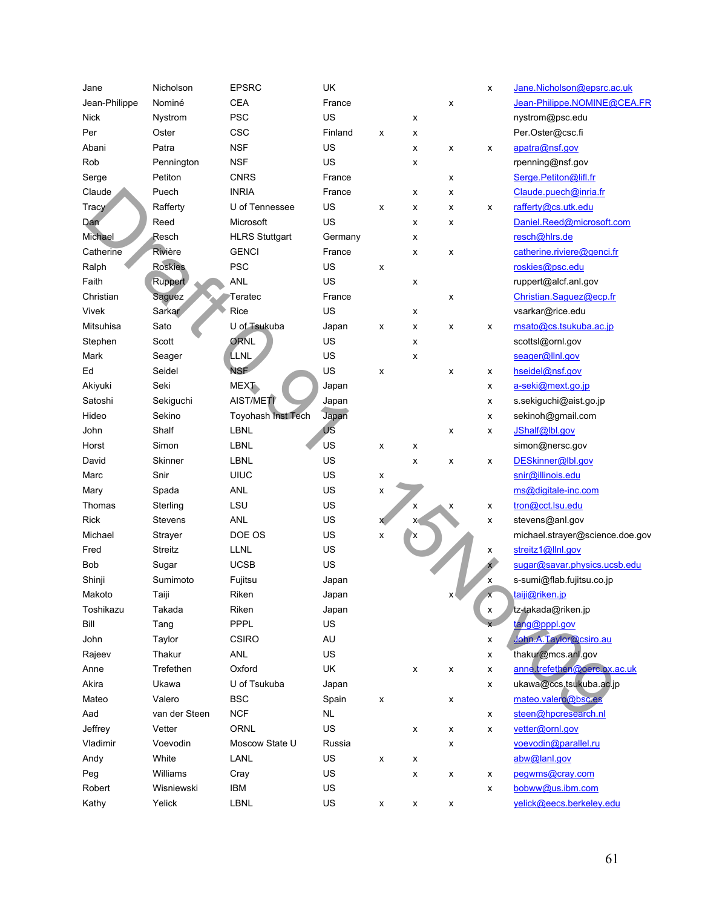| Jane          | Nicholson      | <b>EPSRC</b>          | UK        |                    |                    |                    | x            | Jane.Nicholson@epsrc.ac.uk      |
|---------------|----------------|-----------------------|-----------|--------------------|--------------------|--------------------|--------------|---------------------------------|
| Jean-Philippe | Nominé         | <b>CEA</b>            | France    |                    |                    | X                  |              | Jean-Philippe.NOMINE@CEA.FR     |
| <b>Nick</b>   | Nystrom        | <b>PSC</b>            | US        |                    | X                  |                    |              | nystrom@psc.edu                 |
| Per           | Oster          | CSC                   | Finland   | X                  | x                  |                    |              | Per.Oster@csc.fi                |
| Abani         | Patra          | <b>NSF</b>            | US        |                    | X                  | x                  | x            | apatra@nsf.gov                  |
| Rob           | Pennington     | <b>NSF</b>            | US        |                    | X                  |                    |              | rpenning@nsf.gov                |
| Serge         | Petiton        | <b>CNRS</b>           | France    |                    |                    | х                  |              | Serge.Petiton@lifl.fr           |
| Claude        | Puech          | <b>INRIA</b>          | France    |                    | X                  | x                  |              | Claude.puech@inria.fr           |
| Tracy         | Rafferty       | U of Tennessee        | US        | x                  | X                  | х                  | x            | rafferty@cs.utk.edu             |
| Dan           | Reed           | Microsoft             | US        |                    | X                  | х                  |              | Daniel.Reed@microsoft.com       |
| Michael       | Resch          | <b>HLRS Stuttgart</b> | Germany   |                    | x                  |                    |              | resch@hlrs.de                   |
| Catherine     | Rivière        | <b>GENCI</b>          | France    |                    | X                  | X                  |              | catherine.riviere@genci.fr      |
| Ralph         | <b>Roskies</b> | <b>PSC</b>            | US        | x                  |                    |                    |              | roskies@psc.edu                 |
| Faith         | Ruppert        | <b>ANL</b>            | US        |                    | X                  |                    |              | ruppert@alcf.anl.gov            |
| Christian     | Saguez         | Teratec               | France    |                    |                    | x                  |              | Christian.Saguez@ecp.fr         |
| Vivek         | Sarkar         | Rice                  | US        |                    | x                  |                    |              | vsarkar@rice.edu                |
| Mitsuhisa     | Sato           | U of Tsukuba          | Japan     | X                  | X                  | X                  | x            | msato@cs.tsukuba.ac.jp          |
| Stephen       | Scott          | <b>ORNL</b>           | US        |                    | X                  |                    |              | scottsl@ornl.gov                |
| Mark          | Seager         | LLNL                  | US        |                    | X                  |                    |              | seager@llnl.gov                 |
| Ed            | Seidel         | <b>NSF</b>            | US        | x                  |                    | x                  | x            | hseidel@nsf.gov                 |
| Akiyuki       | Seki           | <b>MEXT</b>           | Japan     |                    |                    |                    | x            | a-seki@mext.go.jp               |
| Satoshi       | Sekiguchi      | AIST/MET              | Japan     |                    |                    |                    | x            | s.sekiguchi@aist.go.jp          |
| Hideo         | Sekino         | Toyohash Inst Tech    | Japan     |                    |                    |                    | x            | sekinoh@gmail.com               |
| John          | Shalf          | LBNL                  | <b>US</b> |                    |                    | x                  | x            | JShalf@lbl.gov                  |
| Horst         | Simon          | LBNL                  | US        | X                  | x                  |                    |              | simon@nersc.gov                 |
| David         | Skinner        | LBNL                  | US        |                    | X                  | x                  | x            | DESkinner@lbl.gov               |
| Marc          | Snir           | <b>UIUC</b>           | US        | x                  |                    |                    |              | snir@illinois.edu               |
| Mary          | Spada          | ANL                   | US        | X                  |                    |                    |              | ms@digitale-inc.com             |
| Thomas        | Sterling       | LSU                   | US        |                    | x                  | X                  | x            | tron@cct.lsu.edu                |
| <b>Rick</b>   | <b>Stevens</b> | ANL                   | US        |                    |                    |                    | x            | stevens@anl.gov                 |
| Michael       | Strayer        | DOE OS                | US        | x                  |                    |                    |              | michael.strayer@science.doe.gov |
| Fred          | Streitz        | LLNL                  | US        |                    |                    |                    | x            | streitz1@llnl.gov               |
| Bob           | Sugar          | <b>UCSB</b>           | US        |                    |                    |                    |              | sugar@savar.physics.ucsb.edu    |
| Shinji        | Sumimoto       | Fujitsu               | Japan     |                    |                    |                    | $\mathbf{x}$ | s-sumi@flab.fujitsu.co.jp       |
| Makoto        | Taiji          | Riken                 | Japan     |                    |                    | $\mathbf{v}$       | ᄉ            | taiji@riken.jp                  |
| Toshikazu     | Takada         | Riken                 | Japan     |                    |                    |                    | X            | tz-takada@riken.jp              |
| Bill          | Tang           | PPPL                  | US        |                    |                    |                    | $\mathsf{x}$ | tang@pppl.gov                   |
| John          | Taylor         | <b>CSIRO</b>          | AU        |                    |                    |                    | x            | John.A.Taylor@csiro.au          |
| Rajeev        | Thakur         | ANL                   | US        |                    |                    |                    | x            | thakur@mcs.anl.gov              |
| Anne          | Trefethen      | Oxford                | UK        |                    | $\pmb{\mathsf{x}}$ | $\pmb{\mathsf{x}}$ | x            | anne.trefethen@oerc.ox.ac.uk    |
| Akira         | Ukawa          | U of Tsukuba          | Japan     |                    |                    |                    | x            | ukawa@ccs.tsukuba.ac.jp         |
| Mateo         | Valero         | <b>BSC</b>            | Spain     | $\pmb{\mathsf{x}}$ |                    | x                  |              | mateo.valero@bsc.es             |
| Aad           | van der Steen  | <b>NCF</b>            | <b>NL</b> |                    |                    |                    | x            | steen@hpcresearch.nl            |
| Jeffrey       | Vetter         | <b>ORNL</b>           | US        |                    | x                  | x                  | x            | vetter@ornl.gov                 |
| Vladimir      | Voevodin       | Moscow State U        | Russia    |                    |                    | X                  |              | voevodin@parallel.ru            |
| Andy          | White          | LANL                  | US        | X                  | x                  |                    |              | abw@lanl.gov                    |
| Peg           | Williams       | Cray                  | US        |                    | x                  | x                  | x            | pegwms@cray.com                 |
| Robert        | Wisniewski     | IBM                   | US        |                    |                    |                    | x            | bobww@us.ibm.com                |
| Kathy         | Yelick         | LBNL                  | US        | x                  | $\pmb{\mathsf{x}}$ | $\pmb{\mathsf{x}}$ |              | yelick@eecs.berkeley.edu        |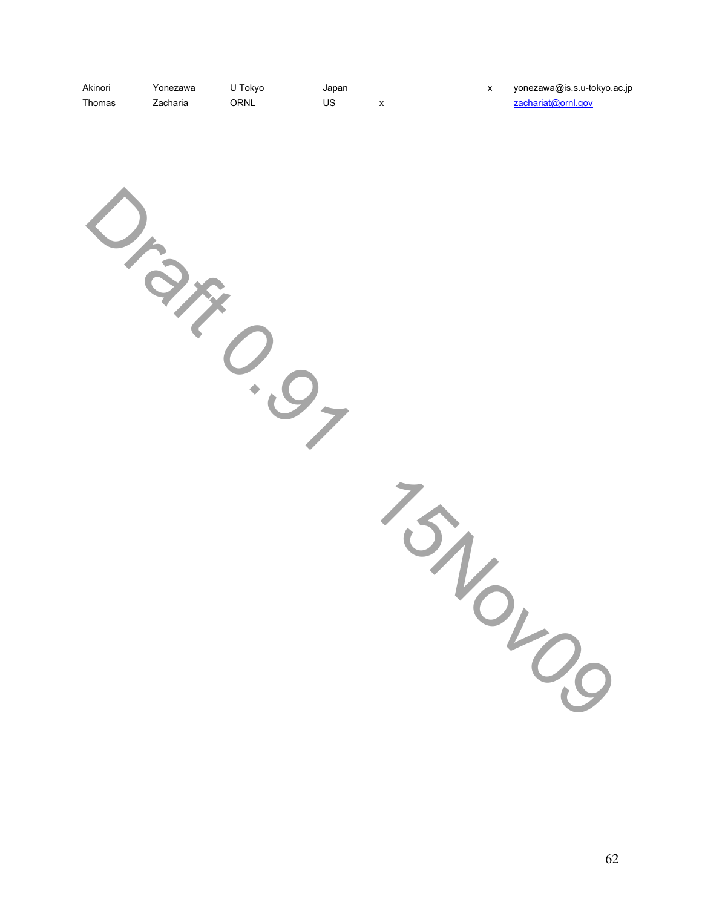| Akinori | Yonezawa | U Tokvo | Japan |  | yonezawa@is.s.u-tokyo.ac.jp |
|---------|----------|---------|-------|--|-----------------------------|
| Thomas  | Zacharia | つRNL    | JS    |  | zachariat@ornl.gov          |

Draft 0.91 Tonoug